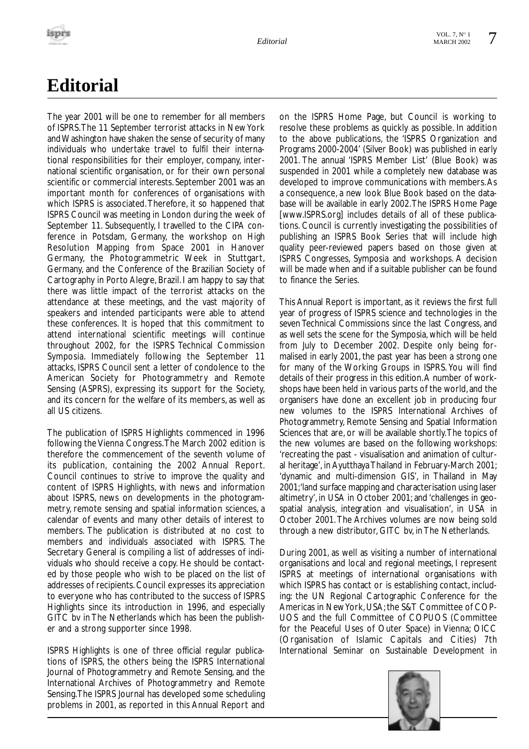# **Editorial**

The year 2001 will be one to remember for all members of ISPRS.The 11 September terrorist attacks in New York and Washington have shaken the sense of security of many individuals who undertake travel to fulfil their international responsibilities for their employer, company, international scientific organisation, or for their own personal scientific or commercial interests. September 2001 was an important month for conferences of organisations with which ISPRS is associated.Therefore, it so happened that ISPRS Council was meeting in London during the week of September 11. Subsequently, I travelled to the CIPA conference in Potsdam, Germany, the workshop on High Resolution Mapping from Space 2001 in Hanover Germany, the Photogrammetric Week in Stuttgart, Germany, and the Conference of the Brazilian Society of Cartography in Porto Alegre, Brazil. I am happy to say that there was little impact of the terrorist attacks on the attendance at these meetings, and the vast majority of speakers and intended participants were able to attend these conferences. It is hoped that this commitment to attend international scientific meetings will continue throughout 2002, for the ISPRS Technical Commission Symposia. Immediately following the September 11 attacks, ISPRS Council sent a letter of condolence to the American Society for Photogrammetry and Remote Sensing (ASPRS), expressing its support for the Society, and its concern for the welfare of its members, as well as all US citizens.

The publication of ISPRS Highlights commenced in 1996 following the Vienna Congress.The March 2002 edition is therefore the commencement of the seventh volume of its publication, containing the 2002 Annual Report. Council continues to strive to improve the quality and content of ISPRS Highlights, with news and information about ISPRS, news on developments in the photogrammetry, remote sensing and spatial information sciences, a calendar of events and many other details of interest to members. The publication is distributed at no cost to members and individuals associated with ISPRS. The Secretary General is compiling a list of addresses of individuals who should receive a copy. He should be contacted by those people who wish to be placed on the list of addresses of recipients. Council expresses its appreciation to everyone who has contributed to the success of ISPRS Highlights since its introduction in 1996, and especially GITC bv in The Netherlands which has been the publisher and a strong supporter since 1998.

ISPRS Highlights is one of three official regular publications of ISPRS, the others being the ISPRS International Journal of Photogrammetry and Remote Sensing, and the International Archives of Photogrammetry and Remote Sensing.The ISPRS Journal has developed some scheduling problems in 2001, as reported in this Annual Report and on the ISPRS Home Page, but Council is working to resolve these problems as quickly as possible. In addition to the above publications, the 'ISPRS Organization and Programs 2000-2004' (Silver Book) was published in early 2001. The annual 'ISPRS Member List' (Blue Book) was suspended in 2001 while a completely new database was developed to improve communications with members.As a consequence, a new look Blue Book based on the database will be available in early 2002.The ISPRS Home Page [www.ISPRS.org] includes details of all of these publications. Council is currently investigating the possibilities of publishing an ISPRS Book Series that will include high quality peer-reviewed papers based on those given at ISPRS Congresses, Symposia and workshops. A decision will be made when and if a suitable publisher can be found to finance the Series.

This Annual Report is important, as it reviews the first full year of progress of ISPRS science and technologies in the seven Technical Commissions since the last Congress, and as well sets the scene for the Symposia, which will be held from July to December 2002. Despite only being formalised in early 2001, the past year has been a strong one for many of the Working Groups in ISPRS. You will find details of their progress in this edition.A number of workshops have been held in various parts of the world, and the organisers have done an excellent job in producing four new volumes to the ISPRS International Archives of Photogrammetry, Remote Sensing and Spatial Information Sciences that are, or will be available shortly.The topics of the new volumes are based on the following workshops: 'recreating the past - visualisation and animation of cultural heritage', in Ayutthaya Thailand in February-March 2001; 'dynamic and multi-dimension GIS', in Thailand in May 2001;'land surface mapping and characterisation using laser altimetry', in USA in October 2001; and 'challenges in geospatial analysis, integration and visualisation', in USA in October 2001.The Archives volumes are now being sold through a new distributor, GITC bv, in The Netherlands.

During 2001, as well as visiting a number of international organisations and local and regional meetings, I represent ISPRS at meetings of international organisations with which ISPRS has contact or is establishing contact, including: the UN Regional Cartographic Conference for the Americas in New York, USA; the S&T Committee of COP-UOS and the full Committee of COPUOS (Committee for the Peaceful Uses of Outer Space) in Vienna; OICC (Organisation of Islamic Capitals and Cities) 7th International Seminar on Sustainable Development in

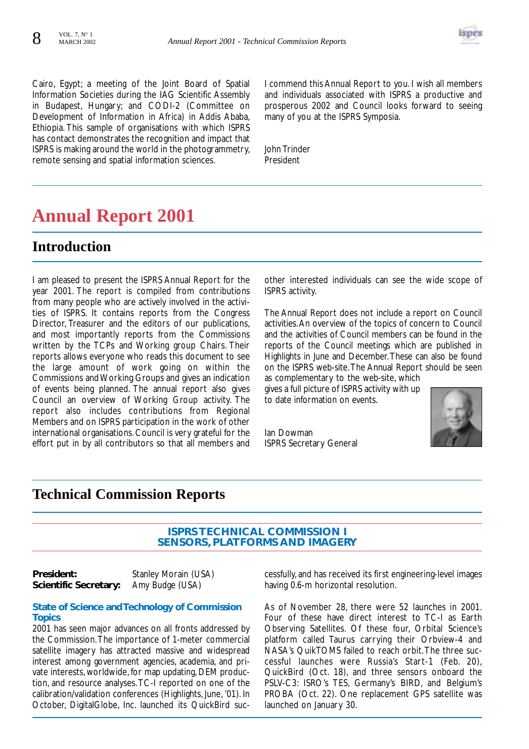

Cairo, Egypt; a meeting of the Joint Board of Spatial Information Societies during the IAG Scientific Assembly in Budapest, Hungary; and CODI-2 (Committee on Development of Information in Africa) in Addis Ababa, Ethiopia. This sample of organisations with which ISPRS has contact demonstrates the recognition and impact that ISPRS is making around the world in the photogrammetry, remote sensing and spatial information sciences.

I commend this Annual Report to you. I wish all members and individuals associated with ISPRS a productive and prosperous 2002 and Council looks forward to seeing many of you at the ISPRS Symposia.

John Trinder President

# **Annual Report 2001**

## **Introduction**

I am pleased to present the ISPRS Annual Report for the year 2001. The report is compiled from contributions from many people who are actively involved in the activities of ISPRS. It contains reports from the Congress Director, Treasurer and the editors of our publications, and most importantly reports from the Commissions written by the TCPs and Working group Chairs. Their reports allows everyone who reads this document to see the large amount of work going on within the Commissions and Working Groups and gives an indication of events being planned. The annual report also gives Council an overview of Working Group activity. The report also includes contributions from Regional Members and on ISPRS participation in the work of other international organisations. Council is very grateful for the effort put in by all contributors so that all members and other interested individuals can see the wide scope of ISPRS activity.

The Annual Report does not include a report on Council activities.An overview of the topics of concern to Council and the activities of Council members can be found in the reports of the Council meetings which are published in Highlights in June and December.These can also be found on the ISPRS web-site.The Annual Report should be seen as complementary to the web-site, which

gives a full picture of ISPRS activity with up to date information on events.

Ian Dowman ISPRS Secretary General



### **Technical Commission Reports**

#### **ISPRS TECHNICAL COMMISSION I SENSORS, PLATFORMS AND IMAGERY**

**President:** Stanley Morain (USA) **Scientific Secretary:** Amy Budge (USA)

#### **State of Science and Technology of Commission Topics**

2001 has seen major advances on all fronts addressed by the Commission.The importance of 1-meter commercial satellite imagery has attracted massive and widespread interest among government agencies, academia, and private interests, worldwide, for map updating, DEM production, and resource analyses.TC-I reported on one of the calibration/validation conferences (Highlights, June, '01). In October, DigitalGlobe, Inc. launched its QuickBird successfully, and has received its first engineering-level images having 0.6-m horizontal resolution.

As of November 28, there were 52 launches in 2001. Four of these have direct interest to TC-I as Earth Observing Satellites. Of these four, Orbital Science's platform called Taurus carrying their Orbview-4 and NASA's QuikTOMS failed to reach orbit.The three successful launches were Russia's Start-1 (Feb. 20), QuickBird (Oct. 18), and three sensors onboard the PSLV-C3: ISRO's TES, Germany's BIRD, and Belgium's PROBA (Oct. 22). One replacement GPS satellite was launched on January 30.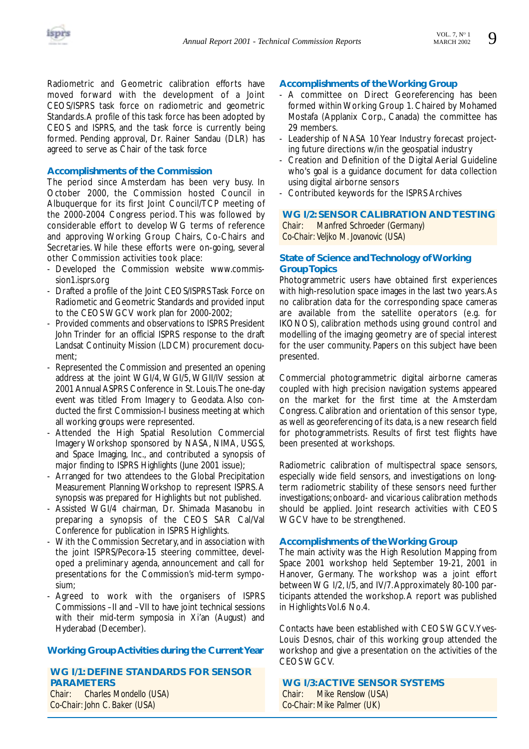

Radiometric and Geometric calibration efforts have moved forward with the development of a Joint CEOS/ISPRS task force on radiometric and geometric Standards.A profile of this task force has been adopted by CEOS and ISPRS, and the task force is currently being formed. Pending approval, Dr. Rainer Sandau (DLR) has agreed to serve as Chair of the task force

#### **Accomplishments of the Commission**

The period since Amsterdam has been very busy. In October 2000, the Commission hosted Council in Albuquerque for its first Joint Council/TCP meeting of the 2000-2004 Congress period. This was followed by considerable effort to develop WG terms of reference and approving Working Group Chairs, Co-Chairs and Secretaries. While these efforts were on-going, several other Commission activities took place:

- Developed the Commission website www.commission1.isprs.org
- Drafted a profile of the Joint CEOS/ISPRS Task Force on Radiometic and Geometric Standards and provided input to the CEOS WGCV work plan for 2000-2002;
- Provided comments and observations to ISPRS President John Trinder for an official ISPRS response to the draft Landsat Continuity Mission (LDCM) procurement document;
- Represented the Commission and presented an opening address at the joint WGI/4, WGI/5, WGII/IV session at 2001 Annual ASPRS Conference in St. Louis.The one-day event was titled From Imagery to Geodata. Also conducted the first Commission-I business meeting at which all working groups were represented.
- Attended the High Spatial Resolution Commercial Imagery Workshop sponsored by NASA, NIMA, USGS, and Space Imaging, Inc., and contributed a synopsis of major finding to ISPRS Highlights (June 2001 issue);
- Arranged for two attendees to the Global Precipitation Measurement Planning Workshop to represent ISPRS. A synopsis was prepared for Highlights but not published.
- Assisted WGI/4 chairman, Dr. Shimada Masanobu in preparing a synopsis of the CEOS SAR Cal/Val Conference for publication in ISPRS Highlights.
- With the Commission Secretary, and in association with the joint ISPRS/Pecora-15 steering committee, developed a preliminary agenda, announcement and call for presentations for the Commission's mid-term symposium;
- Agreed to work with the organisers of ISPRS Commissions –II and –VII to have joint technical sessions with their mid-term symposia in Xi'an (August) and Hyderabad (December).

#### **Working Group Activities during the Current Year**

#### **WG I/1: DEFINE STANDARDS FOR SENSOR PARAMETERS** *Chair: Charles Mondello (USA)*

*Co-Chair: John C. Baker (USA)*

#### **Accomplishments of the Working Group**

- A committee on Direct Georeferencing has been formed within Working Group 1. Chaired by Mohamed Mostafa (Applanix Corp., Canada) the committee has 29 members.
- Leadership of NASA 10 Year Industry forecast projecting future directions w/in the geospatial industry
- Creation and Definition of the Digital Aerial Guideline who's goal is a guidance document for data collection using digital airborne sensors
- Contributed keywords for the ISPRS Archives

# **WG I/2: SENSOR CALIBRATION AND TESTING**

*Manfred Schroeder (Germany) Co-Chair: Veljko M. Jovanovic (USA)*

#### **State of Science and Technology of Working Group Topics**

Photogrammetric users have obtained first experiences with high-resolution space images in the last two years.As no calibration data for the corresponding space cameras are available from the satellite operators (e.g. for IKONOS), calibration methods using ground control and modelling of the imaging geometry are of special interest for the user community. Papers on this subject have been presented.

Commercial photogrammetric digital airborne cameras coupled with high precision navigation systems appeared on the market for the first time at the Amsterdam Congress. Calibration and orientation of this sensor type, as well as georeferencing of its data, is a new research field for photogrammetrists. Results of first test flights have been presented at workshops.

Radiometric calibration of multispectral space sensors, especially wide field sensors, and investigations on longterm radiometric stability of these sensors need further investigations; onboard- and vicarious calibration methods should be applied. Joint research activities with CEOS WGCV have to be strengthened.

#### **Accomplishments of the Working Group**

The main activity was the High Resolution Mapping from Space 2001 workshop held September 19-21, 2001 in Hanover, Germany. The workshop was a joint effort between WG I/2, I/5, and IV/7.Approximately 80-100 participants attended the workshop.A report was published in Highlights Vol.6 No.4.

Contacts have been established with CEOS WGCV.Yves-Louis Desnos, chair of this working group attended the workshop and give a presentation on the activities of the CEOS WGCV.

#### **WG I/3:ACTIVE SENSOR SYSTEMS** *Chair: Mike Renslow (USA) Co-Chair: Mike Palmer (UK*)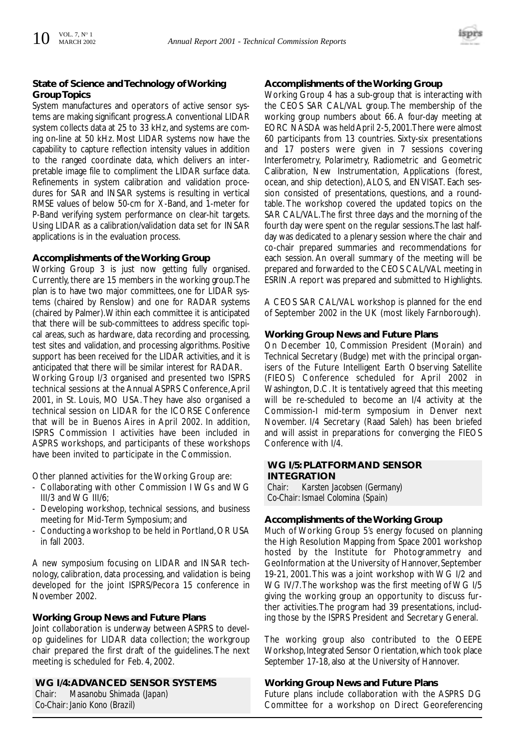

#### **State of Science and Technology of Working Group Topics**

System manufactures and operators of active sensor systems are making significant progress.A conventional LIDAR system collects data at 25 to 33 kHz, and systems are coming on-line at 50 kHz. Most LIDAR systems now have the capability to capture reflection intensity values in addition to the ranged coordinate data, which delivers an interpretable image file to compliment the LIDAR surface data. Refinements in system calibration and validation procedures for SAR and INSAR systems is resulting in vertical RMSE values of below 50-cm for X-Band, and 1-meter for P-Band verifying system performance on clear-hit targets. Using LIDAR as a calibration/validation data set for INSAR applications is in the evaluation process.

#### **Accomplishments of the Working Group**

Working Group 3 is just now getting fully organised. Currently, there are 15 members in the working group.The plan is to have two major committees, one for LIDAR systems (chaired by Renslow) and one for RADAR systems (chaired by Palmer).Within each committee it is anticipated that there will be sub-committees to address specific topical areas, such as hardware, data recording and processing, test sites and validation, and processing algorithms. Positive support has been received for the LIDAR activities, and it is anticipated that there will be similar interest for RADAR. Working Group I/3 organised and presented two ISPRS technical sessions at the Annual ASPRS Conference,April 2001, in St. Louis, MO USA. They have also organised a technical session on LIDAR for the ICORSE Conference that will be in Buenos Aires in April 2002. In addition, ISPRS Commission I activities have been included in ASPRS workshops, and participants of these workshops have been invited to participate in the Commission.

Other planned activities for the Working Group are:

- Collaborating with other Commission I WGs and WG III/3 and WG III/6;
- Developing workshop, technical sessions, and business meeting for Mid-Term Symposium; and
- Conducting a workshop to be held in Portland,OR USA in fall 2003.

A new symposium focusing on LIDAR and INSAR technology, calibration, data processing, and validation is being developed for the joint ISPRS/Pecora 15 conference in November 2002.

#### **Working Group News and Future Plans**

Joint collaboration is underway between ASPRS to develop guidelines for LIDAR data collection; the workgroup chair prepared the first draft of the guidelines. The next meeting is scheduled for Feb. 4, 2002.

**WG I/4:ADVANCED SENSOR SYSTEMS** *Chair: Masanobu Shimada (Japan) Co-Chair: Janio Kono (Brazil)*

#### **Accomplishments of the Working Group**

Working Group 4 has a sub-group that is interacting with the CEOS SAR CAL/VAL group. The membership of the working group numbers about 66. A four-day meeting at EORC NASDA was held April 2-5,2001.There were almost 60 participants from 13 countries. Sixty-six presentations and 17 posters were given in 7 sessions covering Interferometry, Polarimetry, Radiometric and Geometric Calibration, New Instrumentation, Applications (forest, ocean, and ship detection), ALOS, and ENVISAT. Each session consisted of presentations, questions, and a roundtable. The workshop covered the updated topics on the SAR CAL/VAL.The first three days and the morning of the fourth day were spent on the regular sessions.The last halfday was dedicated to a plenary session where the chair and co-chair prepared summaries and recommendations for each session. An overall summary of the meeting will be prepared and forwarded to the CEOS CAL/VAL meeting in ESRIN.A report was prepared and submitted to Highlights.

A CEOS SAR CAL/VAL workshop is planned for the end of September 2002 in the UK (most likely Farnborough).

#### **Working Group News and Future Plans**

On December 10, Commission President (Morain) and Technical Secretary (Budge) met with the principal organisers of the Future Intelligent Earth Observing Satellite (FIEOS) Conference scheduled for April 2002 in Washington, D.C. It is tentatively agreed that this meeting will be re-scheduled to become an I/4 activity at the Commission-I mid-term symposium in Denver next November. I/4 Secretary (Raad Saleh) has been briefed and will assist in preparations for converging the FIEOS Conference with I/4.

#### **WG I/5: PLATFORM AND SENSOR INTEGRATION**

*Chair: Karsten Jacobsen (Germany) Co-Chair: Ismael Colomina (Spain)*

#### **Accomplishments of the Working Group**

Much of Working Group 5's energy focused on planning the High Resolution Mapping from Space 2001 workshop hosted by the Institute for Photogrammetry and GeoInformation at the University of Hannover, September 19-21, 2001.This was a joint workshop with WG I/2 and WG IV/7.The workshop was the first meeting of WG I/5 giving the working group an opportunity to discuss further activities.The program had 39 presentations, including those by the ISPRS President and Secretary General.

The working group also contributed to the OEEPE Workshop, Integrated Sensor Orientation, which took place September 17-18, also at the University of Hannover.

#### **Working Group News and Future Plans**

Future plans include collaboration with the ASPRS DG Committee for a workshop on Direct Georeferencing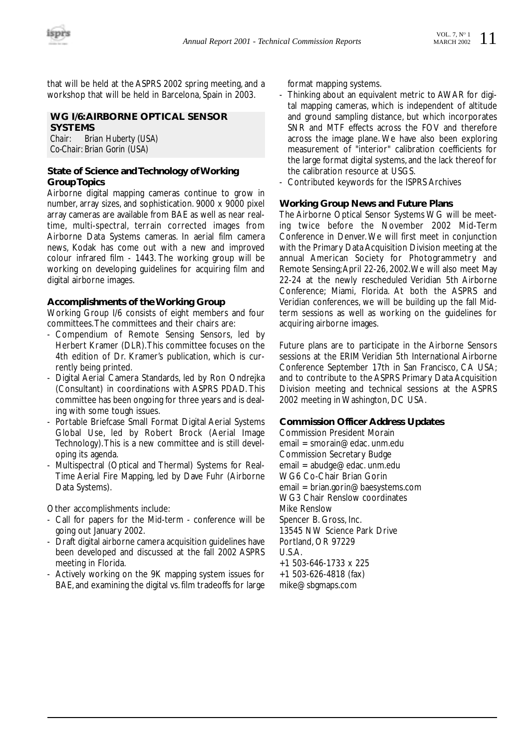that will be held at the ASPRS 2002 spring meeting, and a workshop that will be held in Barcelona, Spain in 2003.

#### **WG I/6:AIRBORNE OPTICAL SENSOR SYSTEMS**

*Chair: Brian Huberty (USA) Co-Chair: Brian Gorin (USA)*

#### **State of Science and Technology of Working Group Topics**

Airborne digital mapping cameras continue to grow in number, array sizes, and sophistication. 9000 x 9000 pixel array cameras are available from BAE as well as near realtime, multi-spectral, terrain corrected images from Airborne Data Systems cameras. In aerial film camera news, Kodak has come out with a new and improved colour infrared film - 1443. The working group will be working on developing guidelines for acquiring film and digital airborne images.

#### **Accomplishments of the Working Group**

Working Group I/6 consists of eight members and four committees.The committees and their chairs are:

- Compendium of Remote Sensing Sensors, led by Herbert Kramer (DLR).This committee focuses on the 4th edition of Dr. Kramer's publication, which is currently being printed.
- Digital Aerial Camera Standards, led by Ron Ondrejka (Consultant) in coordinations with ASPRS PDAD. This committee has been ongoing for three years and is dealing with some tough issues.
- Portable Briefcase Small Format Digital Aerial Systems Global Use, led by Robert Brock (Aerial Image Technology).This is a new committee and is still developing its agenda.
- Multispectral (Optical and Thermal) Systems for Real-Time Aerial Fire Mapping, led by Dave Fuhr (Airborne Data Systems).

Other accomplishments include:

- Call for papers for the Mid-term conference will be going out January 2002.
- Draft digital airborne camera acquisition guidelines have been developed and discussed at the fall 2002 ASPRS meeting in Florida.
- Actively working on the 9K mapping system issues for BAE, and examining the digital vs. film tradeoffs for large

format mapping systems.

- Thinking about an equivalent metric to AWAR for digital mapping cameras, which is independent of altitude and ground sampling distance, but which incorporates SNR and MTF effects across the FOV and therefore across the image plane. We have also been exploring measurement of "interior" calibration coefficients for the large format digital systems, and the lack thereof for the calibration resource at USGS.
- Contributed keywords for the ISPRS Archives

#### **Working Group News and Future Plans**

The Airborne Optical Sensor Systems WG will be meeting twice before the November 2002 Mid-Term Conference in Denver. We will first meet in conjunction with the Primary Data Acquisition Division meeting at the annual American Society for Photogrammetry and Remote Sensing;April 22-26, 2002.We will also meet May 22-24 at the newly rescheduled Veridian 5th Airborne Conference; Miami, Florida. At both the ASPRS and Veridian conferences, we will be building up the fall Midterm sessions as well as working on the guidelines for acquiring airborne images.

Future plans are to participate in the Airborne Sensors sessions at the ERIM Veridian 5th International Airborne Conference September 17th in San Francisco, CA USA; and to contribute to the ASPRS Primary Data Acquisition Division meeting and technical sessions at the ASPRS 2002 meeting in Washington, DC USA.

#### **Commission Officer Address Updates**

Commission President Morain  $email = smorain@edac.$  unm.edu. Commission Secretary Budge email = abudge@edac. unm.edu WG6 Co-Chair Brian Gorin email = brian.gorin@baesystems.com WG3 Chair Renslow coordinates Mike Renslow Spencer B. Gross, Inc. 13545 NW Science Park Drive Portland, OR 97229 U.S.A. +1 503-646-1733 x 225 +1 503-626-4818 (fax) mike@sbgmaps.com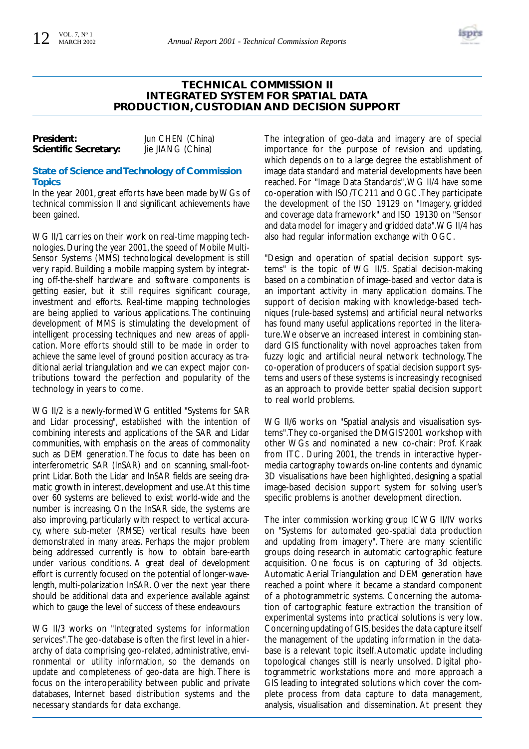

#### **TECHNICAL COMMISSION II INTEGRATED SYSTEM FOR SPATIAL DATA PRODUCTION, CUSTODIAN AND DECISION SUPPORT**

| President:            | Jun CHEN (China)  |
|-----------------------|-------------------|
| Scientific Secretary: | Jie JIANG (China) |

#### **State of Science and Technology of Commission Topics**

In the year 2001, great efforts have been made by WGs of technical commission II and significant achievements have been gained.

WG II/1 carries on their work on real-time mapping technologies. During the year 2001, the speed of Mobile Multi-Sensor Systems (MMS) technological development is still very rapid. Building a mobile mapping system by integrating off-the-shelf hardware and software components is getting easier, but it still requires significant courage, investment and efforts. Real-time mapping technologies are being applied to various applications. The continuing development of MMS is stimulating the development of intelligent processing techniques and new areas of application. More efforts should still to be made in order to achieve the same level of ground position accuracy as traditional aerial triangulation and we can expect major contributions toward the perfection and popularity of the technology in years to come.

WG II/2 is a newly-formed WG entitled "Systems for SAR and Lidar processing", established with the intention of combining interests and applications of the SAR and Lidar communities, with emphasis on the areas of commonality such as DEM generation. The focus to date has been on interferometric SAR (InSAR) and on scanning, small-footprint Lidar. Both the Lidar and InSAR fields are seeing dramatic growth in interest, development and use.At this time over 60 systems are believed to exist world-wide and the number is increasing. On the InSAR side, the systems are also improving, particularly with respect to vertical accuracy, where sub-meter (RMSE) vertical results have been demonstrated in many areas. Perhaps the major problem being addressed currently is how to obtain bare-earth under various conditions. A great deal of development effort is currently focused on the potential of longer-wavelength, multi-polarization InSAR. Over the next year there should be additional data and experience available against which to gauge the level of success of these endeavours

WG II/3 works on "Integrated systems for information services".The geo-database is often the first level in a hierarchy of data comprising geo-related, administrative, environmental or utility information, so the demands on update and completeness of geo-data are high. There is focus on the interoperability between public and private databases, Internet based distribution systems and the necessary standards for data exchange.

The integration of geo-data and imagery are of special importance for the purpose of revision and updating, which depends on to a large degree the establishment of image data standard and material developments have been reached. For "Image Data Standards",WG II/4 have some co-operation with ISO/TC211 and OGC.They participate the development of the ISO 19129 on "Imagery, gridded and coverage data framework" and ISO 19130 on "Sensor and data model for imagery and gridded data".WG II/4 has also had regular information exchange with OGC.

"Design and operation of spatial decision support systems" is the topic of WG II/5. Spatial decision-making based on a combination of image-based and vector data is an important activity in many application domains. The support of decision making with knowledge-based techniques (rule-based systems) and artificial neural networks has found many useful applications reported in the literature.We observe an increased interest in combining standard GIS functionality with novel approaches taken from fuzzy logic and artificial neural network technology. The co-operation of producers of spatial decision support systems and users of these systems is increasingly recognised as an approach to provide better spatial decision support to real world problems.

WG II/6 works on "Spatial analysis and visualisation systems".They co-organised the DMGIS'2001 workshop with other WGs and nominated a new co-chair: Prof. Kraak from ITC. During 2001, the trends in interactive hypermedia cartography towards on-line contents and dynamic 3D visualisations have been highlighted, designing a spatial image-based decision support system for solving user's specific problems is another development direction.

The inter commission working group ICWG II/IV works on "Systems for automated geo-spatial data production and updating from imagery". There are many scientific groups doing research in automatic cartographic feature acquisition. One focus is on capturing of 3d objects. Automatic Aerial Triangulation and DEM generation have reached a point where it became a standard component of a photogrammetric systems. Concerning the automation of cartographic feature extraction the transition of experimental systems into practical solutions is very low. Concerning updating of GIS, besides the data capture itself the management of the updating information in the database is a relevant topic itself. Automatic update including topological changes still is nearly unsolved. Digital photogrammetric workstations more and more approach a GIS leading to integrated solutions which cover the complete process from data capture to data management, analysis, visualisation and dissemination. At present they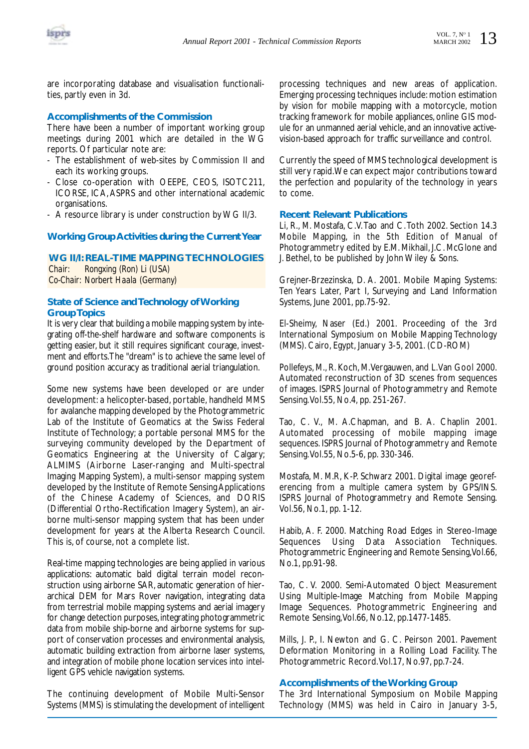

are incorporating database and visualisation functionalities, partly even in 3d.

#### **Accomplishments of the Commission**

There have been a number of important working group meetings during 2001 which are detailed in the WG reports. Of particular note are:

- The establishment of web-sites by Commission II and each its working groups.
- Close co-operation with OEEPE, CEOS, ISOTC211, ICORSE, ICA, ASPRS and other international academic organisations.
- A resource library is under construction by WG II/3.

#### **Working Group Activities during the Current Year**

**WG II/I: REAL-TIME MAPPING TECHNOLOGIES** *Chair: Rongxing (Ron) Li (USA) Co-Chair: Norbert Haala (Germany)*

#### **State of Science and Technology of Working Group Topics**

It is very clear that building a mobile mapping system by integrating off-the-shelf hardware and software components is getting easier, but it still requires significant courage, investment and efforts.The "dream" is to achieve the same level of ground position accuracy as traditional aerial triangulation.

Some new systems have been developed or are under development: a helicopter-based, portable, handheld MMS for avalanche mapping developed by the Photogrammetric Lab of the Institute of Geomatics at the Swiss Federal Institute of Technology; a portable personal MMS for the surveying community developed by the Department of Geomatics Engineering at the University of Calgary; ALMIMS (Airborne Laser-ranging and Multi-spectral Imaging Mapping System), a multi-sensor mapping system developed by the Institute of Remote Sensing Applications of the Chinese Academy of Sciences, and DORIS (Differential Ortho-Rectification Imagery System), an airborne multi-sensor mapping system that has been under development for years at the Alberta Research Council. This is, of course, not a complete list.

Real-time mapping technologies are being applied in various applications: automatic bald digital terrain model reconstruction using airborne SAR, automatic generation of hierarchical DEM for Mars Rover navigation, integrating data from terrestrial mobile mapping systems and aerial imagery for change detection purposes, integrating photogrammetric data from mobile ship-borne and airborne systems for support of conservation processes and environmental analysis, automatic building extraction from airborne laser systems, and integration of mobile phone location services into intelligent GPS vehicle navigation systems.

The continuing development of Mobile Multi-Sensor Systems (MMS) is stimulating the development of intelligent

processing techniques and new areas of application. Emerging processing techniques include: motion estimation by vision for mobile mapping with a motorcycle, motion tracking framework for mobile appliances, online GIS module for an unmanned aerial vehicle,and an innovative activevision-based approach for traffic surveillance and control.

Currently the speed of MMS technological development is still very rapid.We can expect major contributions toward the perfection and popularity of the technology in years to come.

#### **Recent Relevant Publications**

Li, R., M. Mostafa, C.V.Tao and C.Toth 2002. Section 14.3 Mobile Mapping, in the 5th Edition of Manual of Photogrammetry edited by E.M. Mikhail, J.C. McGlone and J. Bethel, to be published by John Wiley & Sons.

Grejner-Brzezinska, D. A. 2001. Mobile Maping Systems: Ten Years Later, Part I, Surveying and Land Information Systems, June 2001, pp.75-92.

El-Sheimy, Naser (Ed.) 2001. Proceeding of the 3rd International Symposium on Mobile Mapping Technology (MMS). Cairo, Egypt, January 3-5, 2001. (CD-ROM)

Pollefeys, M., R. Koch, M.Vergauwen, and L.Van Gool 2000. Automated reconstruction of 3D scenes from sequences of images. ISPRS Journal of Photogrammetry and Remote Sensing.Vol.55, No.4, pp. 251-267.

Tao, C. V., M. A.Chapman, and B. A. Chaplin 2001. Automated processing of mobile mapping image sequences. ISPRS Journal of Photogrammetry and Remote Sensing.Vol.55, No.5-6, pp. 330-346.

Mostafa, M. M.R, K-P. Schwarz 2001. Digital image georeferencing from a multiple camera system by GPS/INS. ISPRS Journal of Photogrammetry and Remote Sensing. Vol.56, No.1, pp. 1-12.

Habib, A. F. 2000. Matching Road Edges in Stereo-Image Sequences Using Data Association Techniques. Photogrammetric Engineering and Remote Sensing,Vol.66, No.1, pp.91-98.

Tao, C. V. 2000. Semi-Automated Object Measurement Using Multiple-Image Matching from Mobile Mapping Image Sequences. Photogrammetric Engineering and Remote Sensing,Vol.66, No.12, pp.1477-1485.

Mills, J. P., I. Newton and G. C. Peirson 2001. Pavement Deformation Monitoring in a Rolling Load Facility. The Photogrammetric Record.Vol.17, No.97, pp.7-24.

#### **Accomplishments of the Working Group**

The 3rd International Symposium on Mobile Mapping Technology (MMS) was held in Cairo in January 3-5,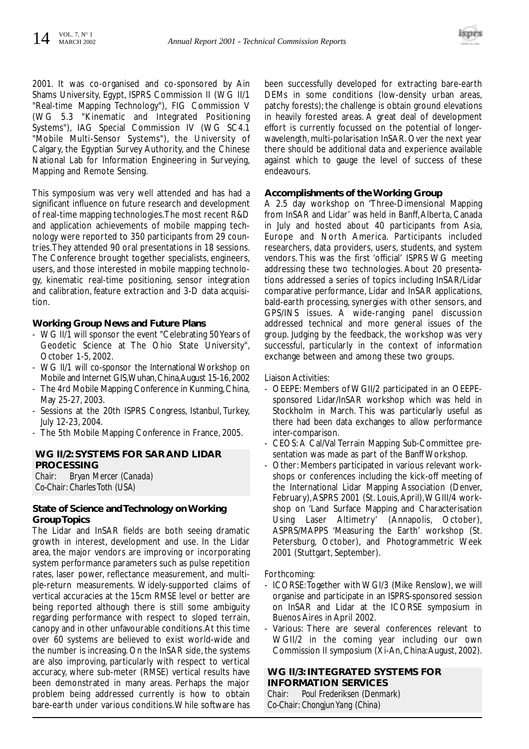

2001. It was co-organised and co-sponsored by Ain Shams University, Egypt, ISPRS Commission II (WG II/1 "Real-time Mapping Technology"), FIG Commission V (WG 5.3 "Kinematic and Integrated Positioning Systems"), IAG Special Commission IV (WG SC4.1 "Mobile Multi-Sensor Systems"), the University of Calgary, the Egyptian Survey Authority, and the Chinese National Lab for Information Engineering in Surveying, Mapping and Remote Sensing.

This symposium was very well attended and has had a significant influence on future research and development of real-time mapping technologies.The most recent R&D and application achievements of mobile mapping technology were reported to 350 participants from 29 countries.They attended 90 oral presentations in 18 sessions. The Conference brought together specialists, engineers, users, and those interested in mobile mapping technology, kinematic real-time positioning, sensor integration and calibration, feature extraction and 3-D data acquisition.

#### **Working Group News and Future Plans**

- WG II/1 will sponsor the event "Celebrating 50 Years of Geodetic Science at The Ohio State University", October 1-5, 2002.
- WG II/1 will co-sponsor the International Workshop on Mobile and Internet GIS,Wuhan,China,August 15-16,2002
- The 4rd Mobile Mapping Conference in Kunming, China, May 25-27, 2003.
- Sessions at the 20th ISPRS Congress, Istanbul, Turkey, July 12-23, 2004.
- The 5th Mobile Mapping Conference in France, 2005.

#### **WG II/2: SYSTEMS FOR SAR AND LIDAR PROCESSING**

*Chair: Bryan Mercer (Canada) Co-Chair: Charles Toth (USA)*

#### **State of Science and Technology on Working Group Topics**

The Lidar and InSAR fields are both seeing dramatic growth in interest, development and use. In the Lidar area, the major vendors are improving or incorporating system performance parameters such as pulse repetition rates, laser power, reflectance measurement, and multiple-return measurements. Widely-supported claims of vertical accuracies at the 15cm RMSE level or better are being reported although there is still some ambiguity regarding performance with respect to sloped terrain, canopy and in other unfavourable conditions.At this time over 60 systems are believed to exist world-wide and the number is increasing. On the InSAR side, the systems are also improving, particularly with respect to vertical accuracy, where sub-meter (RMSE) vertical results have been demonstrated in many areas. Perhaps the major problem being addressed currently is how to obtain bare-earth under various conditions.While software has

been successfully developed for extracting bare-earth DEMs in some conditions (low-density urban areas, patchy forests); the challenge is obtain ground elevations in heavily forested areas. A great deal of development effort is currently focussed on the potential of longerwavelength, multi-polarisation InSAR. Over the next year there should be additional data and experience available against which to gauge the level of success of these endeavours.

#### **Accomplishments of the Working Group**

A 2.5 day workshop on 'Three-Dimensional Mapping from InSAR and Lidar' was held in Banff,Alberta, Canada in July and hosted about 40 participants from Asia, Europe and North America. Participants included researchers, data providers, users, students, and system vendors. This was the first 'official' ISPRS WG meeting addressing these two technologies. About 20 presentations addressed a series of topics including InSAR/Lidar comparative performance, Lidar and InSAR applications, bald-earth processing, synergies with other sensors, and GPS/INS issues. A wide-ranging panel discussion addressed technical and more general issues of the group. Judging by the feedback, the workshop was very successful, particularly in the context of information exchange between and among these two groups.

#### Liaison Activities:

- OEEPE: Members of WGII/2 participated in an OEEPEsponsored Lidar/InSAR workshop which was held in Stockholm in March. This was particularly useful as there had been data exchanges to allow performance inter-comparison.
- CEOS: A Cal/Val Terrain Mapping Sub-Committee presentation was made as part of the Banff Workshop.
- Other: Members participated in various relevant workshops or conferences including the kick-off meeting of the International Lidar Mapping Association (Denver, February),ASPRS 2001 (St. Louis,April),WGIII/4 workshop on 'Land Surface Mapping and Characterisation Using Laser Altimetry' (Annapolis, October), ASPRS/MAPPS 'Measuring the Earth' workshop (St. Petersburg, October), and Photogrammetric Week 2001 (Stuttgart, September).

Forthcoming:

- ICORSE:Together with WGI/3 (Mike Renslow), we will organise and participate in an ISPRS-sponsored session on InSAR and Lidar at the ICORSE symposium in Buenos Aires in April 2002.
- Various: There are several conferences relevant to WGII/2 in the coming year including our own Commission II symposium (Xi-An, China:August, 2002).

#### **WG II/3: INTEGRATED SYSTEMS FOR INFORMATION SERVICES**

*Chair: Poul Frederiksen (Denmark) Co-Chair: Chongjun Yang (China)*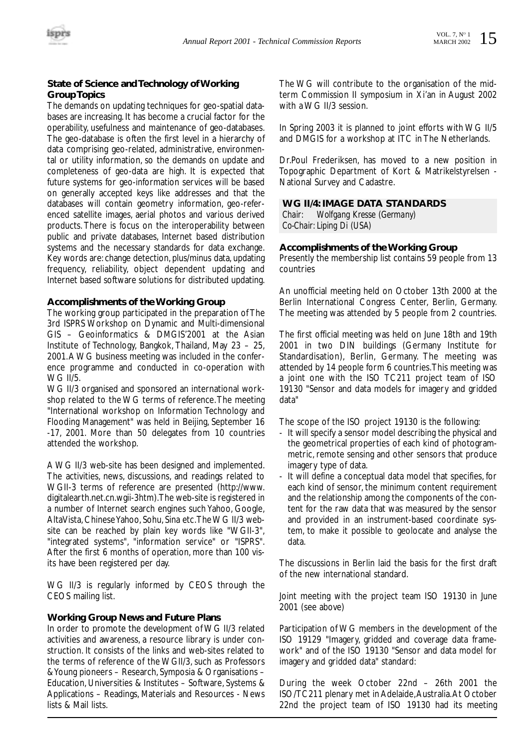#### **State of Science and Technology of Working Group Topics**

The demands on updating techniques for geo-spatial databases are increasing. It has become a crucial factor for the operability, usefulness and maintenance of geo-databases. The geo-database is often the first level in a hierarchy of data comprising geo-related, administrative, environmental or utility information, so the demands on update and completeness of geo-data are high. It is expected that future systems for geo-information services will be based on generally accepted keys like addresses and that the databases will contain geometry information, geo-referenced satellite images, aerial photos and various derived products. There is focus on the interoperability between public and private databases, Internet based distribution systems and the necessary standards for data exchange. Key words are: change detection, plus/minus data, updating frequency, reliability, object dependent updating and Internet based software solutions for distributed updating.

#### **Accomplishments of the Working Group**

The working group participated in the preparation of The 3rd ISPRS Workshop on Dynamic and Multi-dimensional GIS – Geoinformatics & DMGIS'2001 at the Asian Institute of Technology, Bangkok, Thailand, May 23 – 25, 2001.A WG business meeting was included in the conference programme and conducted in co-operation with WG II/5.

WG II/3 organised and sponsored an international workshop related to the WG terms of reference.The meeting "International workshop on Information Technology and Flooding Management" was held in Beijing, September 16 -17, 2001. More than 50 delegates from 10 countries attended the workshop.

A WG II/3 web-site has been designed and implemented. The activities, news, discussions, and readings related to WGII-3 terms of reference are presented (http://www. digitalearth.net.cn.wgii-3htm).The web-site is registered in a number of Internet search engines such Yahoo, Google, AltaVista, Chinese Yahoo, Sohu, Sina etc.The WG II/3 website can be reached by plain key words like "WGII-3", "integrated systems", "information service" or "ISPRS". After the first 6 months of operation, more than 100 visits have been registered per day.

WG II/3 is regularly informed by CEOS through the CEOS mailing list.

#### **Working Group News and Future Plans**

In order to promote the development of WG II/3 related activities and awareness, a resource library is under construction. It consists of the links and web-sites related to the terms of reference of the WGII/3, such as Professors & Young pioneers – Research, Symposia & Organisations – Education, Universities & Institutes – Software, Systems & Applications – Readings, Materials and Resources - News lists & Mail lists.

The WG will contribute to the organisation of the midterm Commission II symposium in Xi'an in August 2002 with a WG II/3 session.

In Spring 2003 it is planned to joint efforts with WG II/5 and DMGIS for a workshop at ITC in The Netherlands.

Dr.Poul Frederiksen, has moved to a new position in Topographic Department of Kort & Matrikelstyrelsen - National Survey and Cadastre.

#### **WG II/4: IMAGE DATA STANDARDS**

*Chair: Wolfgang Kresse (Germany) Co-Chair: Liping Di (USA)*

#### **Accomplishments of the Working Group**

Presently the membership list contains 59 people from 13 countries

An unofficial meeting held on October 13th 2000 at the Berlin International Congress Center, Berlin, Germany. The meeting was attended by 5 people from 2 countries.

The first official meeting was held on June 18th and 19th 2001 in two DIN buildings (Germany Institute for Standardisation), Berlin, Germany. The meeting was attended by 14 people form 6 countries.This meeting was a joint one with the ISO TC211 project team of ISO 19130 "Sensor and data models for imagery and gridded data"

The scope of the ISO project 19130 is the following:

- It will specify a sensor model describing the physical and the geometrical properties of each kind of photogrammetric, remote sensing and other sensors that produce imagery type of data.
- It will define a conceptual data model that specifies, for each kind of sensor, the minimum content requirement and the relationship among the components of the content for the raw data that was measured by the sensor and provided in an instrument-based coordinate system, to make it possible to geolocate and analyse the data.

The discussions in Berlin laid the basis for the first draft of the new international standard.

Joint meeting with the project team ISO 19130 in June 2001 (see above)

Participation of WG members in the development of the ISO 19129 "Imagery, gridded and coverage data framework" and of the ISO 19130 "Sensor and data model for imagery and gridded data" standard:

During the week October 22nd – 26th 2001 the ISO/TC211 plenary met in Adelaide,Australia.At October 22nd the project team of ISO 19130 had its meeting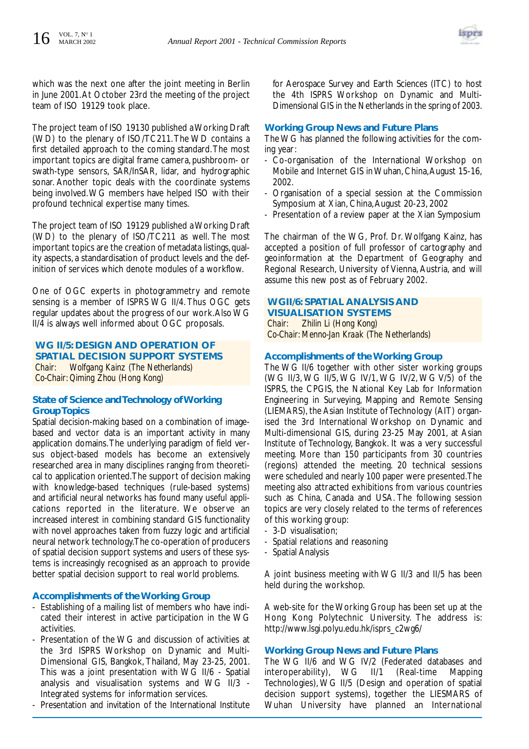

which was the next one after the joint meeting in Berlin in June 2001.At October 23rd the meeting of the project team of ISO 19129 took place.

The project team of ISO 19130 published a Working Draft (WD) to the plenary of ISO/TC211.The WD contains a first detailed approach to the coming standard.The most important topics are digital frame camera, pushbroom- or swath-type sensors, SAR/InSAR, lidar, and hydrographic sonar. Another topic deals with the coordinate systems being involved.WG members have helped ISO with their profound technical expertise many times.

The project team of ISO 19129 published a Working Draft (WD) to the plenary of ISO/TC211 as well. The most important topics are the creation of metadata listings,quality aspects, a standardisation of product levels and the definition of services which denote modules of a workflow.

One of OGC experts in photogrammetry and remote sensing is a member of ISPRS WG II/4. Thus OGC gets regular updates about the progress of our work.Also WG II/4 is always well informed about OGC proposals.

**WG II/5: DESIGN AND OPERATION OF SPATIAL DECISION SUPPORT SYSTEMS** *Chair: Wolfgang Kainz (The Netherlands) Co-Chair: Qiming Zhou (Hong Kong)*

#### **State of Science and Technology of Working Group Topics**

Spatial decision-making based on a combination of imagebased and vector data is an important activity in many application domains.The underlying paradigm of field versus object-based models has become an extensively researched area in many disciplines ranging from theoretical to application oriented.The support of decision making with knowledge-based techniques (rule-based systems) and artificial neural networks has found many useful applications reported in the literature. We observe an increased interest in combining standard GIS functionality with novel approaches taken from fuzzy logic and artificial neural network technology.The co-operation of producers of spatial decision support systems and users of these systems is increasingly recognised as an approach to provide better spatial decision support to real world problems.

#### **Accomplishments of the Working Group**

- Establishing of a mailing list of members who have indicated their interest in active participation in the WG activities.
- Presentation of the WG and discussion of activities at the 3rd ISPRS Workshop on Dynamic and Multi-Dimensional GIS, Bangkok, Thailand, May 23-25, 2001. This was a joint presentation with WG II/6 - Spatial analysis and visualisation systems and WG II/3 - Integrated systems for information services.
- Presentation and invitation of the International Institute

for Aerospace Survey and Earth Sciences (ITC) to host the 4th ISPRS Workshop on Dynamic and Multi-Dimensional GIS in the Netherlands in the spring of 2003.

#### **Working Group News and Future Plans**

The WG has planned the following activities for the coming year:

- Co-organisation of the International Workshop on Mobile and Internet GIS in Wuhan, China, August 15-16, 2002.
- Organisation of a special session at the Commission Symposium at Xian, China,August 20-23, 2002
- Presentation of a review paper at the Xian Symposium

The chairman of the WG, Prof. Dr. Wolfgang Kainz, has accepted a position of full professor of cartography and geoinformation at the Department of Geography and Regional Research, University of Vienna, Austria, and will assume this new post as of February 2002.

#### **WGII/6: SPATIAL ANALYSIS AND VISUALISATION SYSTEMS**

*Chair: Zhilin Li (Hong Kong) Co-Chair: Menno-Jan Kraak (The Netherlands)*

#### **Accomplishments of the Working Group**

The WG II/6 together with other sister working groups (WG II/3, WG II/5, WG IV/1, WG IV/2, WG V/5) of the ISPRS, the CPGIS, the National Key Lab for Information Engineering in Surveying, Mapping and Remote Sensing (LIEMARS), the Asian Institute of Technology (AIT) organised the 3rd International Workshop on Dynamic and Multi-dimensional GIS, during 23-25 May 2001, at Asian Institute of Technology, Bangkok. It was a very successful meeting. More than 150 participants from 30 countries (regions) attended the meeting. 20 technical sessions were scheduled and nearly 100 paper were presented.The meeting also attracted exhibitions from various countries such as China, Canada and USA. The following session topics are very closely related to the terms of references of this working group:

- 3-D visualisation;
- Spatial relations and reasoning
- Spatial Analysis

A joint business meeting with WG II/3 and II/5 has been held during the workshop.

A web-site for the Working Group has been set up at the Hong Kong Polytechnic University. The address is: http://www.lsgi.polyu.edu.hk/isprs\_c2wg6/

#### **Working Group News and Future Plans**

The WG II/6 and WG IV/2 (Federated databases and interoperability), WG II/1 (Real-time Mapping Technologies), WG II/5 (Design and operation of spatial decision support systems), together the LIESMARS of Wuhan University have planned an International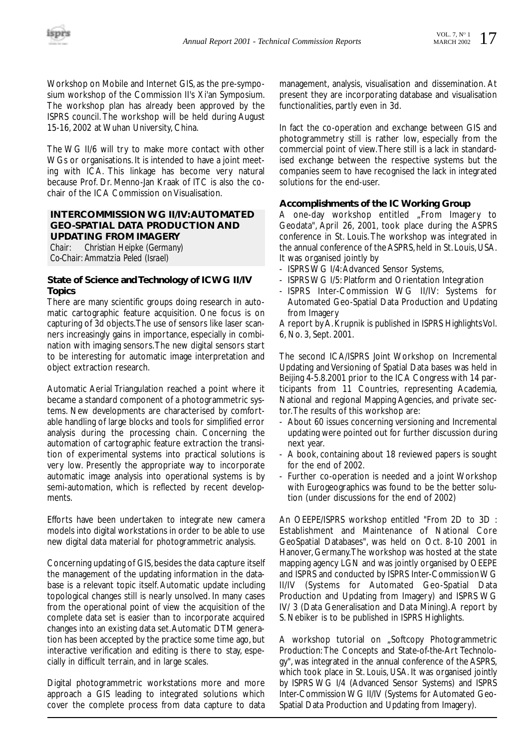Workshop on Mobile and Internet GIS, as the pre-symposium workshop of the Commission II's Xi'an Symposium. The workshop plan has already been approved by the ISPRS council. The workshop will be held during August 15-16, 2002 at Wuhan University, China.

The WG II/6 will try to make more contact with other WGs or organisations. It is intended to have a joint meeting with ICA. This linkage has become very natural because Prof. Dr. Menno-Jan Kraak of ITC is also the cochair of the ICA Commission on Visualisation.

#### **INTERCOMMISSION WG II/IV:AUTOMATED GEO-SPATIAL DATA PRODUCTION AND UPDATING FROM IMAGERY**

*Chair: Christian Heipke (Germany) Co-Chair: Ammatzia Peled (Israel)*

#### **State of Science and Technology of ICWG II/IV Topics**

There are many scientific groups doing research in automatic cartographic feature acquisition. One focus is on capturing of 3d objects.The use of sensors like laser scanners increasingly gains in importance, especially in combination with imaging sensors.The new digital sensors start to be interesting for automatic image interpretation and object extraction research.

Automatic Aerial Triangulation reached a point where it became a standard component of a photogrammetric systems. New developments are characterised by comfortable handling of large blocks and tools for simplified error analysis during the processing chain. Concerning the automation of cartographic feature extraction the transition of experimental systems into practical solutions is very low. Presently the appropriate way to incorporate automatic image analysis into operational systems is by semi-automation, which is reflected by recent developments.

Efforts have been undertaken to integrate new camera models into digital workstations in order to be able to use new digital data material for photogrammetric analysis.

Concerning updating of GIS, besides the data capture itself the management of the updating information in the database is a relevant topic itself. Automatic update including topological changes still is nearly unsolved. In many cases from the operational point of view the acquisition of the complete data set is easier than to incorporate acquired changes into an existing data set.Automatic DTM generation has been accepted by the practice some time ago, but interactive verification and editing is there to stay, especially in difficult terrain, and in large scales.

Digital photogrammetric workstations more and more approach a GIS leading to integrated solutions which cover the complete process from data capture to data management, analysis, visualisation and dissemination. At present they are incorporating database and visualisation functionalities, partly even in 3d.

In fact the co-operation and exchange between GIS and photogrammetry still is rather low, especially from the commercial point of view.There still is a lack in standardised exchange between the respective systems but the companies seem to have recognised the lack in integrated solutions for the end-user.

#### **Accomplishments of the IC Working Group**

A one-day workshop entitled "From Imagery to Geodata", April 26, 2001, took place during the ASPRS conference in St. Louis. The workshop was integrated in the annual conference of the ASPRS, held in St. Louis, USA. It was organised jointly by

- ISPRS WG I/4:Advanced Sensor Systems,
- ISPRS WG I/5: Platform and Orientation Integration
- ISPRS Inter-Commission WG II/IV: Systems for Automated Geo-Spatial Data Production and Updating from Imagery

A report by A. Krupnik is published in ISPRS Highlights Vol. 6, No. 3, Sept. 2001.

The second ICA/ISPRS Joint Workshop on Incremental Updating and Versioning of Spatial Data bases was held in Beijing 4-5.8.2001 prior to the ICA Congress with 14 participants from 11 Countries, representing Academia, National and regional Mapping Agencies, and private sector.The results of this workshop are:

- About 60 issues concerning versioning and Incremental updating were pointed out for further discussion during next year.
- A book, containing about 18 reviewed papers is sought for the end of 2002.
- Further co-operation is needed and a joint Workshop with Eurogeographics was found to be the better solution (under discussions for the end of 2002)

An OEEPE/ISPRS workshop entitled "From 2D to 3D : Establishment and Maintenance of National Core GeoSpatial Databases", was held on Oct. 8-10 2001 in Hanover, Germany.The workshop was hosted at the state mapping agency LGN and was jointly organised by OEEPE and ISPRS and conducted by ISPRS Inter-Commission WG II/IV (Systems for Automated Geo-Spatial Data Production and Updating from Imagery) and ISPRS WG IV/ 3 (Data Generalisation and Data Mining).A report by S. Nebiker is to be published in ISPRS Highlights.

A workshop tutorial on "Softcopy Photogrammetric Production: The Concepts and State-of-the-Art Technology", was integrated in the annual conference of the ASPRS, which took place in St. Louis, USA. It was organised jointly by ISPRS WG I/4 (Advanced Sensor Systems) and ISPRS Inter-Commission WG II/IV (Systems for Automated Geo-Spatial Data Production and Updating from Imagery).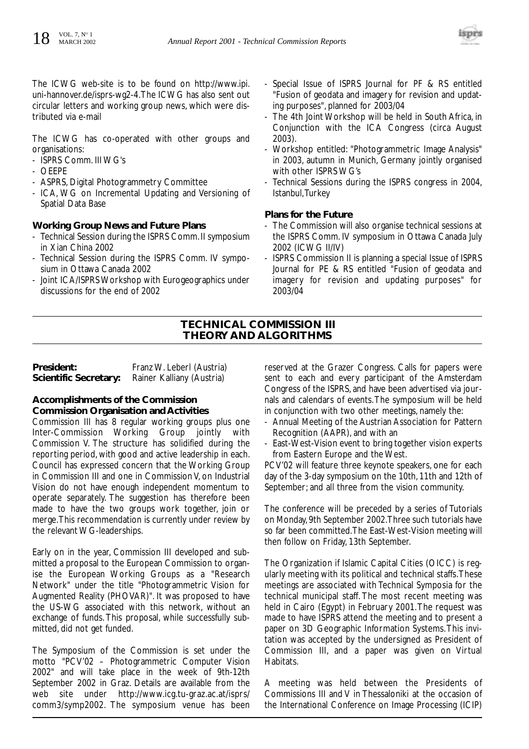

The ICWG web-site is to be found on http://www.ipi. uni-hannover.de/isprs-wg2-4.The ICWG has also sent out circular letters and working group news, which were distributed via e-mail

The ICWG has co-operated with other groups and organisations:

- ISPRS Comm. III WG's
- OEEPE
- ASPRS, Digital Photogrammetry Committee
- ICA, WG on Incremental Updating and Versioning of Spatial Data Base

#### **Working Group News and Future Plans**

- Technical Session during the ISPRS Comm. II symposium in Xian China 2002
- Technical Session during the ISPRS Comm. IV symposium in Ottawa Canada 2002
- Joint ICA/ISPRS Workshop with Eurogeographics under discussions for the end of 2002
- Special Issue of ISPRS Journal for PF & RS entitled "Fusion of geodata and imagery for revision and updating purposes", planned for 2003/04
- The 4th Joint Workshop will be held in South Africa, in Conjunction with the ICA Congress (circa August 2003).
- Workshop entitled: "Photogrammetric Image Analysis" in 2003, autumn in Munich, Germany jointly organised with other ISPRS WG's
- Technical Sessions during the ISPRS congress in 2004, Istanbul,Turkey

#### **Plans for the Future**

- The Commission will also organise technical sessions at the ISPRS Comm. IV symposium in Ottawa Canada July 2002 (ICWG II/IV)
- ISPRS Commission II is planning a special Issue of ISPRS Journal for PE & RS entitled "Fusion of geodata and imagery for revision and updating purposes" for 2003/04

#### **TECHNICAL COMMISSION III THEORY AND ALGORITHMS**

| President:            | Franz W. Leberl (Austria) |
|-----------------------|---------------------------|
| Scientific Secretary: | Rainer Kalliany (Austria) |

#### **Accomplishments of the Commission Commission Organisation and Activities**

Commission III has 8 regular working groups plus one Inter-Commission Working Group jointly with Commission V. The structure has solidified during the reporting period, with good and active leadership in each. Council has expressed concern that the Working Group in Commission III and one in Commission V, on Industrial Vision do not have enough independent momentum to operate separately. The suggestion has therefore been made to have the two groups work together, join or merge.This recommendation is currently under review by the relevant WG-leaderships.

Early on in the year, Commission III developed and submitted a proposal to the European Commission to organise the European Working Groups as a "Research Network" under the title "Photogrammetric Vision for Augmented Reality (PHOVAR)". It was proposed to have the US-WG associated with this network, without an exchange of funds. This proposal, while successfully submitted, did not get funded.

The Symposium of the Commission is set under the motto "PCV'02 – Photogrammetric Computer Vision 2002" and will take place in the week of 9th-12th September 2002 in Graz. Details are available from the web site under http://www.icg.tu-graz.ac.at/isprs/ comm3/symp2002. The symposium venue has been reserved at the Grazer Congress. Calls for papers were sent to each and every participant of the Amsterdam Congress of the ISPRS, and have been advertised via journals and calendars of events.The symposium will be held in conjunction with two other meetings, namely the:

- Annual Meeting of the Austrian Association for Pattern Recognition (AAPR), and with an
- East-West-Vision event to bring together vision experts from Eastern Europe and the West.

PCV'02 will feature three keynote speakers, one for each day of the 3-day symposium on the 10th, 11th and 12th of September; and all three from the vision community.

The conference will be preceded by a series of Tutorials on Monday, 9th September 2002.Three such tutorials have so far been committed.The East-West-Vision meeting will then follow on Friday, 13th September.

The Organization if Islamic Capital Cities (OICC) is regularly meeting with its political and technical staffs.These meetings are associated with Technical Symposia for the technical municipal staff. The most recent meeting was held in Cairo (Egypt) in February 2001.The request was made to have ISPRS attend the meeting and to present a paper on 3D Geographic Information Systems.This invitation was accepted by the undersigned as President of Commission III, and a paper was given on Virtual Habitats.

A meeting was held between the Presidents of Commissions III and V in Thessaloniki at the occasion of the International Conference on Image Processing (ICIP)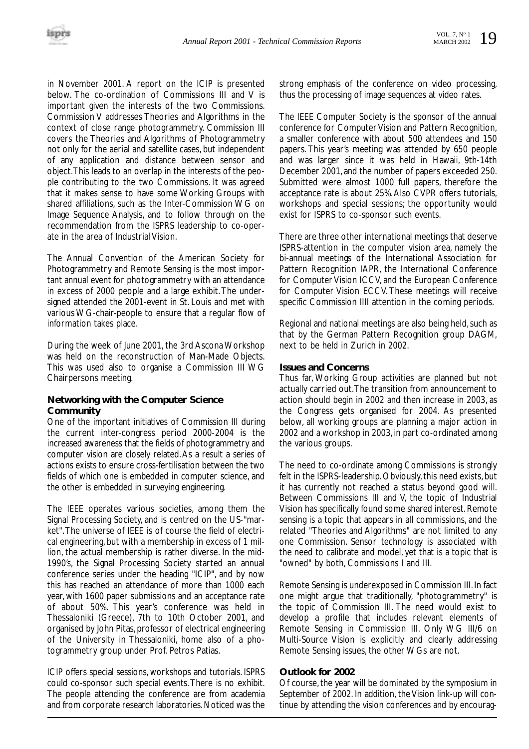in November 2001. A report on the ICIP is presented below. The co-ordination of Commissions III and V is important given the interests of the two Commissions. Commission V addresses Theories and Algorithms in the context of close range photogrammetry. Commission III covers the Theories and Algorithms of Photogrammetry not only for the aerial and satellite cases, but independent of any application and distance between sensor and object.This leads to an overlap in the interests of the people contributing to the two Commissions. It was agreed that it makes sense to have some Working Groups with shared affiliations, such as the Inter-Commission WG on Image Sequence Analysis, and to follow through on the recommendation from the ISPRS leadership to co-operate in the area of Industrial Vision.

The Annual Convention of the American Society for Photogrammetry and Remote Sensing is the most important annual event for photogrammetry with an attendance in excess of 2000 people and a large exhibit.The undersigned attended the 2001-event in St. Louis and met with various WG-chair-people to ensure that a regular flow of information takes place.

During the week of June 2001, the 3rd Ascona Workshop was held on the reconstruction of Man-Made Objects. This was used also to organise a Commission III WG Chairpersons meeting.

#### **Networking with the Computer Science Community**

One of the important initiatives of Commission III during the current inter-congress period 2000-2004 is the increased awareness that the fields of photogrammetry and computer vision are closely related.As a result a series of actions exists to ensure cross-fertilisation between the two fields of which one is embedded in computer science, and the other is embedded in surveying engineering.

The IEEE operates various societies, among them the Signal Processing Society, and is centred on the US-"market".The universe of IEEE is of course the field of electrical engineering, but with a membership in excess of 1 million, the actual membership is rather diverse. In the mid-1990's, the Signal Processing Society started an annual conference series under the heading "ICIP", and by now this has reached an attendance of more than 1000 each year, with 1600 paper submissions and an acceptance rate of about 50%. This year's conference was held in Thessaloniki (Greece), 7th to 10th October 2001, and organised by John Pitas, professor of electrical engineering of the University in Thessaloniki, home also of a photogrammetry group under Prof. Petros Patias.

ICIP offers special sessions, workshops and tutorials. ISPRS could co-sponsor such special events.There is no exhibit. The people attending the conference are from academia and from corporate research laboratories.Noticed was the strong emphasis of the conference on video processing, thus the processing of image sequences at video rates.

The IEEE Computer Society is the sponsor of the annual conference for Computer Vision and Pattern Recognition, a smaller conference with about 500 attendees and 150 papers. This year's meeting was attended by 650 people and was larger since it was held in Hawaii, 9th-14th December 2001, and the number of papers exceeded 250. Submitted were almost 1000 full papers, therefore the acceptance rate is about 25%.Also CVPR offers tutorials, workshops and special sessions; the opportunity would exist for ISPRS to co-sponsor such events.

There are three other international meetings that deserve ISPRS-attention in the computer vision area, namely the bi-annual meetings of the International Association for Pattern Recognition IAPR, the International Conference for Computer Vision ICCV, and the European Conference for Computer Vision ECCV. These meetings will receive specific Commission IIII attention in the coming periods.

Regional and national meetings are also being held, such as that by the German Pattern Recognition group DAGM, next to be held in Zurich in 2002.

#### **Issues and Concerns**

Thus far, Working Group activities are planned but not actually carried out.The transition from announcement to action should begin in 2002 and then increase in 2003, as the Congress gets organised for 2004. As presented below, all working groups are planning a major action in 2002 and a workshop in 2003, in part co-ordinated among the various groups.

The need to co-ordinate among Commissions is strongly felt in the ISPRS-leadership. Obviously, this need exists, but it has currently not reached a status beyond good will. Between Commissions III and V, the topic of Industrial Vision has specifically found some shared interest. Remote sensing is a topic that appears in all commissions, and the related "Theories and Algorithms" are not limited to any one Commission. Sensor technology is associated with the need to calibrate and model, yet that is a topic that is "owned" by both, Commissions I and III.

Remote Sensing is underexposed in Commission III. In fact one might argue that traditionally, "photogrammetry" is the topic of Commission III. The need would exist to develop a profile that includes relevant elements of Remote Sensing in Commission III. Only WG III/6 on Multi-Source Vision is explicitly and clearly addressing Remote Sensing issues, the other WGs are not.

#### **Outlook for 2002**

Of course, the year will be dominated by the symposium in September of 2002. In addition, the Vision link-up will continue by attending the vision conferences and by encourag-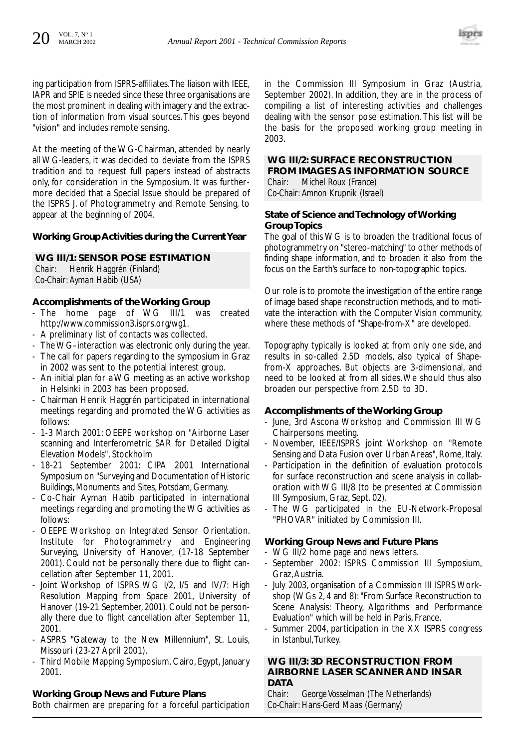

ing participation from ISPRS-affiliates.The liaison with IEEE, IAPR and SPIE is needed since these three organisations are the most prominent in dealing with imagery and the extraction of information from visual sources.This goes beyond "vision" and includes remote sensing.

At the meeting of the WG-Chairman, attended by nearly all WG-leaders, it was decided to deviate from the ISPRS tradition and to request full papers instead of abstracts only, for consideration in the Symposium. It was furthermore decided that a Special Issue should be prepared of the ISPRS J. of Photogrammetry and Remote Sensing, to appear at the beginning of 2004.

#### **Working Group Activities during the Current Year**

#### **WG III/1: SENSOR POSE ESTIMATION**

*Chair: Henrik Haggrén (Finland) Co-Chair: Ayman Habib (USA)*

#### **Accomplishments of the Working Group**

- The home page of WG III/1 was created http://www.commission3.isprs.org/wg1.
- A preliminary list of contacts was collected.
- The WG–interaction was electronic only during the year.
- The call for papers regarding to the symposium in Graz in 2002 was sent to the potential interest group.
- An initial plan for a WG meeting as an active workshop in Helsinki in 2003 has been proposed.
- Chairman Henrik Haggrén participated in international meetings regarding and promoted the WG activities as follows:
- 1-3 March 2001: OEEPE workshop on "Airborne Laser scanning and Interferometric SAR for Detailed Digital Elevation Models", Stockholm
- 18-21 September 2001: CIPA 2001 International Symposium on "Surveying and Documentation of Historic Buildings, Monuments and Sites, Potsdam, Germany.
- Co-Chair Ayman Habib participated in international meetings regarding and promoting the WG activities as follows:
- OEEPE Workshop on Integrated Sensor Orientation. Institute for Photogrammetry and Engineering Surveying, University of Hanover, (17-18 September 2001). Could not be personally there due to flight cancellation after September 11, 2001.
- Joint Workshop of ISPRS WG I/2, I/5 and IV/7: High Resolution Mapping from Space 2001, University of Hanover (19-21 September, 2001). Could not be personally there due to flight cancellation after September 11, 2001.
- ASPRS "Gateway to the New Millennium", St. Louis, Missouri (23-27 April 2001).
- Third Mobile Mapping Symposium, Cairo, Egypt, January 2001.

#### **Working Group News and Future Plans**

Both chairmen are preparing for a forceful participation

in the Commission III Symposium in Graz (Austria, September 2002). In addition, they are in the process of compiling a list of interesting activities and challenges dealing with the sensor pose estimation.This list will be the basis for the proposed working group meeting in 2003.

### **WG III/2: SURFACE RECONSTRUCTION FROM IMAGES AS INFORMATION SOURCE**

*Chair: Michel Roux (France) Co-Chair: Amnon Krupnik (Israel)*

#### **State of Science and Technology of Working Group Topics**

The goal of this WG is to broaden the traditional focus of photogrammetry on "stereo-matching" to other methods of finding shape information, and to broaden it also from the focus on the Earth's surface to non-topographic topics.

Our role is to promote the investigation of the entire range of image based shape reconstruction methods, and to motivate the interaction with the Computer Vision community, where these methods of "Shape-from-X" are developed.

Topography typically is looked at from only one side, and results in so-called 2.5D models, also typical of Shapefrom-X approaches. But objects are 3-dimensional, and need to be looked at from all sides.We should thus also broaden our perspective from 2.5D to 3D.

#### **Accomplishments of the Working Group**

- June, 3rd Ascona Workshop and Commission III WG Chairpersons meeting.
- November, IEEE/ISPRS joint Workshop on "Remote Sensing and Data Fusion over Urban Areas", Rome, Italy.
- Participation in the definition of evaluation protocols for surface reconstruction and scene analysis in collaboration with WG III/8 (to be presented at Commission III Symposium, Graz, Sept. 02).
- The WG participated in the EU-Network-Proposal "PHOVAR" initiated by Commission III.

#### **Working Group News and Future Plans**

- WG III/2 home page and news letters.
- September 2002: ISPRS Commission III Symposium, Graz,Austria.
- July 2003, organisation of a Commission III ISPRS Workshop (WGs 2, 4 and 8): "From Surface Reconstruction to Scene Analysis: Theory, Algorithms and Performance Evaluation" which will be held in Paris, France.
- Summer 2004, participation in the XX ISPRS congress in Istanbul,Turkey.

#### **WG III/3: 3D RECONSTRUCTION FROM AIRBORNE LASER SCANNER AND INSAR DATA**

*Chair: George Vosselman (The Netherlands) Co-Chair: Hans-Gerd Maas (Germany)*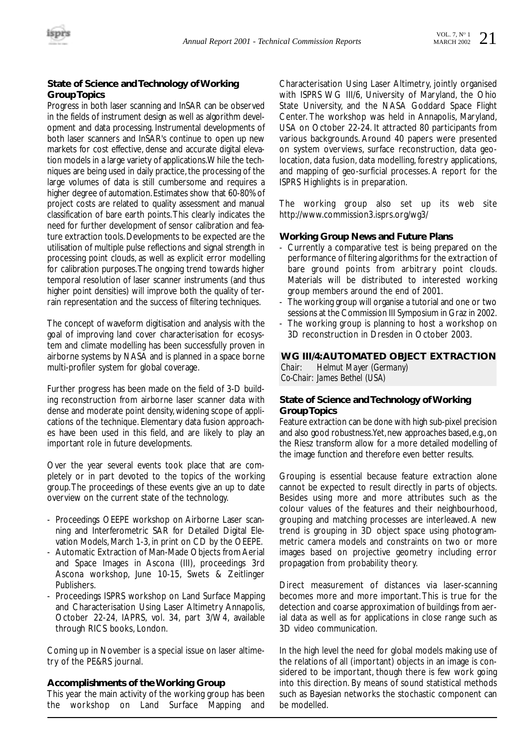

#### **State of Science and Technology of Working Group Topics**

Progress in both laser scanning and InSAR can be observed in the fields of instrument design as well as algorithm development and data processing. Instrumental developments of both laser scanners and InSAR's continue to open up new markets for cost effective, dense and accurate digital elevation models in a large variety of applications.While the techniques are being used in daily practice, the processing of the large volumes of data is still cumbersome and requires a higher degree of automation.Estimates show that 60-80% of project costs are related to quality assessment and manual classification of bare earth points.This clearly indicates the need for further development of sensor calibration and feature extraction tools.Developments to be expected are the utilisation of multiple pulse reflections and signal strength in processing point clouds, as well as explicit error modelling for calibration purposes.The ongoing trend towards higher temporal resolution of laser scanner instruments (and thus higher point densities) will improve both the quality of terrain representation and the success of filtering techniques.

The concept of waveform digitisation and analysis with the goal of improving land cover characterisation for ecosystem and climate modelling has been successfully proven in airborne systems by NASA and is planned in a space borne multi-profiler system for global coverage.

Further progress has been made on the field of 3-D building reconstruction from airborne laser scanner data with dense and moderate point density, widening scope of applications of the technique. Elementary data fusion approaches have been used in this field, and are likely to play an important role in future developments.

Over the year several events took place that are completely or in part devoted to the topics of the working group.The proceedings of these events give an up to date overview on the current state of the technology.

- Proceedings OEEPE workshop on Airborne Laser scanning and Interferometric SAR for Detailed Digital Elevation Models, March 1-3, in print on CD by the OEEPE.
- Automatic Extraction of Man-Made Objects from Aerial and Space Images in Ascona (III), proceedings 3rd Ascona workshop, June 10-15, Swets & Zeitlinger Publishers.
- Proceedings ISPRS workshop on Land Surface Mapping and Characterisation Using Laser Altimetry Annapolis, October 22-24, IAPRS, vol. 34, part 3/W4, available through RICS books, London.

Coming up in November is a special issue on laser altimetry of the PE&RS journal.

#### **Accomplishments of the Working Group**

This year the main activity of the working group has been the workshop on Land Surface Mapping and

Characterisation Using Laser Altimetry, jointly organised with ISPRS WG III/6, University of Maryland, the Ohio State University, and the NASA Goddard Space Flight Center. The workshop was held in Annapolis, Maryland, USA on October 22-24. It attracted 80 participants from various backgrounds. Around 40 papers were presented on system overviews, surface reconstruction, data geolocation, data fusion, data modelling, forestry applications, and mapping of geo-surficial processes. A report for the ISPRS Highlights is in preparation.

The working group also set up its web site http://www.commission3.isprs.org/wg3/

#### **Working Group News and Future Plans**

- Currently a comparative test is being prepared on the performance of filtering algorithms for the extraction of bare ground points from arbitrary point clouds. Materials will be distributed to interested working group members around the end of 2001.
- The working group will organise a tutorial and one or two sessions at the Commission III Symposium in Graz in 2002.
- The working group is planning to host a workshop on 3D reconstruction in Dresden in October 2003.

#### **WG III/4:AUTOMATED OBJECT EXTRACTION**

*Chair: Helmut Mayer (Germany) Co-Chair: James Bethel (USA)*

#### **State of Science and Technology of Working Group Topics**

Feature extraction can be done with high sub-pixel precision and also good robustness. Yet, new approaches based, e.g., on the Riesz transform allow for a more detailed modelling of the image function and therefore even better results.

Grouping is essential because feature extraction alone cannot be expected to result directly in parts of objects. Besides using more and more attributes such as the colour values of the features and their neighbourhood, grouping and matching processes are interleaved. A new trend is grouping in 3D object space using photogrammetric camera models and constraints on two or more images based on projective geometry including error propagation from probability theory.

Direct measurement of distances via laser-scanning becomes more and more important. This is true for the detection and coarse approximation of buildings from aerial data as well as for applications in close range such as 3D video communication.

In the high level the need for global models making use of the relations of all (important) objects in an image is considered to be important, though there is few work going into this direction. By means of sound statistical methods such as Bayesian networks the stochastic component can be modelled.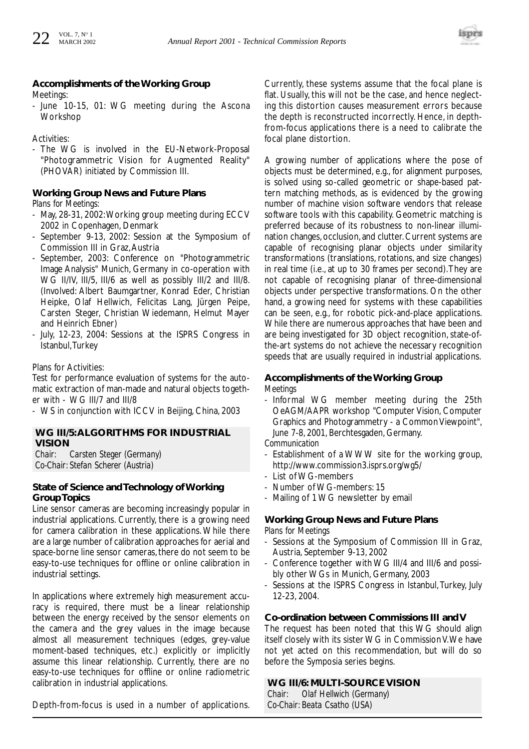#### **Accomplishments of the Working Group** Meetings:

- June 10-15, 01: WG meeting during the Ascona Workshop

Activities:

The WG is involved in the EU-Network-Proposal "Photogrammetric Vision for Augmented Reality" (PHOVAR) initiated by Commission III.

#### **Working Group News and Future Plans**

*Plans for Meetings:*

- May, 28-31, 2002:Working group meeting during ECCV 2002 in Copenhagen, Denmark
- September 9-13, 2002: Session at the Symposium of Commission III in Graz,Austria
- September, 2003: Conference on "Photogrammetric Image Analysis" Munich, Germany in co-operation with WG II/IV, III/5, III/6 as well as possibly III/2 and III/8. (Involved: Albert Baumgartner, Konrad Eder, Christian Heipke, Olaf Hellwich, Felicitas Lang, Jürgen Peipe, Carsten Steger, Christian Wiedemann, Helmut Mayer and Heinrich Ebner)
- July, 12-23, 2004: Sessions at the ISPRS Congress in Istanbul,Turkey

Plans for Activities:

Test for performance evaluation of systems for the automatic extraction of man-made and natural objects together with - WG III/7 and III/8

- WS in conjunction with ICCV in Beijing, China, 2003

#### **WG III/5:ALGORITHMS FOR INDUSTRIAL VISION**

*Chair: Carsten Steger (Germany) Co-Chair: Stefan Scherer (Austria)*

#### **State of Science and Technology of Working Group Topics**

Line sensor cameras are becoming increasingly popular in industrial applications. Currently, there is a growing need for camera calibration in these applications. While there are a large number of calibration approaches for aerial and space-borne line sensor cameras, there do not seem to be easy-to-use techniques for offline or online calibration in industrial settings.

In applications where extremely high measurement accuracy is required, there must be a linear relationship between the energy received by the sensor elements on the camera and the grey values in the image because almost all measurement techniques (edges, grey-value moment-based techniques, etc.) explicitly or implicitly assume this linear relationship. Currently, there are no easy-to-use techniques for offline or online radiometric calibration in industrial applications.

Depth-from-focus is used in a number of applications.

Currently, these systems assume that the focal plane is flat. Usually, this will not be the case, and hence neglecting this distortion causes measurement errors because the depth is reconstructed incorrectly. Hence, in depthfrom-focus applications there is a need to calibrate the focal plane distortion.

A growing number of applications where the pose of objects must be determined, e.g., for alignment purposes, is solved using so-called geometric or shape-based pattern matching methods, as is evidenced by the growing number of machine vision software vendors that release software tools with this capability. Geometric matching is preferred because of its robustness to non-linear illumination changes, occlusion, and clutter. Current systems are capable of recognising planar objects under similarity transformations (translations, rotations, and size changes) in real time (i.e., at up to 30 frames per second).They are not capable of recognising planar of three-dimensional objects under perspective transformations. On the other hand, a growing need for systems with these capabilities can be seen, e.g., for robotic pick-and-place applications. While there are numerous approaches that have been and are being investigated for 3D object recognition, state-ofthe-art systems do not achieve the necessary recognition speeds that are usually required in industrial applications.

#### **Accomplishments of the Working Group** *Meetings*

Informal WG member meeting during the 25th OeAGM/AAPR workshop "Computer Vision, Computer Graphics and Photogrammetry - a Common Viewpoint", June 7-8, 2001, Berchtesgaden, Germany.

*Communication*

- Establishment of a WWW site for the working group, http://www.commission3.isprs.org/wg5/
- List of WG-members
- Number of WG-members: 15
- Mailing of 1 WG newsletter by email

#### **Working Group News and Future Plans** *Plans for Meetings*

- Sessions at the Symposium of Commission III in Graz, Austria, September 9-13, 2002
- Conference together with WG III/4 and III/6 and possibly other WGs in Munich, Germany, 2003
- Sessions at the ISPRS Congress in Istanbul, Turkey, July 12-23, 2004.

#### **Co-ordination between Commissions III and V**

The request has been noted that this WG should align itself closely with its sister WG in Commission V.We have not yet acted on this recommendation, but will do so before the Symposia series begins.

#### **WG III/6: MULTI-SOURCE VISION**

*Chair: Olaf Hellwich (Germany) Co-Chair: Beata Csatho (USA)*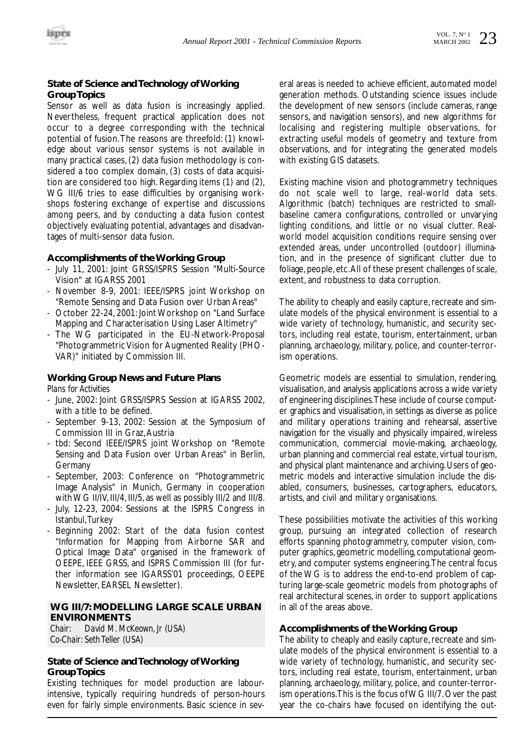#### **State of Science and Technology of Working Group Topics**

Sensor as well as data fusion is increasingly applied. Nevertheless, frequent practical application does not occur to a degree corresponding with the technical potential of fusion.The reasons are threefold: (1) knowledge about various sensor systems is not available in many practical cases, (2) data fusion methodology is considered a too complex domain, (3) costs of data acquisition are considered too high. Regarding items (1) and (2), WG III/6 tries to ease difficulties by organising workshops fostering exchange of expertise and discussions among peers, and by conducting a data fusion contest objectively evaluating potential, advantages and disadvantages of multi-sensor data fusion.

#### **Accomplishments of the Working Group**

- July 11, 2001: Joint GRSS/ISPRS Session "Multi-Source Vision" at IGARSS 2001
- November 8-9, 2001: IEEE/ISPRS joint Workshop on "Remote Sensing and Data Fusion over Urban Areas"
- October 22-24, 2001: Joint Workshop on "Land Surface Mapping and Characterisation Using Laser Altimetry"
- The WG participated in the EU-Network-Proposal "Photogrammetric Vision for Augmented Reality (PHO-VAR)" initiated by Commission III.

#### **Working Group News and Future Plans** *Plans for Activities*

- June, 2002: Joint GRSS/ISPRS Session at IGARSS 2002, with a title to be defined.
- September 9-13, 2002: Session at the Symposium of Commission III in Graz,Austria
- tbd: Second IEEE/ISPRS joint Workshop on "Remote Sensing and Data Fusion over Urban Areas" in Berlin, Germany
- September, 2003: Conference on "Photogrammetric Image Analysis" in Munich, Germany in cooperation with WG II/IV, III/4, III/5, as well as possibly III/2 and III/8.
- July, 12-23, 2004: Sessions at the ISPRS Congress in Istanbul,Turkey
- Beginning 2002: Start of the data fusion contest "Information for Mapping from Airborne SAR and Optical Image Data" organised in the framework of OEEPE, IEEE GRSS, and ISPRS Commission III (for further information see IGARSS'01 proceedings, OEEPE Newsletter, EARSEL Newsletter).

#### **WG III/7: MODELLING LARGE SCALE URBAN ENVIRONMENTS**

*Chair: David M. McKeown, Jr (USA) Co-Chair: Seth Teller (USA)*

#### **State of Science and Technology of Working Group Topics**

Existing techniques for model production are labourintensive, typically requiring hundreds of person-hours even for fairly simple environments. Basic science in several areas is needed to achieve efficient, automated model generation methods. Outstanding science issues include the development of new sensors (include cameras, range sensors, and navigation sensors), and new algorithms for localising and registering multiple observations, for extracting useful models of geometry and texture from observations, and for integrating the generated models with existing GIS datasets.

Existing machine vision and photogrammetry techniques do not scale well to large, real-world data sets. Algorithmic (batch) techniques are restricted to smallbaseline camera configurations, controlled or unvarying lighting conditions, and little or no visual clutter. Realworld model acquisition conditions require sensing over extended areas, under uncontrolled (outdoor) illumination, and in the presence of significant clutter due to foliage, people, etc.All of these present challenges of scale, extent, and robustness to data corruption.

The ability to cheaply and easily capture, recreate and simulate models of the physical environment is essential to a wide variety of technology, humanistic, and security sectors, including real estate, tourism, entertainment, urban planning, archaeology, military, police, and counter-terrorism operations.

Geometric models are essential to simulation, rendering, visualisation, and analysis applications across a wide variety of engineering disciplines.These include of course computer graphics and visualisation, in settings as diverse as police and military operations training and rehearsal, assertive navigation for the visually and physically impaired, wireless communication, commercial movie-making, archaeology, urban planning and commercial real estate, virtual tourism, and physical plant maintenance and archiving. Users of geometric models and interactive simulation include the disabled, consumers, businesses, cartographers, educators, artists, and civil and military organisations.

These possibilities motivate the activities of this working group, pursuing an integrated collection of research efforts spanning photogrammetry, computer vision, computer graphics, geometric modelling, computational geometry, and computer systems engineering.The central focus of the WG is to address the end-to-end problem of capturing large-scale geometric models from photographs of real architectural scenes, in order to support applications in all of the areas above.

#### **Accomplishments of the Working Group**

The ability to cheaply and easily capture, recreate and simulate models of the physical environment is essential to a wide variety of technology, humanistic, and security sectors, including real estate, tourism, entertainment, urban planning, archaeology, military, police, and counter-terrorism operations.This is the focus of WG III/7. Over the past year the co-chairs have focused on identifying the out-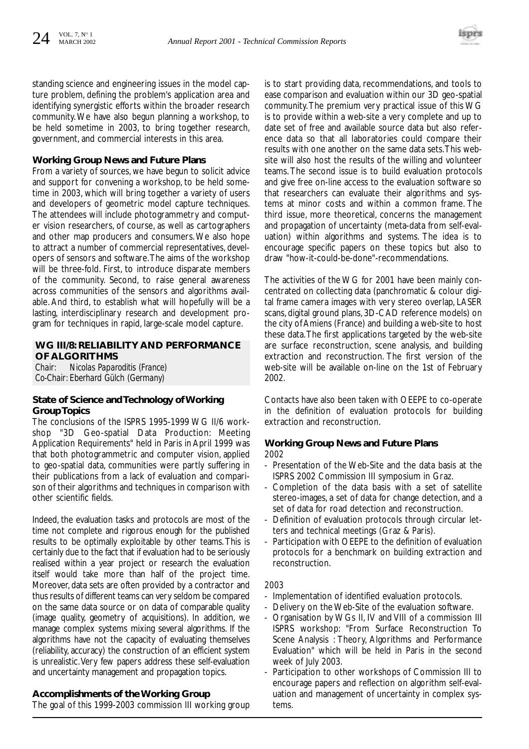

standing science and engineering issues in the model capture problem, defining the problem's application area and identifying synergistic efforts within the broader research community. We have also begun planning a workshop, to be held sometime in 2003, to bring together research, government, and commercial interests in this area.

#### **Working Group News and Future Plans**

From a variety of sources, we have begun to solicit advice and support for convening a workshop, to be held sometime in 2003, which will bring together a variety of users and developers of geometric model capture techniques. The attendees will include photogrammetry and computer vision researchers, of course, as well as cartographers and other map producers and consumers. We also hope to attract a number of commercial representatives, developers of sensors and software.The aims of the workshop will be three-fold. First, to introduce disparate members of the community. Second, to raise general awareness across communities of the sensors and algorithms available. And third, to establish what will hopefully will be a lasting, interdisciplinary research and development program for techniques in rapid, large-scale model capture.

#### **WG III/8: RELIABILITY AND PERFORMANCE OF ALGORITHMS**

*Chair: Nicolas Paparoditis (France) Co-Chair: Eberhard Gülch (Germany)*

#### **State of Science and Technology of Working Group Topics**

The conclusions of the ISPRS 1995-1999 WG II/6 workshop "3D Geo-spatial Data Production: Meeting Application Requirements" held in Paris in April 1999 was that both photogrammetric and computer vision, applied to geo-spatial data, communities were partly suffering in their publications from a lack of evaluation and comparison of their algorithms and techniques in comparison with other scientific fields.

Indeed, the evaluation tasks and protocols are most of the time not complete and rigorous enough for the published results to be optimally exploitable by other teams. This is certainly due to the fact that if evaluation had to be seriously realised within a year project or research the evaluation itself would take more than half of the project time. Moreover, data sets are often provided by a contractor and thus results of different teams can very seldom be compared on the same data source or on data of comparable quality (image quality, geometry of acquisitions). In addition, we manage complex systems mixing several algorithms. If the algorithms have not the capacity of evaluating themselves (reliability, accuracy) the construction of an efficient system is unrealistic.Very few papers address these self-evaluation and uncertainty management and propagation topics.

#### **Accomplishments of the Working Group**

The goal of this 1999-2003 commission III working group

is to start providing data, recommendations, and tools to ease comparison and evaluation within our 3D geo-spatial community.The premium very practical issue of this WG is to provide within a web-site a very complete and up to date set of free and available source data but also reference data so that all laboratories could compare their results with one another on the same data sets.This website will also host the results of the willing and volunteer teams. The second issue is to build evaluation protocols and give free on-line access to the evaluation software so that researchers can evaluate their algorithms and systems at minor costs and within a common frame. The third issue, more theoretical, concerns the management and propagation of uncertainty (meta-data from self-evaluation) within algorithms and systems. The idea is to encourage specific papers on these topics but also to draw "how-it-could-be-done"-recommendations.

The activities of the WG for 2001 have been mainly concentrated on collecting data (panchromatic & colour digital frame camera images with very stereo overlap, LASER scans, digital ground plans, 3D-CAD reference models) on the city of Amiens (France) and building a web-site to host these data.The first applications targeted by the web-site are surface reconstruction, scene analysis, and building extraction and reconstruction. The first version of the web-site will be available on-line on the 1st of February 2002.

Contacts have also been taken with OEEPE to co-operate in the definition of evaluation protocols for building extraction and reconstruction.

#### **Working Group News and Future Plans** *2002*

- Presentation of the Web-Site and the data basis at the ISPRS 2002 Commission III symposium in Graz.
- Completion of the data basis with a set of satellite stereo-images, a set of data for change detection, and a set of data for road detection and reconstruction.
- Definition of evaluation protocols through circular letters and technical meetings (Graz & Paris).
- Participation with OEEPE to the definition of evaluation protocols for a benchmark on building extraction and reconstruction.

#### *2003*

- Implementation of identified evaluation protocols.
- Delivery on the Web-Site of the evaluation software.
- Organisation by WGs II, IV and VIII of a commission III ISPRS workshop: "From Surface Reconstruction To Scene Analysis : Theory, Algorithms and Performance Evaluation" which will be held in Paris in the second week of July 2003.
- Participation to other workshops of Commission III to encourage papers and reflection on algorithm self-evaluation and management of uncertainty in complex systems.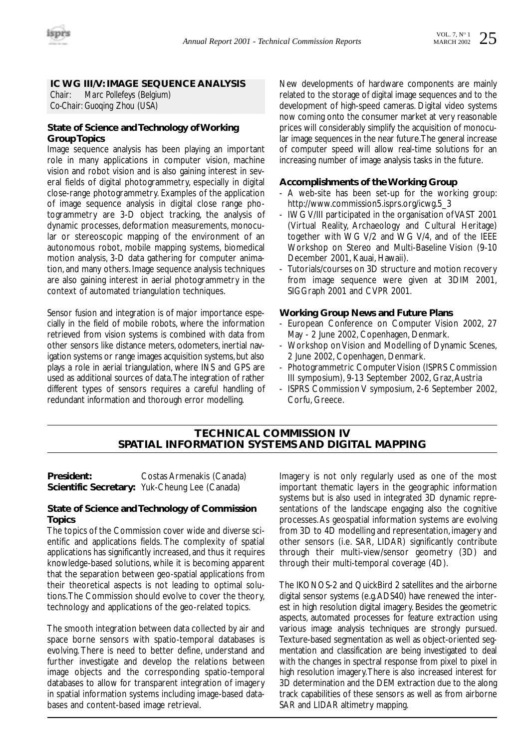

#### **IC WG III/V: IMAGE SEQUENCE ANALYSIS**

*Chair: Marc Pollefeys (Belgium) Co-Chair: Guoqing Zhou (USA)*

#### **State of Science and Technology of Working Group Topics**

Image sequence analysis has been playing an important role in many applications in computer vision, machine vision and robot vision and is also gaining interest in several fields of digital photogrammetry, especially in digital close-range photogrammetry. Examples of the application of image sequence analysis in digital close range photogrammetry are 3-D object tracking, the analysis of dynamic processes, deformation measurements, monocular or stereoscopic mapping of the environment of an autonomous robot, mobile mapping systems, biomedical motion analysis, 3-D data gathering for computer animation, and many others. Image sequence analysis techniques are also gaining interest in aerial photogrammetry in the context of automated triangulation techniques.

Sensor fusion and integration is of major importance especially in the field of mobile robots, where the information retrieved from vision systems is combined with data from other sensors like distance meters, odometers, inertial navigation systems or range images acquisition systems, but also plays a role in aerial triangulation, where INS and GPS are used as additional sources of data.The integration of rather different types of sensors requires a careful handling of redundant information and thorough error modelling.

New developments of hardware components are mainly related to the storage of digital image sequences and to the development of high-speed cameras. Digital video systems now coming onto the consumer market at very reasonable prices will considerably simplify the acquisition of monocular image sequences in the near future.The general increase of computer speed will allow real-time solutions for an increasing number of image analysis tasks in the future.

#### **Accomplishments of the Working Group**

- A web-site has been set-up for the working group: http://www.commission5.isprs.org/icwg.5\_3
- IWG V/III participated in the organisation of VAST 2001 (Virtual Reality, Archaeology and Cultural Heritage) together with WG V/2 and WG V/4, and of the IEEE Workshop on Stereo and Multi-Baseline Vision (9-10 December 2001, Kauai, Hawaii).
- Tutorials/courses on 3D structure and motion recovery from image sequence were given at 3DIM 2001, SIGGraph 2001 and CVPR 2001.

#### **Working Group News and Future Plans**

- European Conference on Computer Vision 2002, 27 May - 2 June 2002, Copenhagen, Denmark.
- Workshop on Vision and Modelling of Dynamic Scenes, 2 June 2002, Copenhagen, Denmark.
- Photogrammetric Computer Vision (ISPRS Commission III symposium), 9-13 September 2002, Graz,Austria
- ISPRS Commission V symposium, 2-6 September 2002, Corfu, Greece.

#### **TECHNICAL COMMISSION IV SPATIAL INFORMATION SYSTEMS AND DIGITAL MAPPING**

**President:** Costas Armenakis (Canada) **Scientific Secretary:** Yuk-Cheung Lee (Canada)

#### **State of Science and Technology of Commission Topics**

The topics of the Commission cover wide and diverse scientific and applications fields. The complexity of spatial applications has significantly increased, and thus it requires knowledge-based solutions, while it is becoming apparent that the separation between geo-spatial applications from their theoretical aspects is not leading to optimal solutions.The Commission should evolve to cover the theory, technology and applications of the geo-related topics.

The smooth integration between data collected by air and space borne sensors with spatio-temporal databases is evolving. There is need to better define, understand and further investigate and develop the relations between image objects and the corresponding spatio-temporal databases to allow for transparent integration of imagery in spatial information systems including image-based databases and content-based image retrieval.

Imagery is not only regularly used as one of the most important thematic layers in the geographic information systems but is also used in integrated 3D dynamic representations of the landscape engaging also the cognitive processes.As geospatial information systems are evolving from 3D to 4D modelling and representation, imagery and other sensors (i.e. SAR, LIDAR) significantly contribute through their multi-view/sensor geometry (3D) and through their multi-temporal coverage (4D).

The IKONOS-2 and QuickBird 2 satellites and the airborne digital sensor systems (e.g.ADS40) have renewed the interest in high resolution digital imagery. Besides the geometric aspects, automated processes for feature extraction using various image analysis techniques are strongly pursued. Texture-based segmentation as well as object-oriented segmentation and classification are being investigated to deal with the changes in spectral response from pixel to pixel in high resolution imagery.There is also increased interest for 3D determination and the DEM extraction due to the along track capabilities of these sensors as well as from airborne SAR and LIDAR altimetry mapping.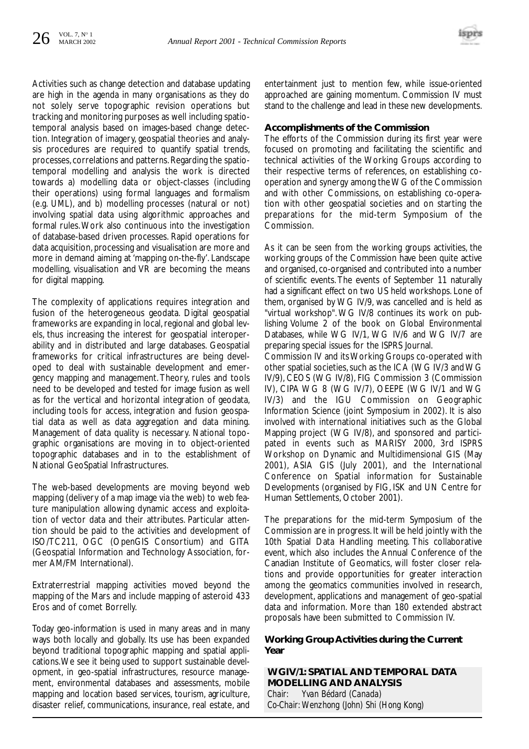Activities such as change detection and database updating are high in the agenda in many organisations as they do not solely serve topographic revision operations but tracking and monitoring purposes as well including spatiotemporal analysis based on images-based change detection. Integration of imagery, geospatial theories and analysis procedures are required to quantify spatial trends, processes, correlations and patterns. Regarding the spatiotemporal modelling and analysis the work is directed towards a) modelling data or object-classes (including their operations) using formal languages and formalism (e.g. UML), and b) modelling processes (natural or not) involving spatial data using algorithmic approaches and formal rules.Work also continuous into the investigation of database-based driven processes. Rapid operations for data acquisition, processing and visualisation are more and more in demand aiming at 'mapping on-the-fly'. Landscape modelling, visualisation and VR are becoming the means for digital mapping.

The complexity of applications requires integration and fusion of the heterogeneous geodata. Digital geospatial frameworks are expanding in local, regional and global levels, thus increasing the interest for geospatial interoperability and in distributed and large databases. Geospatial frameworks for critical infrastructures are being developed to deal with sustainable development and emergency mapping and management. Theory, rules and tools need to be developed and tested for image fusion as well as for the vertical and horizontal integration of geodata, including tools for access, integration and fusion geospatial data as well as data aggregation and data mining. Management of data quality is necessary. National topographic organisations are moving in to object-oriented topographic databases and in to the establishment of National GeoSpatial Infrastructures.

The web-based developments are moving beyond web mapping (delivery of a map image via the web) to web feature manipulation allowing dynamic access and exploitation of vector data and their attributes. Particular attention should be paid to the activities and development of ISO/TC211, OGC (OpenGIS Consortium) and GITA (Geospatial Information and Technology Association, former AM/FM International).

Extraterrestrial mapping activities moved beyond the mapping of the Mars and include mapping of asteroid 433 Eros and of comet Borrelly.

Today geo-information is used in many areas and in many ways both locally and globally. Its use has been expanded beyond traditional topographic mapping and spatial applications.We see it being used to support sustainable development, in geo-spatial infrastructures, resource management, environmental databases and assessments, mobile mapping and location based services, tourism, agriculture, disaster relief, communications, insurance, real estate, and entertainment just to mention few, while issue-oriented approached are gaining momentum. Commission IV must stand to the challenge and lead in these new developments.

#### **Accomplishments of the Commission**

The efforts of the Commission during its first year were focused on promoting and facilitating the scientific and technical activities of the Working Groups according to their respective terms of references, on establishing cooperation and synergy among the WG of the Commission and with other Commissions, on establishing co-operation with other geospatial societies and on starting the preparations for the mid-term Symposium of the Commission.

As it can be seen from the working groups activities, the working groups of the Commission have been quite active and organised, co-organised and contributed into a number of scientific events. The events of September 11 naturally had a significant effect on two US held workshops. Lone of them, organised by WG IV/9, was cancelled and is held as "virtual workshop". WG IV/8 continues its work on publishing Volume 2 of the book on Global Environmental Databases, while WG IV/1, WG IV/6 and WG IV/7 are preparing special issues for the ISPRS Journal.

Commission IV and its Working Groups co-operated with other spatial societies, such as the ICA (WG IV/3 and WG IV/9), CEOS (WG IV/8), FIG Commission 3 (Commission IV), CIPA WG 8 (WG IV/7), OEEPE (WG IV/1 and WG IV/3) and the IGU Commission on Geographic Information Science (joint Symposium in 2002). It is also involved with international initiatives such as the Global Mapping project (WG IV/8), and sponsored and participated in events such as MARISY 2000, 3rd ISPRS Workshop on Dynamic and Multidimensional GIS (May 2001), ASIA GIS (July 2001), and the International Conference on Spatial information for Sustainable Developments (organised by FIG, ISK and UN Centre for Human Settlements, October 2001).

The preparations for the mid-term Symposium of the Commission are in progress. It will be held jointly with the 10th Spatial Data Handling meeting. This collaborative event, which also includes the Annual Conference of the Canadian Institute of Geomatics, will foster closer relations and provide opportunities for greater interaction among the geomatics communities involved in research, development, applications and management of geo-spatial data and information. More than 180 extended abstract proposals have been submitted to Commission IV.

#### **Working Group Activities during the Current Year**

**WGIV/1: SPATIAL AND TEMPORAL DATA MODELLING AND ANALYSIS** *Chair: Yvan Bédard (Canada) Co-Chair: Wenzhong (John) Shi (Hong Kong)*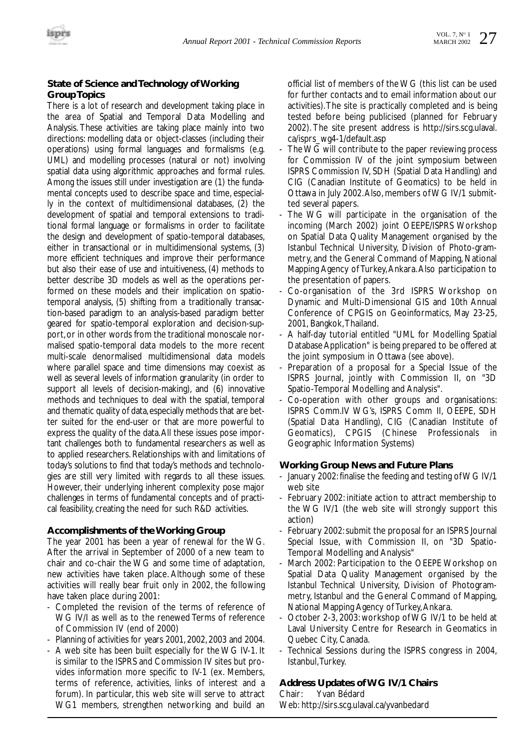#### **State of Science and Technology of Working Group Topics**

There is a lot of research and development taking place in the area of Spatial and Temporal Data Modelling and Analysis. These activities are taking place mainly into two directions: modelling data or object-classes (including their operations) using formal languages and formalisms (e.g. UML) and modelling processes (natural or not) involving spatial data using algorithmic approaches and formal rules. Among the issues still under investigation are (1) the fundamental concepts used to describe space and time, especially in the context of multidimensional databases, (2) the development of spatial and temporal extensions to traditional formal language or formalisms in order to facilitate the design and development of spatio-temporal databases, either in transactional or in multidimensional systems, (3) more efficient techniques and improve their performance but also their ease of use and intuitiveness, (4) methods to better describe 3D models as well as the operations performed on these models and their implication on spatiotemporal analysis, (5) shifting from a traditionally transaction-based paradigm to an analysis-based paradigm better geared for spatio-temporal exploration and decision-support,or in other words from the traditional monoscale normalised spatio-temporal data models to the more recent multi-scale denormalised multidimensional data models where parallel space and time dimensions may coexist as well as several levels of information granularity (in order to support all levels of decision-making), and (6) innovative methods and techniques to deal with the spatial, temporal and thematic quality of data, especially methods that are better suited for the end-user or that are more powerful to express the quality of the data.All these issues pose important challenges both to fundamental researchers as well as to applied researchers. Relationships with and limitations of today's solutions to find that today's methods and technologies are still very limited with regards to all these issues. However, their underlying inherent complexity pose major challenges in terms of fundamental concepts and of practical feasibility, creating the need for such R&D activities.

#### **Accomplishments of the Working Group**

The year 2001 has been a year of renewal for the WG. After the arrival in September of 2000 of a new team to chair and co-chair the WG and some time of adaptation, new activities have taken place. Although some of these activities will really bear fruit only in 2002, the following have taken place during 2001:

- Completed the revision of the terms of reference of WG IV/I as well as to the renewed Terms of reference of Commission IV (end of 2000)
- Planning of activities for years 2001, 2002, 2003 and 2004.
- A web site has been built especially for the WG IV-1. It is similar to the ISPRS and Commission IV sites but provides information more specific to IV-1 (ex. Members, terms of reference, activities, links of interest and a forum). In particular, this web site will serve to attract WG1 members, strengthen networking and build an

official list of members of the WG (this list can be used for further contacts and to email information about our activities).The site is practically completed and is being tested before being publicised (planned for February 2002). The site present address is http://sirs.scg.ulaval. ca/isprs\_wg4-1/default.asp

- The WG will contribute to the paper reviewing process for Commission IV of the joint symposium between ISPRS Commission IV, SDH (Spatial Data Handling) and CIG (Canadian Institute of Geomatics) to be held in Ottawa in July 2002.Also, members of WG IV/1 submitted several papers.
- The WG will participate in the organisation of the incoming (March 2002) joint OEEPE/ISPRS Workshop on Spatial Data Quality Management organised by the Istanbul Technical University, Division of Photo-grammetry, and the General Command of Mapping, National Mapping Agency of Turkey,Ankara.Also participation to the presentation of papers.
- Co-organisation of the 3rd ISPRS Workshop on Dynamic and Multi-Dimensional GIS and 10th Annual Conference of CPGIS on Geoinformatics, May 23-25, 2001, Bangkok,Thailand.
- A half-day tutorial entitled "UML for Modelling Spatial Database Application" is being prepared to be offered at the joint symposium in Ottawa (see above).
- Preparation of a proposal for a Special Issue of the ISPRS Journal, jointly with Commission II, on "3D Spatio-Temporal Modelling and Analysis".
- Co-operation with other groups and organisations: ISPRS Comm.IV WG's, ISPRS Comm II, OEEPE, SDH (Spatial Data Handling), CIG (Canadian Institute of Geomatics), CPGIS (Chinese Professionals in Geographic Information Systems)

#### **Working Group News and Future Plans**

- January 2002: finalise the feeding and testing of WG IV/1 web site
- February 2002: initiate action to attract membership to the WG IV/1 (the web site will strongly support this action)
- February 2002: submit the proposal for an ISPRS Journal Special Issue, with Commission II, on "3D Spatio-Temporal Modelling and Analysis"
- March 2002: Participation to the OEEPE Workshop on Spatial Data Quality Management organised by the Istanbul Technical University, Division of Photogrammetry, Istanbul and the General Command of Mapping, National Mapping Agency of Turkey,Ankara.
- October 2-3, 2003: workshop of WG IV/1 to be held at Laval University Centre for Research in Geomatics in Quebec City, Canada.
- Technical Sessions during the ISPRS congress in 2004, Istanbul,Turkey.

#### **Address Updates of WG IV/1 Chairs**

Chair: Yvan Bédard Web: http://sirs.scg.ulaval.ca/yvanbedard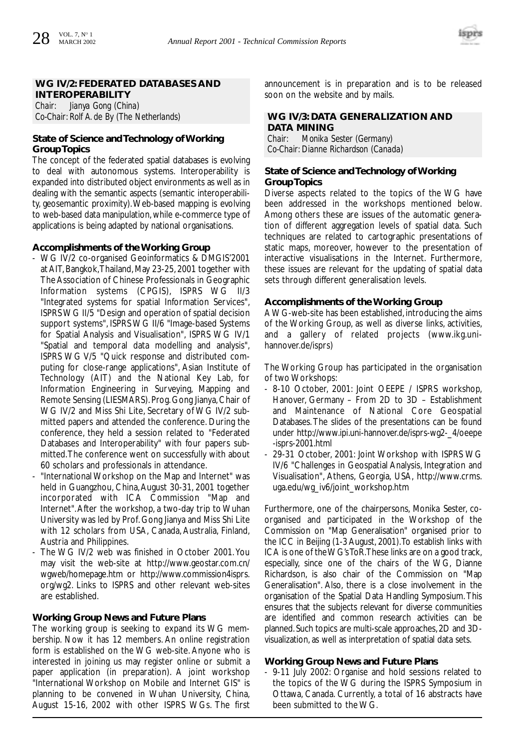

#### **WG IV/2: FEDERATED DATABASES AND INTEROPERABILITY**

*Chair: Jianya Gong (China) Co-Chair: Rolf A. de By (The Netherlands)*

#### **State of Science and Technology of Working Group Topics**

The concept of the federated spatial databases is evolving to deal with autonomous systems. Interoperability is expanded into distributed object environments as well as in dealing with the semantic aspects (semantic interoperability, geosemantic proximity).Web-based mapping is evolving to web-based data manipulation, while e-commerce type of applications is being adapted by national organisations.

#### **Accomplishments of the Working Group**

- WG IV/2 co-organised Geoinformatics & DMGIS'2001 at AIT, Bangkok,Thailand, May 23-25, 2001 together with The Association of Chinese Professionals in Geographic Information systems (CPGIS), ISPRS WG II/3 "Integrated systems for spatial Information Services", ISPRS WG II/5 "Design and operation of spatial decision support systems", ISPRS WG II/6 "Image-based Systems for Spatial Analysis and Visualisation", ISPRS WG IV/1 "Spatial and temporal data modelling and analysis", ISPRS WG V/5 "Quick response and distributed computing for close-range applications", Asian Institute of Technology (AIT) and the National Key Lab, for Information Engineering in Surveying, Mapping and Remote Sensing (LIESMARS).Prog.Gong Jianya,Chair of WG IV/2 and Miss Shi Lite, Secretary of WG IV/2 submitted papers and attended the conference. During the conference, they held a session related to "Federated Databases and Interoperability" with four papers submitted.The conference went on successfully with about 60 scholars and professionals in attendance.
- "International Workshop on the Map and Internet" was held in Guangzhou, China,August 30-31, 2001 together incorporated with ICA Commission "Map and Internet".After the workshop, a two-day trip to Wuhan University was led by Prof. Gong Jianya and Miss Shi Lite with 12 scholars from USA, Canada, Australia, Finland, Austria and Philippines.
- The WG IV/2 web was finished in October 2001. You may visit the web-site at http://www.geostar.com.cn/ wgweb/homepage.htm or http://www.commission4isprs. org/wg2. Links to ISPRS and other relevant web-sites are established.

#### **Working Group News and Future Plans**

The working group is seeking to expand its WG membership. Now it has 12 members. An online registration form is established on the WG web-site. Anyone who is interested in joining us may register online or submit a paper application (in preparation). A joint workshop "International Workshop on Mobile and Internet GIS" is planning to be convened in Wuhan University, China, August 15-16, 2002 with other ISPRS WGs. The first

announcement is in preparation and is to be released soon on the website and by mails.

#### **WG IV/3: DATA GENERALIZATION AND DATA MINING**

*Chair: Monika Sester (Germany) Co-Chair: Dianne Richardson (Canada)*

#### **State of Science and Technology of Working Group Topics**

Diverse aspects related to the topics of the WG have been addressed in the workshops mentioned below. Among others these are issues of the automatic generation of different aggregation levels of spatial data. Such techniques are related to cartographic presentations of static maps, moreover, however to the presentation of interactive visualisations in the Internet. Furthermore, these issues are relevant for the updating of spatial data sets through different generalisation levels.

#### **Accomplishments of the Working Group**

A WG-web-site has been established, introducing the aims of the Working Group, as well as diverse links, activities, and a gallery of related projects (www.ikg.unihannover.de/isprs)

The Working Group has participated in the organisation of two Workshops:

- 8-10 October, 2001: Joint OEEPE / ISPRS workshop, Hanover, Germany – From 2D to 3D – Establishment and Maintenance of National Core Geospatial Databases.The slides of the presentations can be found under http://www.ipi.uni-hannover.de/isprs-wg2-\_4/oeepe -isprs-2001.html
- 29-31 October, 2001: Joint Workshop with ISPRS WG IV/6 "Challenges in Geospatial Analysis, Integration and Visualisation", Athens, Georgia, USA, http://www.crms. uga.edu/wg\_iv6/joint\_workshop.htm

Furthermore, one of the chairpersons, Monika Sester, coorganised and participated in the Workshop of the Commission on "Map Generalisation" organised prior to the ICC in Beijing (1-3 August, 2001).To establish links with ICA is one of the WG's ToR.These links are on a good track, especially, since one of the chairs of the WG, Dianne Richardson, is also chair of the Commission on "Map Generalisation". Also, there is a close involvement in the organisation of the Spatial Data Handling Symposium.This ensures that the subjects relevant for diverse communities are identified and common research activities can be planned.Such topics are multi-scale approaches,2D and 3Dvisualization, as well as interpretation of spatial data sets.

#### **Working Group News and Future Plans**

- 9-11 July 2002: Organise and hold sessions related to the topics of the WG during the ISPRS Symposium in Ottawa, Canada. Currently, a total of 16 abstracts have been submitted to the WG.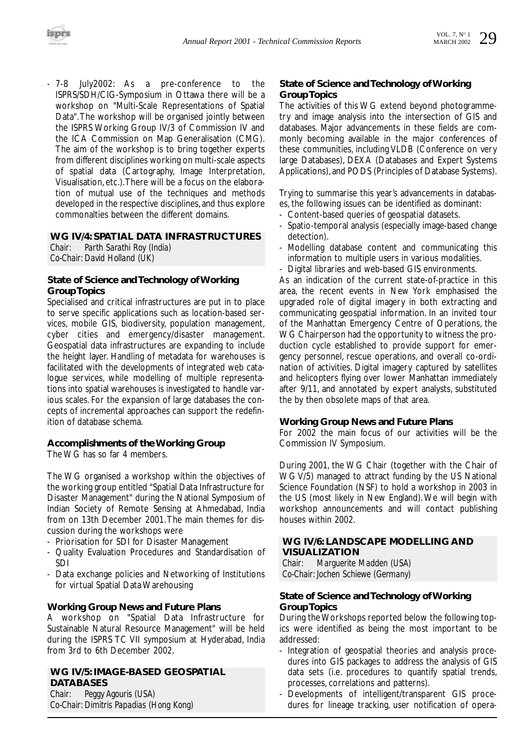

- 7-8 July2002: As a pre-conference to the ISPRS/SDH/CIG-Symposium in Ottawa there will be a workshop on "Multi-Scale Representations of Spatial Data".The workshop will be organised jointly between the ISPRS Working Group IV/3 of Commission IV and the ICA Commission on Map Generalisation (CMG). The aim of the workshop is to bring together experts from different disciplines working on multi-scale aspects of spatial data (Cartography, Image Interpretation, Visualisation, etc.).There will be a focus on the elaboration of mutual use of the techniques and methods developed in the respective disciplines, and thus explore commonalties between the different domains.

### **WG IV/4: SPATIAL DATA INFRASTRUCTURES**

*Chair: Parth Sarathi Roy (India) Co-Chair: David Holland (UK)*

#### **State of Science and Technology of Working Group Topics**

Specialised and critical infrastructures are put in to place to serve specific applications such as location-based services, mobile GIS, biodiversity, population management, cyber cities and emergency/disaster management. Geospatial data infrastructures are expanding to include the height layer. Handling of metadata for warehouses is facilitated with the developments of integrated web catalogue services, while modelling of multiple representations into spatial warehouses is investigated to handle various scales. For the expansion of large databases the concepts of incremental approaches can support the redefinition of database schema.

#### **Accomplishments of the Working Group**

The WG has so far 4 members.

The WG organised a workshop within the objectives of the working group entitled "Spatial Data Infrastructure for Disaster Management" during the National Symposium of Indian Society of Remote Sensing at Ahmedabad, India from on 13th December 2001.The main themes for discussion during the workshops were

- Priorisation for SDI for Disaster Management
- Quality Evaluation Procedures and Standardisation of SDI
- Data exchange policies and Networking of Institutions for virtual Spatial Data Warehousing

#### **Working Group News and Future Plans**

A workshop on "Spatial Data Infrastructure for Sustainable Natural Resource Management" will be held during the ISPRS TC VII symposium at Hyderabad, India from 3rd to 6th December 2002.

#### **WG IV/5: IMAGE-BASED GEOSPATIAL DATABASES**

*Chair: Peggy Agouris (USA) Co-Chair: Dimitris Papadias (Hong Kong)*

#### **State of Science and Technology of Working Group Topics**

The activities of this WG extend beyond photogrammetry and image analysis into the intersection of GIS and databases. Major advancements in these fields are commonly becoming available in the major conferences of these communities, including VLDB (Conference on very large Databases), DEXA (Databases and Expert Systems Applications),and PODS (Principles of Database Systems).

Trying to summarise this year's advancements in databases, the following issues can be identified as dominant:

- Content-based queries of geospatial datasets.
- Spatio-temporal analysis (especially image-based change detection).
- Modelling database content and communicating this information to multiple users in various modalities.
- Digital libraries and web-based GIS environments.

As an indication of the current state-of-practice in this area, the recent events in New York emphasised the upgraded role of digital imagery in both extracting and communicating geospatial information. In an invited tour of the Manhattan Emergency Centre of Operations, the WG Chairperson had the opportunity to witness the production cycle established to provide support for emergency personnel, rescue operations, and overall co-ordination of activities. Digital imagery captured by satellites and helicopters flying over lower Manhattan immediately after 9/11, and annotated by expert analysts, substituted the by then obsolete maps of that area.

#### **Working Group News and Future Plans**

For 2002 the main focus of our activities will be the Commission IV Symposium.

During 2001, the WG Chair (together with the Chair of WG V/5) managed to attract funding by the US National Science Foundation (NSF) to hold a workshop in 2003 in the US (most likely in New England). We will begin with workshop announcements and will contact publishing houses within 2002.

#### **WG IV/6: LANDSCAPE MODELLING AND VISUALIZATION**

*Chair: Marguerite Madden (USA) Co-Chair: Jochen Schiewe (Germany)*

#### **State of Science and Technology of Working Group Topics**

During the Workshops reported below the following topics were identified as being the most important to be addressed:

- Integration of geospatial theories and analysis procedures into GIS packages to address the analysis of GIS data sets (i.e. procedures to quantify spatial trends, processes, correlations and patterns).
- Developments of intelligent/transparent GIS procedures for lineage tracking, user notification of opera-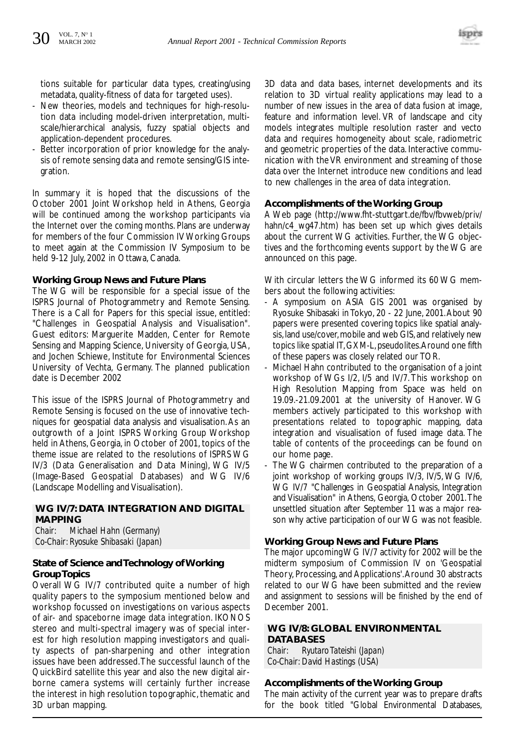

tions suitable for particular data types, creating/using metadata, quality-fitness of data for targeted uses).

- New theories, models and techniques for high-resolution data including model-driven interpretation, multiscale/hierarchical analysis, fuzzy spatial objects and application-dependent procedures.
- Better incorporation of prior knowledge for the analysis of remote sensing data and remote sensing/GIS integration.

In summary it is hoped that the discussions of the October 2001 Joint Workshop held in Athens, Georgia will be continued among the workshop participants via the Internet over the coming months. Plans are underway for members of the four Commission IV Working Groups to meet again at the Commission IV Symposium to be held 9-12 July, 2002 in Ottawa, Canada.

#### **Working Group News and Future Plans**

The WG will be responsible for a special issue of the ISPRS Journal of Photogrammetry and Remote Sensing. There is a Call for Papers for this special issue, entitled: "Challenges in Geospatial Analysis and Visualisation". Guest editors: Marguerite Madden, Center for Remote Sensing and Mapping Science, University of Georgia, USA, and Jochen Schiewe, Institute for Environmental Sciences University of Vechta, Germany. The planned publication date is December 2002

This issue of the ISPRS Journal of Photogrammetry and Remote Sensing is focused on the use of innovative techniques for geospatial data analysis and visualisation.As an outgrowth of a Joint ISPRS Working Group Workshop held in Athens, Georgia, in October of 2001, topics of the theme issue are related to the resolutions of ISPRS WG IV/3 (Data Generalisation and Data Mining), WG IV/5 (Image-Based Geospatial Databases) and WG IV/6 (Landscape Modelling and Visualisation).

#### **WG IV/7: DATA INTEGRATION AND DIGITAL MAPPING**

*Chair: Michael Hahn (Germany) Co-Chair: Ryosuke Shibasaki (Japan)*

#### **State of Science and Technology of Working Group Topics**

Overall WG IV/7 contributed quite a number of high quality papers to the symposium mentioned below and workshop focussed on investigations on various aspects of air- and spaceborne image data integration. IKONOS stereo and multi-spectral imagery was of special interest for high resolution mapping investigators and quality aspects of pan-sharpening and other integration issues have been addressed.The successful launch of the QuickBird satellite this year and also the new digital airborne camera systems will certainly further increase the interest in high resolution topographic, thematic and 3D urban mapping.

3D data and data bases, internet developments and its relation to 3D virtual reality applications may lead to a number of new issues in the area of data fusion at image, feature and information level. VR of landscape and city models integrates multiple resolution raster and vecto data and requires homogeneity about scale, radiometric and geometric properties of the data. Interactive communication with the VR environment and streaming of those data over the Internet introduce new conditions and lead to new challenges in the area of data integration.

#### **Accomplishments of the Working Group**

A Web page (http://www.fht-stuttgart.de/fbv/fbvweb/priv/ hahn/c4\_wg47.htm) has been set up which gives details about the current WG activities. Further, the WG objectives and the forthcoming events support by the WG are announced on this page.

With circular letters the WG informed its 60 WG members about the following activities:

- A symposium on ASIA GIS 2001 was organised by Ryosuke Shibasaki in Tokyo, 20 - 22 June, 2001.About 90 papers were presented covering topics like spatial analysis, land use/cover, mobile and web GIS, and relatively new topics like spatial IT, GXM-L, pseudolites.Around one fifth of these papers was closely related our TOR.
- Michael Hahn contributed to the organisation of a joint workshop of WGs I/2, I/5 and IV/7. This workshop on High Resolution Mapping from Space was held on 19.09.-21.09.2001 at the university of Hanover. WG members actively participated to this workshop with presentations related to topographic mapping, data integration and visualisation of fused image data. The table of contents of the proceedings can be found on our home page.
- The WG chairmen contributed to the preparation of a joint workshop of working groups IV/3, IV/5, WG IV/6, WG IV/7 "Challenges in Geospatial Analysis, Integration and Visualisation" in Athens, Georgia, October 2001.The unsettled situation after September 11 was a major reason why active participation of our WG was not feasible.

#### **Working Group News and Future Plans**

The major upcoming WG IV/7 activity for 2002 will be the midterm symposium of Commission IV on 'Geospatial Theory, Processing, and Applications'.Around 30 abstracts related to our WG have been submitted and the review and assignment to sessions will be finished by the end of December 2001.

#### **WG IV/8: GLOBAL ENVIRONMENTAL DATABASES**

*Chair: Ryutaro Tateishi (Japan) Co-Chair: David Hastings (USA)*

#### **Accomplishments of the Working Group**

The main activity of the current year was to prepare drafts for the book titled "Global Environmental Databases,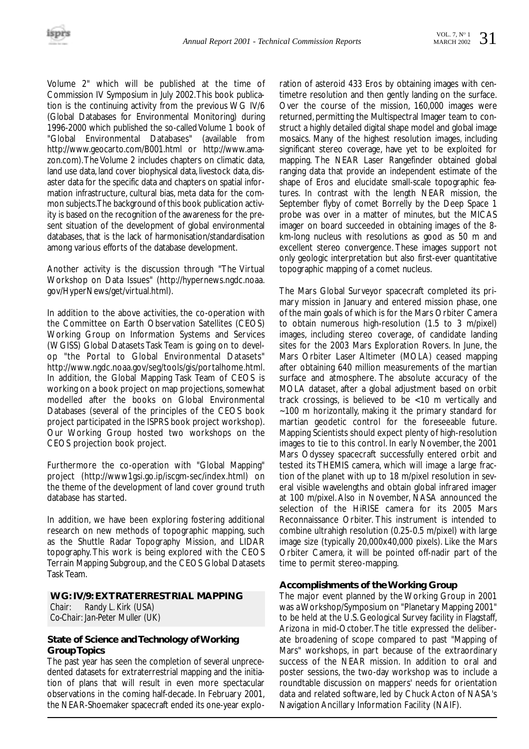Volume 2" which will be published at the time of Commission IV Symposium in July 2002.This book publication is the continuing activity from the previous WG IV/6 (Global Databases for Environmental Monitoring) during 1996-2000 which published the so-called Volume 1 book of "Global Environmental Databases" (available from http://www.geocarto.com/B001.html or http://www.amazon.com).The Volume 2 includes chapters on climatic data, land use data, land cover biophysical data, livestock data, disaster data for the specific data and chapters on spatial information infrastructure, cultural bias, meta data for the common subjects.The background of this book publication activity is based on the recognition of the awareness for the present situation of the development of global environmental databases, that is the lack of harmonisation/standardisation among various efforts of the database development.

Another activity is the discussion through "The Virtual Workshop on Data Issues" (http://hypernews.ngdc.noaa. gov/HyperNews/get/virtual.html).

In addition to the above activities, the co-operation with the Committee on Earth Observation Satellites (CEOS) Working Group on Information Systems and Services (WGISS) Global Datasets Task Team is going on to develop "the Portal to Global Environmental Datasets" http://www.ngdc.noaa.gov/seg/tools/gis/portalhome.html. In addition, the Global Mapping Task Team of CEOS is working on a book project on map projections, somewhat modelled after the books on Global Environmental Databases (several of the principles of the CEOS book project participated in the ISPRS book project workshop). Our Working Group hosted two workshops on the CEOS projection book project.

Furthermore the co-operation with "Global Mapping" project (http://www1gsi.go.ip/iscgm-sec/index.html) on the theme of the development of land cover ground truth database has started.

In addition, we have been exploring fostering additional research on new methods of topographic mapping, such as the Shuttle Radar Topography Mission, and LIDAR topography. This work is being explored with the CEOS Terrain Mapping Subgroup, and the CEOS Global Datasets Task Team.

#### **WG: IV/9: EXTRATERRESTRIAL MAPPING** *Chair: Randy L. Kirk (USA) Co-Chair: Jan-Peter Muller (UK)*

#### **State of Science and Technology of Working Group Topics**

The past year has seen the completion of several unprecedented datasets for extraterrestrial mapping and the initiation of plans that will result in even more spectacular observations in the coming half-decade. In February 2001, the NEAR-Shoemaker spacecraft ended its one-year exploration of asteroid 433 Eros by obtaining images with centimetre resolution and then gently landing on the surface. Over the course of the mission, 160,000 images were returned, permitting the Multispectral Imager team to construct a highly detailed digital shape model and global image mosaics. Many of the highest resolution images, including significant stereo coverage, have yet to be exploited for mapping. The NEAR Laser Rangefinder obtained global ranging data that provide an independent estimate of the shape of Eros and elucidate small-scale topographic features. In contrast with the length NEAR mission, the September flyby of comet Borrelly by the Deep Space 1 probe was over in a matter of minutes, but the MICAS imager on board succeeded in obtaining images of the 8 km-long nucleus with resolutions as good as 50 m and excellent stereo convergence. These images support not only geologic interpretation but also first-ever quantitative topographic mapping of a comet nucleus.

The Mars Global Surveyor spacecraft completed its primary mission in January and entered mission phase, one of the main goals of which is for the Mars Orbiter Camera to obtain numerous high-resolution (1.5 to 3 m/pixel) images, including stereo coverage, of candidate landing sites for the 2003 Mars Exploration Rovers. In June, the Mars Orbiter Laser Altimeter (MOLA) ceased mapping after obtaining 640 million measurements of the martian surface and atmosphere. The absolute accuracy of the MOLA dataset, after a global adjustment based on orbit track crossings, is believed to be <10 m vertically and ~100 m horizontally, making it the primary standard for martian geodetic control for the foreseeable future. Mapping Scientists should expect plenty of high-resolution images to tie to this control. In early November, the 2001 Mars Odyssey spacecraft successfully entered orbit and tested its THEMIS camera, which will image a large fraction of the planet with up to 18 m/pixel resolution in several visible wavelengths and obtain global infrared imager at 100 m/pixel. Also in November, NASA announced the selection of the HiRISE camera for its 2005 Mars Reconnaissance Orbiter. This instrument is intended to combine ultrahigh resolution (0.25-0.5 m/pixel) with large image size (typically 20,000x40,000 pixels). Like the Mars Orbiter Camera, it will be pointed off-nadir part of the time to permit stereo-mapping.

#### **Accomplishments of the Working Group**

The major event planned by the Working Group in 2001 was a Workshop/Symposium on "Planetary Mapping 2001" to be held at the U.S. Geological Survey facility in Flagstaff, Arizona in mid-October.The title expressed the deliberate broadening of scope compared to past "Mapping of Mars" workshops, in part because of the extraordinary success of the NEAR mission. In addition to oral and poster sessions, the two-day workshop was to include a roundtable discussion on mappers' needs for orientation data and related software, led by Chuck Acton of NASA's Navigation Ancillary Information Facility (NAIF).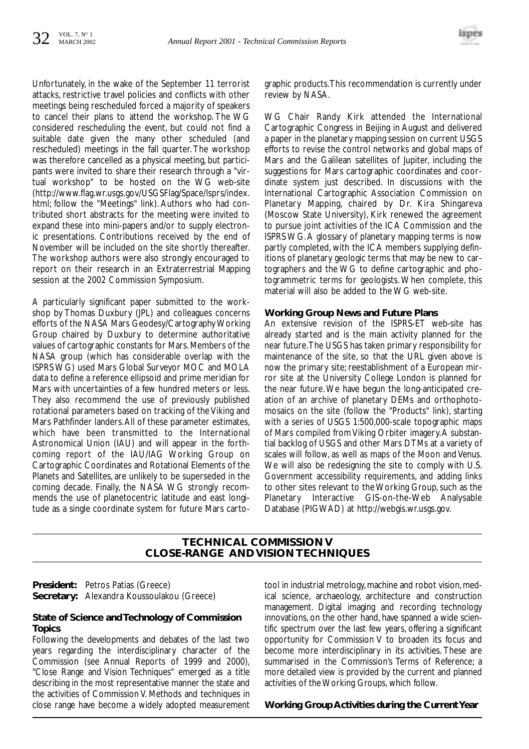

Unfortunately, in the wake of the September 11 terrorist attacks, restrictive travel policies and conflicts with other meetings being rescheduled forced a majority of speakers to cancel their plans to attend the workshop. The WG considered rescheduling the event, but could not find a suitable date given the many other scheduled (and rescheduled) meetings in the fall quarter. The workshop was therefore cancelled as a physical meeting, but participants were invited to share their research through a "virtual workshop" to be hosted on the WG web-site (http://www.flag.wr.usgs.gov/USGSFlag/Space/lsprs/index. html; follow the "Meetings" link). Authors who had contributed short abstracts for the meeting were invited to expand these into mini-papers and/or to supply electronic presentations. Contributions received by the end of November will be included on the site shortly thereafter. The workshop authors were also strongly encouraged to report on their research in an Extraterrestrial Mapping session at the 2002 Commission Symposium.

A particularly significant paper submitted to the workshop by Thomas Duxbury (JPL) and colleagues concerns efforts of the NASA Mars Geodesy/Cartography Working Group chaired by Duxbury to determine authoritative values of cartographic constants for Mars. Members of the NASA group (which has considerable overlap with the ISPRS WG) used Mars Global Surveyor MOC and MOLA data to define a reference ellipsoid and prime meridian for Mars with uncertainties of a few hundred meters or less. They also recommend the use of previously published rotational parameters based on tracking of the Viking and Mars Pathfinder landers.All of these parameter estimates, which have been transmitted to the International Astronomical Union (IAU) and will appear in the forthcoming report of the IAU/IAG Working Group on Cartographic Coordinates and Rotational Elements of the Planets and Satellites, are unlikely to be superseded in the coming decade. Finally, the NASA WG strongly recommends the use of planetocentric latitude and east longitude as a single coordinate system for future Mars carto-

graphic products.This recommendation is currently under review by NASA.

WG Chair Randy Kirk attended the International Cartographic Congress in Beijing in August and delivered a paper in the planetary mapping session on current USGS efforts to revise the control networks and global maps of Mars and the Galilean satellites of Jupiter, including the suggestions for Mars cartographic coordinates and coordinate system just described. In discussions with the International Cartographic Association Commission on Planetary Mapping, chaired by Dr. Kira Shingareva (Moscow State University), Kirk renewed the agreement to pursue joint activities of the ICA Commission and the ISPRS WG.A glossary of planetary mapping terms is now partly completed, with the ICA members supplying definitions of planetary geologic terms that may be new to cartographers and the WG to define cartographic and photogrammetric terms for geologists. When complete, this material will also be added to the WG web-site.

#### **Working Group News and Future Plans**

An extensive revision of the ISPRS-ET web-site has already started and is the main activity planned for the near future.The USGS has taken primary responsibility for maintenance of the site, so that the URL given above is now the primary site; reestablishment of a European mirror site at the University College London is planned for the near future.We have begun the long-anticipated creation of an archive of planetary DEMs and orthophotomosaics on the site (follow the "Products" link), starting with a series of USGS 1:500,000-scale topographic maps of Mars compiled from Viking Orbiter imagery.A substantial backlog of USGS and other Mars DTMs at a variety of scales will follow, as well as maps of the Moon and Venus. We will also be redesigning the site to comply with U.S. Government accessibility requirements, and adding links to other sites relevant to the Working Group, such as the Planetary Interactive GIS-on-the-Web Analysable Database (PIGWAD) at http://webgis.wr.usgs.gov.

#### **TECHNICAL COMMISSION V CLOSE-RANGE AND VISION TECHNIQUES**

**President:** Petros Patias (Greece) **Secretary:** Alexandra Koussoulakou (Greece)

#### **State of Science and Technology of Commission Topics**

Following the developments and debates of the last two years regarding the interdisciplinary character of the Commission (see Annual Reports of 1999 and 2000), "Close Range and Vision Techniques" emerged as a title describing in the most representative manner the state and the activities of Commission V. Methods and techniques in close range have become a widely adopted measurement

tool in industrial metrology, machine and robot vision, medical science, archaeology, architecture and construction management. Digital imaging and recording technology innovations, on the other hand, have spanned a wide scientific spectrum over the last few years, offering a significant opportunity for Commission V to broaden its focus and become more interdisciplinary in its activities. These are summarised in the Commission's Terms of Reference; a more detailed view is provided by the current and planned activities of the Working Groups, which follow.

#### **Working Group Activities during the Current Year**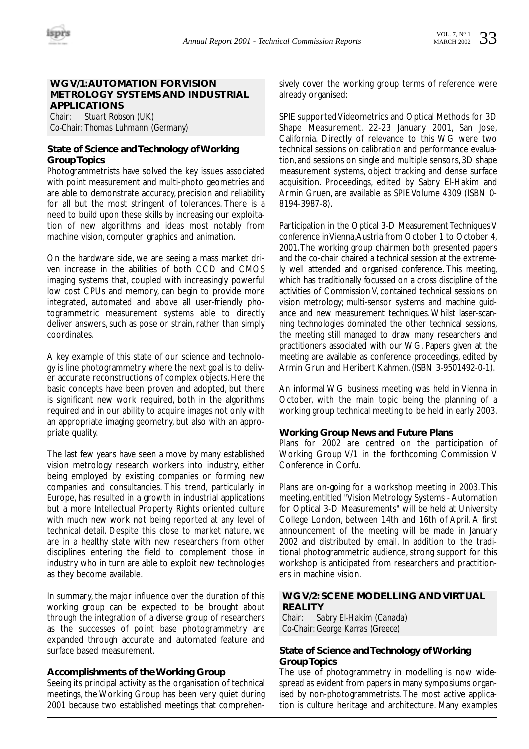#### **WG V/1:AUTOMATION FOR VISION METROLOGY SYSTEMS AND INDUSTRIAL APPLICATIONS**

*Chair: Stuart Robson (UK) Co-Chair: Thomas Luhmann (Germany)*

#### **State of Science and Technology of Working Group Topics**

Photogrammetrists have solved the key issues associated with point measurement and multi-photo geometries and are able to demonstrate accuracy, precision and reliability for all but the most stringent of tolerances. There is a need to build upon these skills by increasing our exploitation of new algorithms and ideas most notably from machine vision, computer graphics and animation.

On the hardware side, we are seeing a mass market driven increase in the abilities of both CCD and CMOS imaging systems that, coupled with increasingly powerful low cost CPUs and memory, can begin to provide more integrated, automated and above all user-friendly photogrammetric measurement systems able to directly deliver answers, such as pose or strain, rather than simply coordinates.

A key example of this state of our science and technology is line photogrammetry where the next goal is to deliver accurate reconstructions of complex objects. Here the basic concepts have been proven and adopted, but there is significant new work required, both in the algorithms required and in our ability to acquire images not only with an appropriate imaging geometry, but also with an appropriate quality.

The last few years have seen a move by many established vision metrology research workers into industry, either being employed by existing companies or forming new companies and consultancies. This trend, particularly in Europe, has resulted in a growth in industrial applications but a more Intellectual Property Rights oriented culture with much new work not being reported at any level of technical detail. Despite this close to market nature, we are in a healthy state with new researchers from other disciplines entering the field to complement those in industry who in turn are able to exploit new technologies as they become available.

In summary, the major influence over the duration of this working group can be expected to be brought about through the integration of a diverse group of researchers as the successes of point base photogrammetry are expanded through accurate and automated feature and surface based measurement.

#### **Accomplishments of the Working Group**

Seeing its principal activity as the organisation of technical meetings, the Working Group has been very quiet during 2001 because two established meetings that comprehensively cover the working group terms of reference were already organised:

SPIE supported Videometrics and Optical Methods for 3D Shape Measurement. 22-23 January 2001, San Jose, California. Directly of relevance to this WG were two technical sessions on calibration and performance evaluation, and sessions on single and multiple sensors, 3D shape measurement systems, object tracking and dense surface acquisition. Proceedings, edited by Sabry El-Hakim and Armin Gruen, are available as SPIE Volume 4309 (ISBN 0- 8194-3987-8).

Participation in the Optical 3-D Measurement Techniques V conference in Vienna,Austria from October 1 to October 4, 2001.The working group chairmen both presented papers and the co-chair chaired a technical session at the extremely well attended and organised conference. This meeting, which has traditionally focussed on a cross discipline of the activities of Commission V, contained technical sessions on vision metrology; multi-sensor systems and machine guidance and new measurement techniques. Whilst laser-scanning technologies dominated the other technical sessions, the meeting still managed to draw many researchers and practitioners associated with our WG. Papers given at the meeting are available as conference proceedings, edited by Armin Grun and Heribert Kahmen. (ISBN 3-9501492-0-1).

An informal WG business meeting was held in Vienna in October, with the main topic being the planning of a working group technical meeting to be held in early 2003.

#### **Working Group News and Future Plans**

Plans for 2002 are centred on the participation of Working Group V/1 in the forthcoming Commission V Conference in Corfu.

Plans are on-going for a workshop meeting in 2003.This meeting, entitled "Vision Metrology Systems - Automation for Optical 3-D Measurements" will be held at University College London, between 14th and 16th of April. A first announcement of the meeting will be made in January 2002 and distributed by email. In addition to the traditional photogrammetric audience, strong support for this workshop is anticipated from researchers and practitioners in machine vision.

#### **WG V/2: SCENE MODELLING AND VIRTUAL REALITY**

*Chair: Sabry El-Hakim (Canada) Co-Chair: George Karras (Greece)*

#### **State of Science and Technology of Working Group Topics**

The use of photogrammetry in modelling is now widespread as evident from papers in many symposiums organised by non-photogrammetrists.The most active application is culture heritage and architecture. Many examples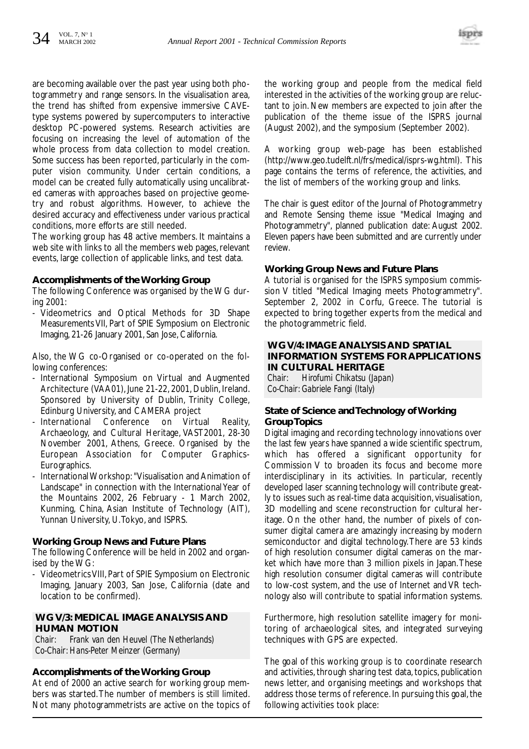

are becoming available over the past year using both photogrammetry and range sensors. In the visualisation area, the trend has shifted from expensive immersive CAVEtype systems powered by supercomputers to interactive desktop PC-powered systems. Research activities are focusing on increasing the level of automation of the whole process from data collection to model creation. Some success has been reported, particularly in the computer vision community. Under certain conditions, a model can be created fully automatically using uncalibrated cameras with approaches based on projective geometry and robust algorithms. However, to achieve the desired accuracy and effectiveness under various practical conditions, more efforts are still needed.

The working group has 48 active members. It maintains a web site with links to all the members web pages, relevant events, large collection of applicable links, and test data.

#### **Accomplishments of the Working Group**

The following Conference was organised by the WG during 2001:

- Videometrics and Optical Methods for 3D Shape Measurements VII, Part of SPIE Symposium on Electronic Imaging, 21-26 January 2001, San Jose, California.

Also, the WG co-Organised or co-operated on the following conferences:

- International Symposium on Virtual and Augmented Architecture (VAA01), June 21-22, 2001, Dublin, Ireland. Sponsored by University of Dublin, Trinity College, Edinburg University, and CAMERA project
- International Conference on Virtual Reality, Archaeology, and Cultural Heritage, VAST2001, 28-30 November 2001, Athens, Greece. Organised by the European Association for Computer Graphics-Eurographics.
- International Workshop: "Visualisation and Animation of Landscape" in connection with the International Year of the Mountains 2002, 26 February - 1 March 2002, Kunming, China, Asian Institute of Technology (AIT), Yunnan University, U.Tokyo, and ISPRS.

#### **Working Group News and Future Plans**

The following Conference will be held in 2002 and organised by the WG:

- Videometrics VIII, Part of SPIE Symposium on Electronic Imaging, January 2003, San Jose, California (date and location to be confirmed).

#### **WG V/3: MEDICAL IMAGE ANALYSIS AND HUMAN MOTION**

*Chair: Frank van den Heuvel (The Netherlands) Co-Chair: Hans-Peter Meinzer (Germany)*

#### **Accomplishments of the Working Group**

At end of 2000 an active search for working group members was started.The number of members is still limited. Not many photogrammetrists are active on the topics of the working group and people from the medical field interested in the activities of the working group are reluctant to join. New members are expected to join after the publication of the theme issue of the ISPRS journal (August 2002), and the symposium (September 2002).

A working group web-page has been established (http://www.geo.tudelft.nl/frs/medical/isprs-wg.html). This page contains the terms of reference, the activities, and the list of members of the working group and links.

The chair is guest editor of the Journal of Photogrammetry and Remote Sensing theme issue "Medical Imaging and Photogrammetry", planned publication date: August 2002. Eleven papers have been submitted and are currently under review.

#### **Working Group News and Future Plans**

A tutorial is organised for the ISPRS symposium commission V titled "Medical Imaging meets Photogrammetry". September 2, 2002 in Corfu, Greece. The tutorial is expected to bring together experts from the medical and the photogrammetric field.

#### **WG V/4: IMAGE ANALYSIS AND SPATIAL INFORMATION SYSTEMS FOR APPLICATIONS IN CULTURAL HERITAGE**

*Chair: Hirofumi Chikatsu (Japan) Co-Chair: Gabriele Fangi (Italy)*

#### **State of Science and Technology of Working Group Topics**

Digital imaging and recording technology innovations over the last few years have spanned a wide scientific spectrum, which has offered a significant opportunity for Commission V to broaden its focus and become more interdisciplinary in its activities. In particular, recently developed laser scanning technology will contribute greatly to issues such as real-time data acquisition, visualisation, 3D modelling and scene reconstruction for cultural heritage. On the other hand, the number of pixels of consumer digital camera are amazingly increasing by modern semiconductor and digital technology.There are 53 kinds of high resolution consumer digital cameras on the market which have more than 3 million pixels in Japan.These high resolution consumer digital cameras will contribute to low-cost system, and the use of Internet and VR technology also will contribute to spatial information systems.

Furthermore, high resolution satellite imagery for monitoring of archaeological sites, and integrated surveying techniques with GPS are expected.

The goal of this working group is to coordinate research and activities, through sharing test data, topics, publication news letter, and organising meetings and workshops that address those terms of reference. In pursuing this goal, the following activities took place: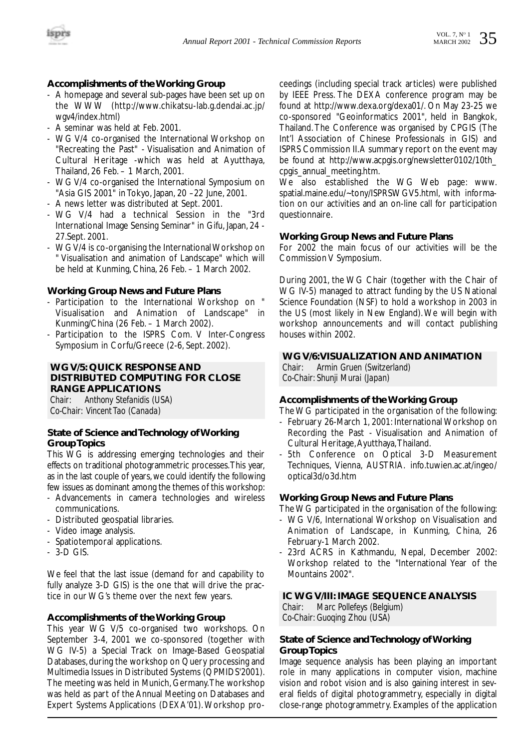

#### **Accomplishments of the Working Group**

- A homepage and several sub-pages have been set up on the WWW (http://www.chikatsu-lab.g.dendai.ac.jp/ wgv4/index.html)
- A seminar was held at Feb. 2001.
- WG V/4 co-organised the International Workshop on "Recreating the Past" - Visualisation and Animation of Cultural Heritage -which was held at Ayutthaya, Thailand, 26 Feb. – 1 March, 2001.
- WG V/4 co-organised the International Symposium on "Asia GIS 2001" in Tokyo, Japan, 20 –22 June, 2001.
- A news letter was distributed at Sept. 2001.
- WG V/4 had a technical Session in the "3rd International Image Sensing Seminar" in Gifu, Japan, 24 - 27.Sept. 2001.
- WG V/4 is co-organising the International Workshop on " Visualisation and animation of Landscape" which will be held at Kunming, China, 26 Feb. – 1 March 2002.

#### **Working Group News and Future Plans**

- Participation to the International Workshop on " Visualisation and Animation of Landscape" in Kunming/China (26 Feb. – 1 March 2002).
- Participation to the ISPRS Com. V Inter-Congress Symposium in Corfu/Greece (2-6, Sept. 2002).

#### **WG V/5: QUICK RESPONSE AND DISTRIBUTED COMPUTING FOR CLOSE RANGE APPLICATIONS**

*Chair: Anthony Stefanidis (USA) Co-Chair: Vincent Tao (Canada)*

#### **State of Science and Technology of Working Group Topics**

This WG is addressing emerging technologies and their effects on traditional photogrammetric processes.This year, as in the last couple of years, we could identify the following few issues as dominant among the themes of this workshop:

- Advancements in camera technologies and wireless communications.
- Distributed geospatial libraries.
- Video image analysis.
- Spatiotemporal applications.
- 3-D GIS.

We feel that the last issue (demand for and capability to fully analyze 3-D GIS) is the one that will drive the practice in our WG's theme over the next few years.

#### **Accomplishments of the Working Group**

This year WG V/5 co-organised two workshops. On September 3-4, 2001 we co-sponsored (together with WG IV-5) a Special Track on Image-Based Geospatial Databases, during the workshop on Query processing and Multimedia Issues in Distributed Systems (QPMIDS'2001). The meeting was held in Munich, Germany.The workshop was held as part of the Annual Meeting on Databases and Expert Systems Applications (DEXA'01). Workshop proceedings (including special track articles) were published by IEEE Press. The DEXA conference program may be found at http://www.dexa.org/dexa01/. On May 23-25 we co-sponsored "Geoinformatics 2001", held in Bangkok, Thailand. The Conference was organised by CPGIS (The Int'l Association of Chinese Professionals in GIS) and ISPRS Commission II.A summary report on the event may be found at http://www.acpgis.org/newsletter0102/10th cpgis\_annual\_meeting.htm.

We also established the WG Web page: www. spatial.maine.edu/~tony/ISPRSWGV5.html, with information on our activities and an on-line call for participation questionnaire.

#### **Working Group News and Future Plans**

For 2002 the main focus of our activities will be the Commission V Symposium.

During 2001, the WG Chair (together with the Chair of WG IV-5) managed to attract funding by the US National Science Foundation (NSF) to hold a workshop in 2003 in the US (most likely in New England). We will begin with workshop announcements and will contact publishing houses within 2002.

#### **WG V/6:VISUALIZATION AND ANIMATION**

*Chair: Armin Gruen (Switzerland) Co-Chair: Shunji Murai (Japan)*

#### **Accomplishments of the Working Group**

The WG participated in the organisation of the following:

- February 26-March 1, 2001: International Workshop on Recording the Past - Visualisation and Animation of Cultural Heritage,Ayutthaya,Thailand.
- 5th Conference on Optical 3-D Measurement Techniques, Vienna, AUSTRIA. info.tuwien.ac.at/ingeo/ optical3d/o3d.htm

#### **Working Group News and Future Plans**

The WG participated in the organisation of the following:

- WG V/6, International Workshop on Visualisation and Animation of Landscape, in Kunming, China, 26 February-1 March 2002.
- 23rd ACRS in Kathmandu, Nepal, December 2002: Workshop related to the "International Year of the Mountains 2002".

#### **IC WG V/III: IMAGE SEQUENCE ANALYSIS**

*Chair: Marc Pollefeys (Belgium) Co-Chair: Guoqing Zhou (USA)*

#### **State of Science and Technology of Working Group Topics**

Image sequence analysis has been playing an important role in many applications in computer vision, machine vision and robot vision and is also gaining interest in several fields of digital photogrammetry, especially in digital close-range photogrammetry. Examples of the application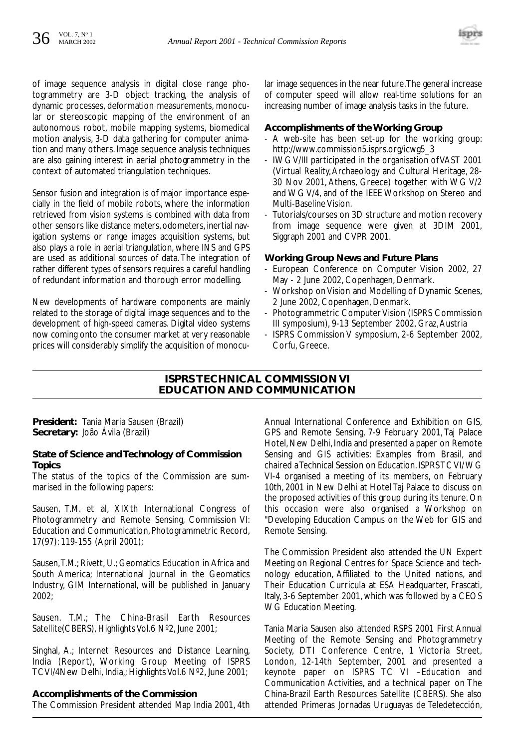

of image sequence analysis in digital close range photogrammetry are 3-D object tracking, the analysis of dynamic processes, deformation measurements, monocular or stereoscopic mapping of the environment of an autonomous robot, mobile mapping systems, biomedical motion analysis, 3-D data gathering for computer animation and many others. Image sequence analysis techniques are also gaining interest in aerial photogrammetry in the context of automated triangulation techniques.

Sensor fusion and integration is of major importance especially in the field of mobile robots, where the information retrieved from vision systems is combined with data from other sensors like distance meters, odometers, inertial navigation systems or range images acquisition systems, but also plays a role in aerial triangulation, where INS and GPS are used as additional sources of data. The integration of rather different types of sensors requires a careful handling of redundant information and thorough error modelling.

New developments of hardware components are mainly related to the storage of digital image sequences and to the development of high-speed cameras. Digital video systems now coming onto the consumer market at very reasonable prices will considerably simplify the acquisition of monocular image sequences in the near future.The general increase of computer speed will allow real-time solutions for an increasing number of image analysis tasks in the future.

#### **Accomplishments of the Working Group**

- A web-site has been set-up for the working group: http://www.commission5.isprs.org/icwg5\_3
- IWG V/III participated in the organisation of VAST 2001 (Virtual Reality,Archaeology and Cultural Heritage, 28- 30 Nov 2001, Athens, Greece) together with WG V/2 and WG V/4, and of the IEEE Workshop on Stereo and Multi-Baseline Vision.
- Tutorials/courses on 3D structure and motion recovery from image sequence were given at 3DIM 2001, Siggraph 2001 and CVPR 2001.

#### **Working Group News and Future Plans**

- European Conference on Computer Vision 2002, 27 May - 2 June 2002, Copenhagen, Denmark.
- Workshop on Vision and Modelling of Dynamic Scenes, 2 June 2002, Copenhagen, Denmark.
- Photogrammetric Computer Vision (ISPRS Commission III symposium), 9-13 September 2002, Graz,Austria
- ISPRS Commission V symposium, 2-6 September 2002, Corfu, Greece.

#### **ISPRS TECHNICAL COMMISSION VI EDUCATION AND COMMUNICATION**

**President:** Tania Maria Sausen (Brazil) **Secretary:** João Ávila (Brazil)

#### **State of Science and Technology of Commission Topics**

The status of the topics of the Commission are summarised in the following papers:

Sausen, T.M. et al, XIXth International Congress of Photogrammetry and Remote Sensing, Commission VI: Education and Communication, Photogrammetric Record, 17(97): 119-155 (April 2001);

Sausen,T.M.; Rivett, U.; Geomatics Education in Africa and South America; International Journal in the Geomatics Industry, GIM International, will be published in January 2002;

Sausen. T.M.; The China-Brasil Earth Resources Satellite(CBERS), Highlights Vol.6 Nº2, June 2001;

Singhal, A.; Internet Resources and Distance Learning, India (Report), Working Group Meeting of ISPRS TCVI/4New Delhi, India,; Highlights Vol.6 Nº2, June 2001;

#### **Accomplishments of the Commission**

The Commission President attended Map India 2001, 4th

Annual International Conference and Exhibition on GIS, GPS and Remote Sensing, 7-9 February 2001, Taj Palace Hotel, New Delhi, India and presented a paper on Remote Sensing and GIS activities: Examples from Brasil, and chaired a Technical Session on Education. ISPRS TC VI/ WG VI-4 organised a meeting of its members, on February 10th, 2001 in New Delhi at Hotel Taj Palace to discuss on the proposed activities of this group during its tenure. On this occasion were also organised a Workshop on "Developing Education Campus on the Web for GIS and Remote Sensing.

The Commission President also attended the UN Expert Meeting on Regional Centres for Space Science and technology education, Affiliated to the United nations, and Their Education Curricula at ESA Headquarter, Frascati, Italy, 3-6 September 2001, which was followed by a CEOS WG Education Meeting.

Tania Maria Sausen also attended RSPS 2001 First Annual Meeting of the Remote Sensing and Photogrammetry Society, DTI Conference Centre, 1 Victoria Street, London, 12-14th September, 2001 and presented a keynote paper on ISPRS TC VI –Education and Communication Activities, and a technical paper on The China-Brazil Earth Resources Satellite (CBERS). She also attended Primeras Jornadas Uruguayas de Teledetección,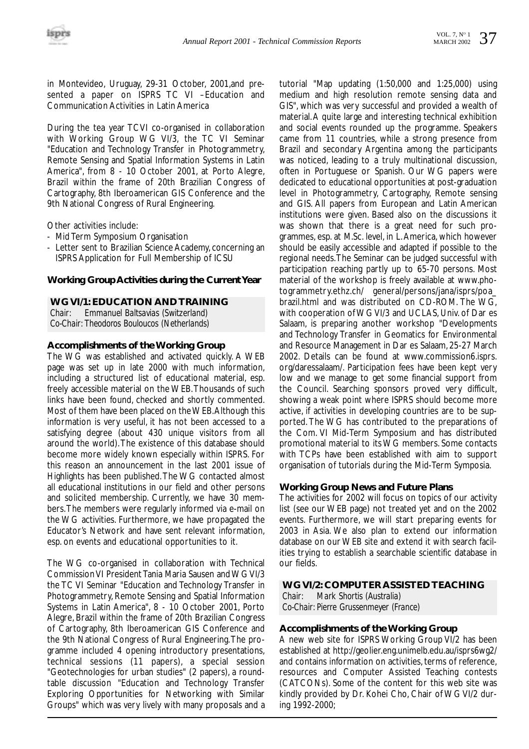in Montevideo, Uruguay, 29-31 October, 2001,and presented a paper on ISPRS TC VI –Education and Communication Activities in Latin America

During the tea year TCVI co-organised in collaboration with Working Group WG VI/3, the TC VI Seminar "Education and Technology Transfer in Photogrammetry, Remote Sensing and Spatial Information Systems in Latin America", from 8 - 10 October 2001, at Porto Alegre, Brazil within the frame of 20th Brazilian Congress of Cartography, 8th Iberoamerican GIS Conference and the 9th National Congress of Rural Engineering.

Other activities include:

- Mid Term Symposium Organisation
- Letter sent to Brazilian Science Academy, concerning an ISPRS Application for Full Membership of ICSU

#### **Working Group Activities during the Current Year**

#### **WG VI/1: EDUCATION AND TRAINING**

*Chair: Emmanuel Baltsavias (Switzerland) Co-Chair: Theodoros Bouloucos (Netherlands)* 

#### **Accomplishments of the Working Group**

The WG was established and activated quickly. A WEB page was set up in late 2000 with much information, including a structured list of educational material, esp. freely accessible material on the WEB.Thousands of such links have been found, checked and shortly commented. Most of them have been placed on the WEB.Although this information is very useful, it has not been accessed to a satisfying degree (about 430 unique visitors from all around the world).The existence of this database should become more widely known especially within ISPRS. For this reason an announcement in the last 2001 issue of Highlights has been published.The WG contacted almost all educational institutions in our field and other persons and solicited membership. Currently, we have 30 members.The members were regularly informed via e-mail on the WG activities. Furthermore, we have propagated the Educator's Network and have sent relevant information, esp. on events and educational opportunities to it.

The WG co-organised in collaboration with Technical Commission VI President Tania Maria Sausen and WG VI/3 the TC VI Seminar "Education and Technology Transfer in Photogrammetry, Remote Sensing and Spatial Information Systems in Latin America", 8 - 10 October 2001, Porto Alegre, Brazil within the frame of 20th Brazilian Congress of Cartography, 8th Iberoamerican GIS Conference and the 9th National Congress of Rural Engineering.The programme included 4 opening introductory presentations, technical sessions (11 papers), a special session "Geotechnologies for urban studies" (2 papers), a roundtable discussion "Education and Technology Transfer Exploring Opportunities for Networking with Similar Groups" which was very lively with many proposals and a

tutorial "Map updating (1:50,000 and 1:25,000) using medium and high resolution remote sensing data and GIS", which was very successful and provided a wealth of material.A quite large and interesting technical exhibition and social events rounded up the programme. Speakers came from 11 countries, while a strong presence from Brazil and secondary Argentina among the participants was noticed, leading to a truly multinational discussion, often in Portuguese or Spanish. Our WG papers were dedicated to educational opportunities at post-graduation level in Photogrammetry, Cartography, Remote sensing and GIS. All papers from European and Latin American institutions were given. Based also on the discussions it was shown that there is a great need for such programmes, esp. at M.Sc. level, in L.America, which however should be easily accessible and adapted if possible to the regional needs.The Seminar can be judged successful with participation reaching partly up to 65-70 persons. Most material of the workshop is freely available at www.photogrammetry.ethz.ch/ general/persons/jana/isprs/poa\_ brazil.html and was distributed on CD-ROM. The WG, with cooperation of WG VI/3 and UCLAS, Univ. of Dar es Salaam, is preparing another workshop "Developments and Technology Transfer in Geomatics for Environmental and Resource Management in Dar es Salaam, 25-27 March 2002. Details can be found at www.commission6.isprs. org/daressalaam/. Participation fees have been kept very low and we manage to get some financial support from the Council. Searching sponsors proved very difficult, showing a weak point where ISPRS should become more active, if activities in developing countries are to be supported. The WG has contributed to the preparations of the Com. VI Mid-Term Symposium and has distributed promotional material to its WG members. Some contacts with TCPs have been established with aim to support organisation of tutorials during the Mid-Term Symposia.

#### **Working Group News and Future Plans**

The activities for 2002 will focus on topics of our activity list (see our WEB page) not treated yet and on the 2002 events. Furthermore, we will start preparing events for 2003 in Asia. We also plan to extend our information database on our WEB site and extend it with search facilities trying to establish a searchable scientific database in our fields.

#### **WG VI/2: COMPUTER ASSISTED TEACHING**

*Chair: Mark Shortis (Australia) Co-Chair: Pierre Grussenmeyer (France)*

#### **Accomplishments of the Working Group**

A new web site for ISPRS Working Group VI/2 has been established at http://geolier.eng.unimelb.edu.au/isprs6wg2/ and contains information on activities, terms of reference, resources and Computer Assisted Teaching contests (CATCONs). Some of the content for this web site was kindly provided by Dr. Kohei Cho, Chair of WG VI/2 during 1992-2000;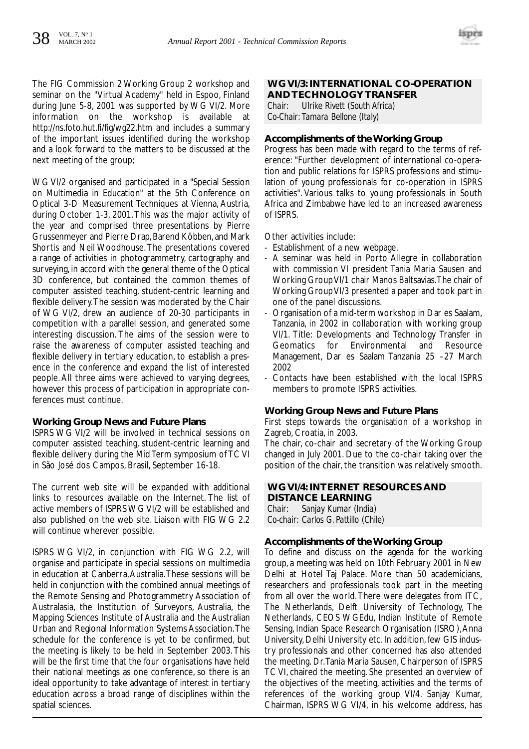

The FIG Commission 2 Working Group 2 workshop and seminar on the "Virtual Academy" held in Espoo, Finland during June 5-8, 2001 was supported by WG VI/2. More information on the workshop is available at http://ns.foto.hut.fi/fig/wg22.htm and includes a summary of the important issues identified during the workshop and a look forward to the matters to be discussed at the next meeting of the group;

WG VI/2 organised and participated in a "Special Session on Multimedia in Education" at the 5th Conference on Optical 3-D Measurement Techniques at Vienna, Austria, during October 1-3, 2001.This was the major activity of the year and comprised three presentations by Pierre Grussenmeyer and Pierre Drap, Barend Köbben, and Mark Shortis and Neil Woodhouse.The presentations covered a range of activities in photogrammetry, cartography and surveying, in accord with the general theme of the Optical 3D conference, but contained the common themes of computer assisted teaching, student-centric learning and flexible delivery.The session was moderated by the Chair of WG VI/2, drew an audience of 20-30 participants in competition with a parallel session, and generated some interesting discussion. The aims of the session were to raise the awareness of computer assisted teaching and flexible delivery in tertiary education, to establish a presence in the conference and expand the list of interested people. All three aims were achieved to varying degrees, however this process of participation in appropriate conferences must continue.

#### **Working Group News and Future Plans**

ISPRS WG VI/2 will be involved in technical sessions on computer assisted teaching, student-centric learning and flexible delivery during the Mid Term symposium of TC VI in São José dos Campos, Brasil, September 16-18.

The current web site will be expanded with additional links to resources available on the Internet. The list of active members of ISPRS WG VI/2 will be established and also published on the web site. Liaison with FIG WG 2.2 will continue wherever possible.

ISPRS WG VI/2, in conjunction with FIG WG 2.2, will organise and participate in special sessions on multimedia in education at Canberra,Australia.These sessions will be held in conjunction with the combined annual meetings of the Remote Sensing and Photogrammetry Association of Australasia, the Institution of Surveyors, Australia, the Mapping Sciences Institute of Australia and the Australian Urban and Regional Information Systems Association.The schedule for the conference is yet to be confirmed, but the meeting is likely to be held in September 2003. This will be the first time that the four organisations have held their national meetings as one conference, so there is an ideal opportunity to take advantage of interest in tertiary education across a broad range of disciplines within the spatial sciences.

### **WG VI/3: INTERNATIONAL CO-OPERATION AND TECHNOLOGY TRANSFER**<br>Chair: Illrike Rivett (South Africa)

*Chair: Ulrike Rivett (South Africa) Co-Chair: Tamara Bellone (Italy)* 

#### **Accomplishments of the Working Group**

Progress has been made with regard to the terms of reference: "Further development of international co-operation and public relations for ISPRS professions and stimulation of young professionals for co-operation in ISPRS activities". Various talks to young professionals in South Africa and Zimbabwe have led to an increased awareness of ISPRS.

Other activities include:

- Establishment of a new webpage.
- A seminar was held in Porto Allegre in collaboration with commission VI president Tania Maria Sausen and Working Group VI/1 chair Manos Baltsavias.The chair of Working Group VI/3 presented a paper and took part in one of the panel discussions.
- Organisation of a mid-term workshop in Dar es Saalam, Tanzania, in 2002 in collaboration with working group VI/1. Title: Developments and Technology Transfer in Geomatics for Environmental and Resource Management, Dar es Saalam Tanzania 25 –27 March 2002
- Contacts have been established with the local ISPRS members to promote ISPRS activities.

#### **Working Group News and Future Plans**

First steps towards the organisation of a workshop in Zagreb, Croatia, in 2003.

The chair, co-chair and secretary of the Working Group changed in July 2001. Due to the co-chair taking over the position of the chair, the transition was relatively smooth.

#### **WG VI/4: INTERNET RESOURCES AND DISTANCE LEARNING**

*Chair: Sanjay Kumar (India) Co-chair: Carlos G. Pattillo (Chile)* 

#### **Accomplishments of the Working Group**

To define and discuss on the agenda for the working group, a meeting was held on 10th February 2001 in New Delhi at Hotel Taj Palace. More than 50 academicians, researchers and professionals took part in the meeting from all over the world.There were delegates from ITC, The Netherlands, Delft University of Technology, The Netherlands, CEOS WGEdu, Indian Institute of Remote Sensing, Indian Space Research Organisation (ISRO),Anna University, Delhi University etc. In addition, few GIS industry professionals and other concerned has also attended the meeting. Dr.Tania Maria Sausen, Chairperson of ISPRS TC VI, chaired the meeting. She presented an overview of the objectives of the meeting, activities and the terms of references of the working group VI/4. Sanjay Kumar, Chairman, ISPRS WG VI/4, in his welcome address, has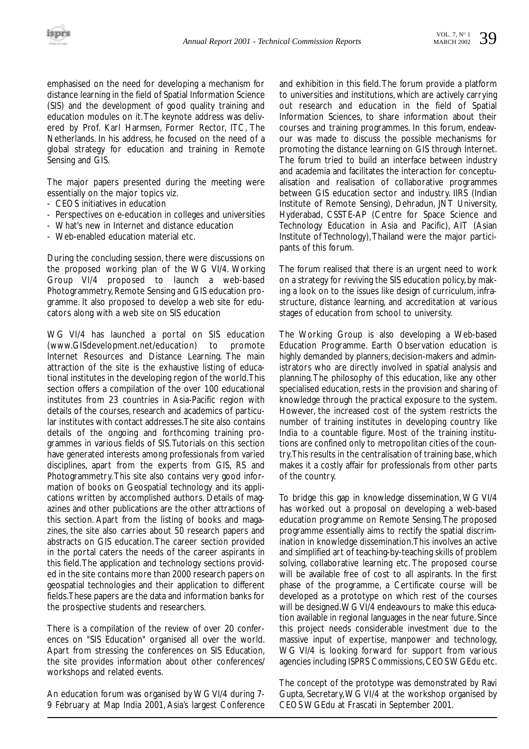emphasised on the need for developing a mechanism for distance learning in the field of Spatial Information Science (SIS) and the development of good quality training and education modules on it.The keynote address was delivered by Prof. Karl Harmsen, Former Rector, ITC, The Netherlands. In his address, he focused on the need of a global strategy for education and training in Remote Sensing and GIS.

The major papers presented during the meeting were essentially on the major topics viz.

- CEOS initiatives in education
- Perspectives on e-education in colleges and universities
- What's new in Internet and distance education
- Web-enabled education material etc.

During the concluding session, there were discussions on the proposed working plan of the WG VI/4. Working Group VI/4 proposed to launch a web-based Photogrammetry, Remote Sensing and GIS education programme. It also proposed to develop a web site for educators along with a web site on SIS education

WG VI/4 has launched a portal on SIS education<br>(www.GISdevelopment.net/education) to promote (www.GISdevelopment.net/education) to Internet Resources and Distance Learning. The main attraction of the site is the exhaustive listing of educational institutes in the developing region of the world.This section offers a compilation of the over 100 educational institutes from 23 countries in Asia-Pacific region with details of the courses, research and academics of particular institutes with contact addresses.The site also contains details of the ongoing and forthcoming training programmes in various fields of SIS.Tutorials on this section have generated interests among professionals from varied disciplines, apart from the experts from GIS, RS and Photogrammetry.This site also contains very good information of books on Geospatial technology and its applications written by accomplished authors. Details of magazines and other publications are the other attractions of this section. Apart from the listing of books and magazines, the site also carries about 50 research papers and abstracts on GIS education. The career section provided in the portal caters the needs of the career aspirants in this field.The application and technology sections provided in the site contains more than 2000 research papers on geospatial technologies and their application to different fields.These papers are the data and information banks for the prospective students and researchers.

There is a compilation of the review of over 20 conferences on "SIS Education" organised all over the world. Apart from stressing the conferences on SIS Education, the site provides information about other conferences/ workshops and related events.

An education forum was organised by WG VI/4 during 7- 9 February at Map India 2001, Asia's largest Conference and exhibition in this field.The forum provide a platform to universities and institutions, which are actively carrying out research and education in the field of Spatial Information Sciences, to share information about their courses and training programmes. In this forum, endeavour was made to discuss the possible mechanisms for promoting the distance learning on GIS through Internet. The forum tried to build an interface between industry and academia and facilitates the interaction for conceptualisation and realisation of collaborative programmes between GIS education sector and industry. IIRS (Indian Institute of Remote Sensing), Dehradun, JNT University, Hyderabad, CSSTE-AP (Centre for Space Science and Technology Education in Asia and Pacific), AIT (Asian Institute of Technology),Thailand were the major participants of this forum.

The forum realised that there is an urgent need to work on a strategy for reviving the SIS education policy, by making a look on to the issues like design of curriculum, infrastructure, distance learning, and accreditation at various stages of education from school to university.

The Working Group is also developing a Web-based Education Programme. Earth Observation education is highly demanded by planners, decision-makers and administrators who are directly involved in spatial analysis and planning.The philosophy of this education, like any other specialised education, rests in the provision and sharing of knowledge through the practical exposure to the system. However, the increased cost of the system restricts the number of training institutes in developing country like India to a countable figure. Most of the training institutions are confined only to metropolitan cities of the country.This results in the centralisation of training base, which makes it a costly affair for professionals from other parts of the country.

To bridge this gap in knowledge dissemination, WG VI/4 has worked out a proposal on developing a web-based education programme on Remote Sensing.The proposed programme essentially aims to rectify the spatial discrimination in knowledge dissemination.This involves an active and simplified art of teaching-by-teaching skills of problem solving, collaborative learning etc. The proposed course will be available free of cost to all aspirants. In the first phase of the programme, a Certificate course will be developed as a prototype on which rest of the courses will be designed.WG VI/4 endeavours to make this education available in regional languages in the near future. Since this project needs considerable investment due to the massive input of expertise, manpower and technology, WG VI/4 is looking forward for support from various agencies including ISPRS Commissions, CEOS WGEdu etc.

The concept of the prototype was demonstrated by Ravi Gupta, Secretary,WG VI/4 at the workshop organised by CEOS WGEdu at Frascati in September 2001.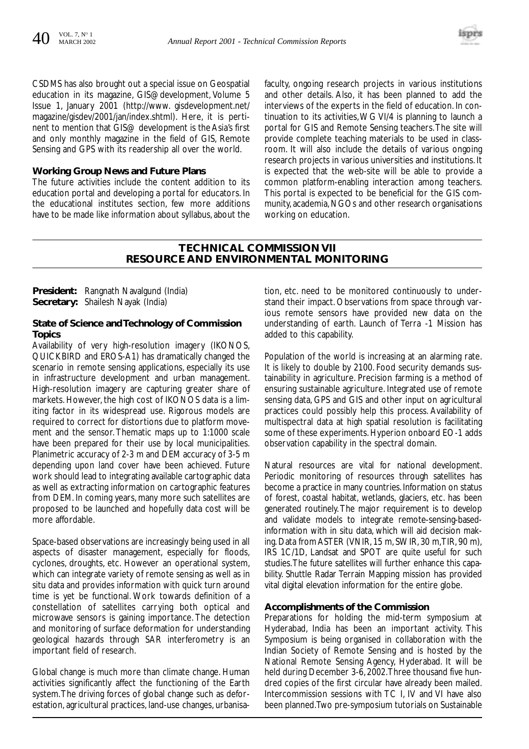

CSDMS has also brought out a special issue on Geospatial education in its magazine, GIS@development, Volume 5 Issue 1, January 2001 (http://www. gisdevelopment.net/ magazine/gisdev/2001/jan/index.shtml). Here, it is pertinent to mention that GIS@ development is the Asia's first and only monthly magazine in the field of GIS, Remote Sensing and GPS with its readership all over the world.

#### **Working Group News and Future Plans**

The future activities include the content addition to its education portal and developing a portal for educators. In the educational institutes section, few more additions have to be made like information about syllabus, about the

faculty, ongoing research projects in various institutions and other details. Also, it has been planned to add the interviews of the experts in the field of education. In continuation to its activities,WG VI/4 is planning to launch a portal for GIS and Remote Sensing teachers.The site will provide complete teaching materials to be used in classroom. It will also include the details of various ongoing research projects in various universities and institutions. It is expected that the web-site will be able to provide a common platform-enabling interaction among teachers. This portal is expected to be beneficial for the GIS community, academia, NGOs and other research organisations working on education.

#### **TECHNICAL COMMISSION VII RESOURCE AND ENVIRONMENTAL MONITORING**

**President:** Rangnath Navalgund (India) **Secretary:** Shailesh Nayak (India)

#### **State of Science and Technology of Commission Topics**

Availability of very high-resolution imagery (IKONOS, QUICKBIRD and EROS-A1) has dramatically changed the scenario in remote sensing applications, especially its use in infrastructure development and urban management. High-resolution imagery are capturing greater share of markets. However, the high cost of IKONOS data is a limiting factor in its widespread use. Rigorous models are required to correct for distortions due to platform movement and the sensor. Thematic maps up to 1:1000 scale have been prepared for their use by local municipalities. Planimetric accuracy of 2-3 m and DEM accuracy of 3-5 m depending upon land cover have been achieved. Future work should lead to integrating available cartographic data as well as extracting information on cartographic features from DEM. In coming years, many more such satellites are proposed to be launched and hopefully data cost will be more affordable.

Space-based observations are increasingly being used in all aspects of disaster management, especially for floods, cyclones, droughts, etc. However an operational system, which can integrate variety of remote sensing as well as in situ data and provides information with quick turn around time is yet be functional. Work towards definition of a constellation of satellites carrying both optical and microwave sensors is gaining importance. The detection and monitoring of surface deformation for understanding geological hazards through SAR interferometry is an important field of research.

Global change is much more than climate change. Human activities significantly affect the functioning of the Earth system.The driving forces of global change such as deforestation, agricultural practices, land-use changes, urbanisation, etc. need to be monitored continuously to understand their impact. Observations from space through various remote sensors have provided new data on the understanding of earth. Launch of Terra -1 Mission has added to this capability.

Population of the world is increasing at an alarming rate. It is likely to double by 2100. Food security demands sustainability in agriculture. Precision farming is a method of ensuring sustainable agriculture. Integrated use of remote sensing data, GPS and GIS and other input on agricultural practices could possibly help this process. Availability of multispectral data at high spatial resolution is facilitating some of these experiments. Hyperion onboard EO-1 adds observation capability in the spectral domain.

Natural resources are vital for national development. Periodic monitoring of resources through satellites has become a practice in many countries. Information on status of forest, coastal habitat, wetlands, glaciers, etc. has been generated routinely. The major requirement is to develop and validate models to integrate remote-sensing-basedinformation with in situ data, which will aid decision making. Data from ASTER (VNIR, 15 m, SWIR, 30 m,TIR, 90 m), IRS 1C/1D, Landsat and SPOT are quite useful for such studies.The future satellites will further enhance this capability. Shuttle Radar Terrain Mapping mission has provided vital digital elevation information for the entire globe.

#### **Accomplishments of the Commission**

Preparations for holding the mid-term symposium at Hyderabad, India has been an important activity. This Symposium is being organised in collaboration with the Indian Society of Remote Sensing and is hosted by the National Remote Sensing Agency, Hyderabad. It will be held during December 3-6, 2002.Three thousand five hundred copies of the first circular have already been mailed. Intercommission sessions with TC I, IV and VI have also been planned.Two pre-symposium tutorials on Sustainable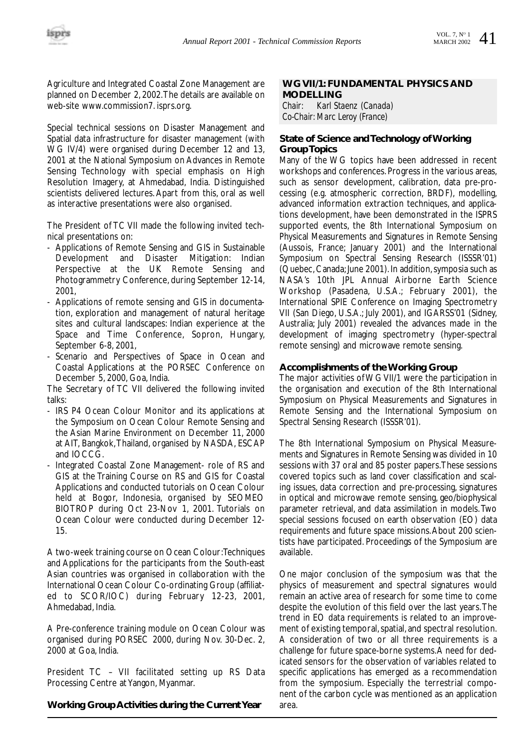Agriculture and Integrated Coastal Zone Management are planned on December 2, 2002.The details are available on web-site www.commission7. isprs.org.

Special technical sessions on Disaster Management and Spatial data infrastructure for disaster management (with WG IV/4) were organised during December 12 and 13, 2001 at the National Symposium on Advances in Remote Sensing Technology with special emphasis on High Resolution Imagery, at Ahmedabad, India. Distinguished scientists delivered lectures. Apart from this, oral as well as interactive presentations were also organised.

The President of TC VII made the following invited technical presentations on:

- Applications of Remote Sensing and GIS in Sustainable Development and Disaster Mitigation: Indian Perspective at the UK Remote Sensing and Photogrammetry Conference, during September 12-14, 2001,
- Applications of remote sensing and GIS in documentation, exploration and management of natural heritage sites and cultural landscapes: Indian experience at the Space and Time Conference, Sopron, Hungary, September 6-8, 2001,
- Scenario and Perspectives of Space in Ocean and Coastal Applications at the PORSEC Conference on December 5, 2000, Goa, India.

The Secretary of TC VII delivered the following invited talks:

- IRS P4 Ocean Colour Monitor and its applications at the Symposium on Ocean Colour Remote Sensing and the Asian Marine Environment on December 11, 2000 at AIT, Bangkok,Thailand, organised by NASDA, ESCAP and IOCCG.
- Integrated Coastal Zone Management- role of RS and GIS at the Training Course on RS and GIS for Coastal Applications and conducted tutorials on Ocean Colour held at Bogor, Indonesia, organised by SEOMEO BIOTROP during Oct 23-Nov 1, 2001. Tutorials on Ocean Colour were conducted during December 12- 15.

A two-week training course on Ocean Colour:Techniques and Applications for the participants from the South-east Asian countries was organised in collaboration with the International Ocean Colour Co-ordinating Group (affiliated to SCOR/IOC) during February 12-23, 2001, Ahmedabad, India.

A Pre-conference training module on Ocean Colour was organised during PORSEC 2000, during Nov. 30-Dec. 2, 2000 at Goa, India.

President TC – VII facilitated setting up RS Data Processing Centre at Yangon, Myanmar.

#### **Working Group Activities during the Current Year**

## **WG VII/1: FUNDAMENTAL PHYSICS AND MODELLING**<br>Chair: Karl Sta

*Chair: Karl Staenz (Canada) Co-Chair: Marc Leroy (France)* 

#### **State of Science and Technology of Working Group Topics**

Many of the WG topics have been addressed in recent workshops and conferences. Progress in the various areas, such as sensor development, calibration, data pre-processing (e.g. atmospheric correction, BRDF), modelling, advanced information extraction techniques, and applications development, have been demonstrated in the ISPRS supported events, the 8th International Symposium on Physical Measurements and Signatures in Remote Sensing (Aussois, France; January 2001) and the International Symposium on Spectral Sensing Research (ISSSR'01) (Quebec, Canada; June 2001). In addition, symposia such as NASA's 10th JPL Annual Airborne Earth Science Workshop (Pasadena, U.S.A.; February 2001), the International SPIE Conference on Imaging Spectrometry VII (San Diego, U.S.A.; July 2001), and IGARSS'01 (Sidney, Australia; July 2001) revealed the advances made in the development of imaging spectrometry (hyper-spectral remote sensing) and microwave remote sensing.

#### **Accomplishments of the Working Group**

The major activities of WG VII/1 were the participation in the organisation and execution of the 8th International Symposium on Physical Measurements and Signatures in Remote Sensing and the International Symposium on Spectral Sensing Research (ISSSR'01).

The 8th International Symposium on Physical Measurements and Signatures in Remote Sensing was divided in 10 sessions with 37 oral and 85 poster papers.These sessions covered topics such as land cover classification and scaling issues, data correction and pre-processing, signatures in optical and microwave remote sensing, geo/biophysical parameter retrieval, and data assimilation in models.Two special sessions focused on earth observation (EO) data requirements and future space missions.About 200 scientists have participated. Proceedings of the Symposium are available.

One major conclusion of the symposium was that the physics of measurement and spectral signatures would remain an active area of research for some time to come despite the evolution of this field over the last years.The trend in EO data requirements is related to an improvement of existing temporal, spatial, and spectral resolution. A consideration of two or all three requirements is a challenge for future space-borne systems.A need for dedicated sensors for the observation of variables related to specific applications has emerged as a recommendation from the symposium. Especially the terrestrial component of the carbon cycle was mentioned as an application area.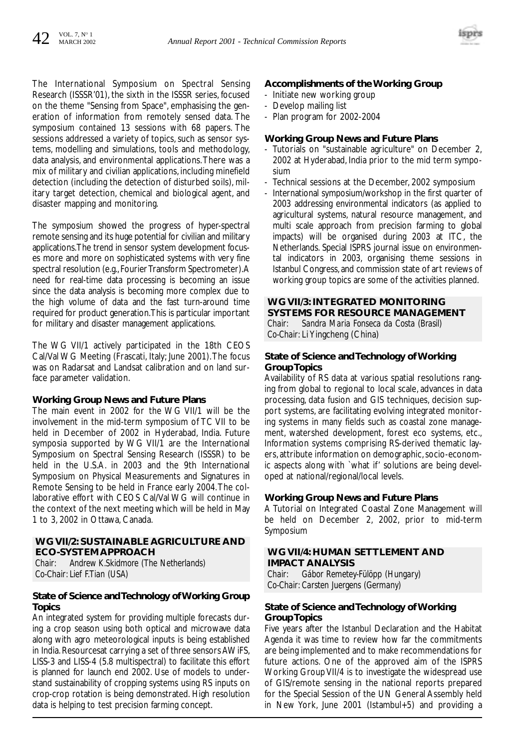

The International Symposium on Spectral Sensing Research (ISSSR'01), the sixth in the ISSSR series, focused on the theme "Sensing from Space", emphasising the generation of information from remotely sensed data. The symposium contained 13 sessions with 68 papers. The sessions addressed a variety of topics, such as sensor systems, modelling and simulations, tools and methodology, data analysis, and environmental applications.There was a mix of military and civilian applications, including minefield detection (including the detection of disturbed soils), military target detection, chemical and biological agent, and disaster mapping and monitoring.

The symposium showed the progress of hyper-spectral remote sensing and its huge potential for civilian and military applications.The trend in sensor system development focuses more and more on sophisticated systems with very fine spectral resolution (e.g., Fourier Transform Spectrometer).A need for real-time data processing is becoming an issue since the data analysis is becoming more complex due to the high volume of data and the fast turn-around time required for product generation.This is particular important for military and disaster management applications.

The WG VII/1 actively participated in the 18th CEOS Cal/Val WG Meeting (Frascati, Italy; June 2001).The focus was on Radarsat and Landsat calibration and on land surface parameter validation.

#### **Working Group News and Future Plans**

The main event in 2002 for the WG VII/1 will be the involvement in the mid-term symposium of TC VII to be held in December of 2002 in Hyderabad, India. Future symposia supported by WG VII/1 are the International Symposium on Spectral Sensing Research (ISSSR) to be held in the U.S.A. in 2003 and the 9th International Symposium on Physical Measurements and Signatures in Remote Sensing to be held in France early 2004.The collaborative effort with CEOS Cal/Val WG will continue in the context of the next meeting which will be held in May 1 to 3, 2002 in Ottawa, Canada.

#### **WG VII/2: SUSTAINABLE AGRICULTURE AND ECO-SYSTEM APPROACH**

*Chair: Andrew K.Skidmore (The Netherlands) Co-Chair: Lief F.Tian (USA)*

#### **State of Science and Technology of Working Group Topics**

An integrated system for providing multiple forecasts during a crop season using both optical and microwave data along with agro meteorological inputs is being established in India. Resourcesat carrying a set of three sensors AWiFS, LISS-3 and LISS-4 (5.8 multispectral) to facilitate this effort is planned for launch end 2002. Use of models to understand sustainability of cropping systems using RS inputs on crop-crop rotation is being demonstrated. High resolution data is helping to test precision farming concept.

#### **Accomplishments of the Working Group**

- Initiate new working group
- Develop mailing list
- Plan program for 2002-2004

#### **Working Group News and Future Plans**

- Tutorials on "sustainable agriculture" on December 2, 2002 at Hyderabad, India prior to the mid term symposium
- Technical sessions at the December, 2002 symposium
- International symposium/workshop in the first quarter of 2003 addressing environmental indicators (as applied to agricultural systems, natural resource management, and multi scale approach from precision farming to global impacts) will be organised during 2003 at ITC, the Netherlands. Special ISPRS journal issue on environmental indicators in 2003, organising theme sessions in Istanbul Congress, and commission state of art reviews of working group topics are some of the activities planned.

#### **WG VII/3: INTEGRATED MONITORING SYSTEMS FOR RESOURCE MANAGEMENT**

*Chair: Sandra Maria Fonseca da Costa (Brasil) Co-Chair:* Li Yingcheng (China)

#### **State of Science and Technology of Working Group Topics**

Availability of RS data at various spatial resolutions ranging from global to regional to local scale, advances in data processing, data fusion and GIS techniques, decision support systems, are facilitating evolving integrated monitoring systems in many fields such as coastal zone management, watershed development, forest eco systems, etc., Information systems comprising RS-derived thematic layers, attribute information on demographic, socio-economic aspects along with `what if' solutions are being developed at national/regional/local levels.

#### **Working Group News and Future Plans**

A Tutorial on Integrated Coastal Zone Management will be held on December 2, 2002, prior to mid-term Symposium

#### **WG VII/4: HUMAN SETTLEMENT AND IMPACT ANALYSIS**

*Chair: Gábor Remetey-Fülöpp (Hungary) Co-Chair: Carsten Juergens (Germany)*

#### **State of Science and Technology of Working Group Topics**

Five years after the Istanbul Declaration and the Habitat Agenda it was time to review how far the commitments are being implemented and to make recommendations for future actions. One of the approved aim of the ISPRS Working Group VII/4 is to investigate the widespread use of GIS/remote sensing in the national reports prepared for the Special Session of the UN General Assembly held in New York, June 2001 (Istambul+5) and providing a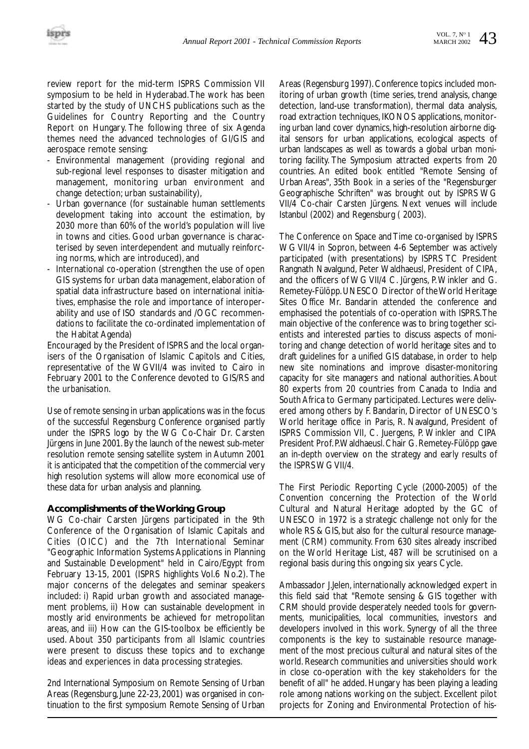review report for the mid-term ISPRS Commission VII symposium to be held in Hyderabad.The work has been started by the study of UNCHS publications such as the Guidelines for Country Reporting and the Country Report on Hungary. The following three of six Agenda themes need the advanced technologies of GI/GIS and aerospace remote sensing:

- Environmental management (providing regional and sub-regional level responses to disaster mitigation and management, monitoring urban environment and change detection; urban sustainability),
- Urban governance (for sustainable human settlements development taking into account the estimation, by 2030 more than 60% of the world's population will live in towns and cities. Good urban governance is characterised by seven interdependent and mutually reinforcing norms, which are introduced), and
- International co-operation (strengthen the use of open GIS systems for urban data management, elaboration of spatial data infrastructure based on international initiatives, emphasise the role and importance of interoperability and use of ISO standards and /OGC recommendations to facilitate the co-ordinated implementation of the Habitat Agenda)

Encouraged by the President of ISPRS and the local organisers of the Organisation of Islamic Capitols and Cities, representative of the WGVII/4 was invited to Cairo in February 2001 to the Conference devoted to GIS/RS and the urbanisation.

Use of remote sensing in urban applications was in the focus of the successful Regensburg Conference organised partly under the ISPRS logo by the WG Co-Chair Dr. Carsten Jürgens in June 2001.By the launch of the newest sub-meter resolution remote sensing satellite system in Autumn 2001 it is anticipated that the competition of the commercial very high resolution systems will allow more economical use of these data for urban analysis and planning.

#### **Accomplishments of the Working Group**

WG Co-chair Carsten Jürgens participated in the 9th Conference of the Organisation of Islamic Capitals and Cities (OICC) and the 7th International Seminar "Geographic Information Systems Applications in Planning and Sustainable Development" held in Cairo/Egypt from February 13-15, 2001 (ISPRS highlights Vol.6 No.2). The major concerns of the delegates and seminar speakers included: i) Rapid urban growth and associated management problems, ii) How can sustainable development in mostly arid environments be achieved for metropolitan areas, and iii) How can the GIS-toolbox be efficiently be used. About 350 participants from all Islamic countries were present to discuss these topics and to exchange ideas and experiences in data processing strategies.

2nd International Symposium on Remote Sensing of Urban Areas (Regensburg, June 22-23, 2001) was organised in continuation to the first symposium Remote Sensing of Urban Areas (Regensburg 1997). Conference topics included monitoring of urban growth (time series, trend analysis, change detection, land-use transformation), thermal data analysis, road extraction techniques, IKONOS applications, monitoring urban land cover dynamics, high-resolution airborne digital sensors for urban applications, ecological aspects of urban landscapes as well as towards a global urban monitoring facility. The Symposium attracted experts from 20 countries. An edited book entitled "Remote Sensing of Urban Areas", 35th Book in a series of the "Regensburger Geographische Schriften" was brought out by ISPRS WG VII/4 Co-chair Carsten Jürgens. Next venues will include Istanbul (2002) and Regensburg ( 2003).

The Conference on Space and Time co-organised by ISPRS WG VII/4 in Sopron, between 4-6 September was actively participated (with presentations) by ISPRS TC President Rangnath Navalgund, Peter Waldhaeusl, President of CIPA, and the officers of WG VII/4 C. Jürgens, P.Winkler and G. Remetey-Fülöpp.UNESCO Director of the World Heritage Sites Office Mr. Bandarin attended the conference and emphasised the potentials of co-operation with ISPRS.The main objective of the conference was to bring together scientists and interested parties to discuss aspects of monitoring and change detection of world heritage sites and to draft guidelines for a unified GIS database, in order to help new site nominations and improve disaster-monitoring capacity for site managers and national authorities. About 80 experts from 20 countries from Canada to India and South Africa to Germany participated. Lectures were delivered among others by F. Bandarin, Director of UNESCO's World heritage office in Paris, R. Navalgund, President of ISPRS Commission VII, C. Juergens, P. Winkler and CIPA President Prof. P. Waldhaeusl. Chair G. Remetey-Fülöpp gave an in-depth overview on the strategy and early results of the ISPRS WG VII/4.

The First Periodic Reporting Cycle (2000-2005) of the Convention concerning the Protection of the World Cultural and Natural Heritage adopted by the GC of UNESCO in 1972 is a strategic challenge not only for the whole RS & GIS, but also for the cultural resource management (CRM) community. From 630 sites already inscribed on the World Heritage List, 487 will be scrutinised on a regional basis during this ongoing six years Cycle.

Ambassador J.Jelen, internationally acknowledged expert in this field said that "Remote sensing & GIS together with CRM should provide desperately needed tools for governments, municipalities, local communities, investors and developers involved in this work. Synergy of all the three components is the key to sustainable resource management of the most precious cultural and natural sites of the world. Research communities and universities should work in close co-operation with the key stakeholders for the benefit of all" he added. Hungary has been playing a leading role among nations working on the subject. Excellent pilot projects for Zoning and Environmental Protection of his-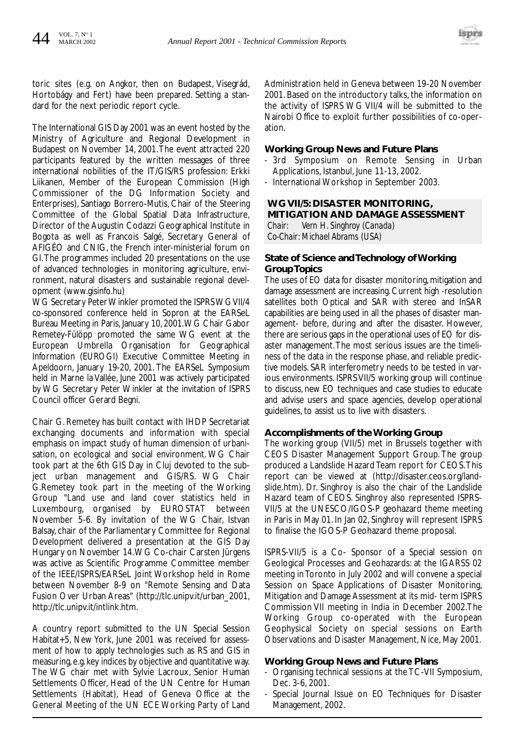

toric sites (e.g. on Angkor, then on Budapest, Visegrád, Hortobágy and Fert) have been prepared. Setting a standard for the next periodic report cycle.

The International GIS Day 2001 was an event hosted by the Ministry of Agriculture and Regional Development in Budapest on November 14, 2001.The event attracted 220 participants featured by the written messages of three international nobilities of the IT/GIS/RS profession: Erkki Liikanen, Member of the European Commission (High Commissioner of the DG Information Society and Enterprises), Santiago Borrero-Mutis, Chair of the Steering Committee of the Global Spatial Data Infrastructure, Director of the Augustin Codazzi Geographical Institute in Bogota as well as Francois Salgé, Secretary General of AFIGÉO and CNIG, the French inter-ministerial forum on GI.The programmes included 20 presentations on the use of advanced technologies in monitoring agriculture, environment, natural disasters and sustainable regional development (www.gisinfo.hu)

WG Secretary Peter Winkler promoted the ISPRS WG VII/4 co-sponsored conference held in Sopron at the EARSeL Bureau Meeting in Paris, January 10, 2001.WG Chair Gabor Remetey-Fülöpp promoted the same WG event at the European Umbrella Organisation for Geographical Information (EUROGI) Executive Committee Meeting in Apeldoorn, January 19-20, 2001. The EARSeL Symposium held in Marne la Vallée, June 2001 was actively participated by WG Secretary Peter Winkler at the invitation of ISPRS Council officer Gerard Begni.

Chair G. Remetey has built contact with IHDP Secretariat exchanging documents and information with special emphasis on impact study of human dimension of urbanisation, on ecological and social environment. WG Chair took part at the 6th GIS Day in Cluj devoted to the subject urban management and GIS/RS. WG Chair G.Remetey took part in the meeting of the Working Group "Land use and land cover statistics held in Luxembourg, organised by EUROSTAT between November 5-6. By invitation of the WG Chair, Istvan Balsay, chair of the Parliamentary Committee for Regional Development delivered a presentation at the GIS Day Hungary on November 14.WG Co-chair Carsten Jürgens was active as Scientific Programme Committee member of the IEEE/ISPRS/EARSeL Joint Workshop held in Rome between November 8-9 on "Remote Sensing and Data Fusion Over Urban Areas" (http://tlc.unipv.it/urban\_2001, http://tlc.unipv.it/intlink.htm.

A country report submitted to the UN Special Session Habitat+5, New York, June 2001 was received for assessment of how to apply technologies such as RS and GIS in measuring,e.g.key indices by objective and quantitative way. The WG chair met with Sylvie Lacroux, Senior Human Settlements Officer, Head of the UN Centre for Human Settlements (Habitat), Head of Geneva Office at the General Meeting of the UN ECE Working Party of Land Administration held in Geneva between 19-20 November 2001. Based on the introductory talks, the information on the activity of ISPRS WG VII/4 will be submitted to the Nairobi Office to exploit further possibilities of co-operation.

#### **Working Group News and Future Plans**

- 3rd Symposium on Remote Sensing in Urban Applications, Istanbul, June 11-13, 2002.
- International Workshop in September 2003.

#### **WG VII/5: DISASTER MONITORING, MITIGATION AND DAMAGE ASSESSMENT**

*Chair: Vern H. Singhroy (Canada) Co-Chair: Michael Abrams (USA)*

#### **State of Science and Technology of Working Group Topics**

The uses of EO data for disaster monitoring, mitigation and damage assessment are increasing. Current high -resolution satellites both Optical and SAR with stereo and InSAR capabilities are being used in all the phases of disaster management- before, during and after the disaster. However, there are serious gaps in the operational uses of EO for disaster management.The most serious issues are the timeliness of the data in the response phase, and reliable predictive models. SAR interferometry needs to be tested in various environments. ISPRS VII/5 working group will continue to discuss, new EO techniques and case studies to educate and advise users and space agencies, develop operational guidelines, to assist us to live with disasters.

#### **Accomplishments of the Working Group**

The working group (VII/5) met in Brussels together with CEOS Disaster Management Support Group. The group produced a Landslide Hazard Team report for CEOS.This report can be viewed at (http://disaster.ceos.org/landslide.htm). Dr. Singhroy is also the chair of the Landslide Hazard team of CEOS. Singhroy also represented ISPRS-VII/5 at the UNESCO/IGOS-P geohazard theme meeting in Paris in May 01. In Jan 02, Singhroy will represent ISPRS to finalise the IGOS-P Geohazard theme proposal.

ISPRS-VII/5 is a Co- Sponsor of a Special session on Geological Processes and Geohazards: at the IGARSS 02 meeting in Toronto in July 2002 and will convene a special Session on Space Applications of Disaster Monitoring, Mitigation and Damage Assessment at its mid- term ISPRS Commission VII meeting in India in December 2002.The Working Group co-operated with the European Geophysical Society on special sessions on Earth Observations and Disaster Management, Nice, May 2001.

#### **Working Group News and Future Plans**

- Organising technical sessions at the TC-VII Symposium, Dec. 3-6, 2001.
- Special Journal Issue on EO Techniques for Disaster Management, 2002.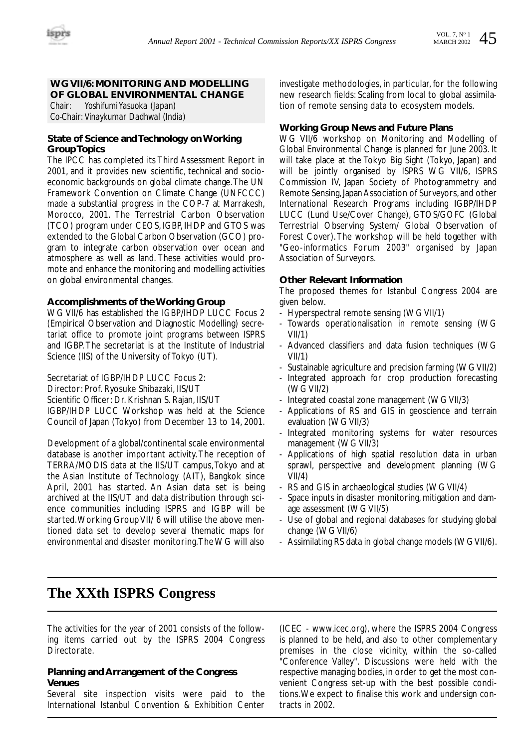### **WG VII/6: MONITORING AND MODELLING OF GLOBAL ENVIRONMENTAL CHANGE**<br>Chair: Yoshifumi Yasuoka (Japan)

*Chair: Yoshifumi Yasuoka (Japan) Co-Chair: Vinaykumar Dadhwal (India)*

#### **State of Science and Technology on Working Group Topics**

The IPCC has completed its Third Assessment Report in 2001, and it provides new scientific, technical and socioeconomic backgrounds on global climate change.The UN Framework Convention on Climate Change (UNFCCC) made a substantial progress in the COP-7 at Marrakesh, Morocco, 2001. The Terrestrial Carbon Observation (TCO) program under CEOS, IGBP, IHDP and GTOS was extended to the Global Carbon Observation (GCO) program to integrate carbon observation over ocean and atmosphere as well as land. These activities would promote and enhance the monitoring and modelling activities on global environmental changes.

#### **Accomplishments of the Working Group**

WG VII/6 has established the IGBP/IHDP LUCC Focus 2 (Empirical Observation and Diagnostic Modelling) secretariat office to promote joint programs between ISPRS and IGBP. The secretariat is at the Institute of Industrial Science (IIS) of the University of Tokyo (UT).

Secretariat of IGBP/IHDP LUCC Focus 2:

Director: Prof. Ryosuke Shibazaki, IIS/UT

Scientific Officer: Dr. Krishnan S. Rajan, IIS/UT

IGBP/IHDP LUCC Workshop was held at the Science Council of Japan (Tokyo) from December 13 to 14, 2001.

Development of a global/continental scale environmental database is another important activity. The reception of TERRA/MODIS data at the IIS/UT campus,Tokyo and at the Asian Institute of Technology (AIT), Bangkok since April, 2001 has started. An Asian data set is being archived at the IIS/UT and data distribution through science communities including ISPRS and IGBP will be started.Working Group VII/ 6 will utilise the above mentioned data set to develop several thematic maps for environmental and disaster monitoring.The WG will also investigate methodologies, in particular, for the following new research fields: Scaling from local to global assimilation of remote sensing data to ecosystem models.

#### **Working Group News and Future Plans**

WG VII/6 workshop on Monitoring and Modelling of Global Environmental Change is planned for June 2003. It will take place at the Tokyo Big Sight (Tokyo, Japan) and will be jointly organised by ISPRS WG VII/6, ISPRS Commission IV, Japan Society of Photogrammetry and Remote Sensing, Japan Association of Surveyors, and other International Research Programs including IGBP/IHDP LUCC (Lund Use/Cover Change), GTOS/GOFC (Global Terrestrial Observing System/ Global Observation of Forest Cover).The workshop will be held together with "Geo-informatics Forum 2003" organised by Japan Association of Surveyors.

#### **Other Relevant Information**

The proposed themes for Istanbul Congress 2004 are given below.

- Hyperspectral remote sensing (WG VII/1)
- Towards operationalisation in remote sensing (WG VII/1)
- Advanced classifiers and data fusion techniques (WG VII/1)
- Sustainable agriculture and precision farming (WG VII/2)
- Integrated approach for crop production forecasting (WG VII/2)
- Integrated coastal zone management (WG VII/3)
- Applications of RS and GIS in geoscience and terrain evaluation (WG VII/3)
- Integrated monitoring systems for water resources management (WG VII/3)
- Applications of high spatial resolution data in urban sprawl, perspective and development planning (WG VII/4)
- RS and GIS in archaeological studies (WG VII/4)
- Space inputs in disaster monitoring, mitigation and damage assessment (WG VII/5)
- Use of global and regional databases for studying global change (WG VII/6)
- Assimilating RS data in global change models (WG VII/6).

### **The XXth ISPRS Congress**

The activities for the year of 2001 consists of the following items carried out by the ISPRS 2004 Congress Directorate.

#### **Planning and Arrangement of the Congress Venues**

Several site inspection visits were paid to the International Istanbul Convention & Exhibition Center

(ICEC - www.icec.org), where the ISPRS 2004 Congress is planned to be held, and also to other complementary premises in the close vicinity, within the so-called "Conference Valley". Discussions were held with the respective managing bodies, in order to get the most convenient Congress set-up with the best possible conditions.We expect to finalise this work and undersign contracts in 2002.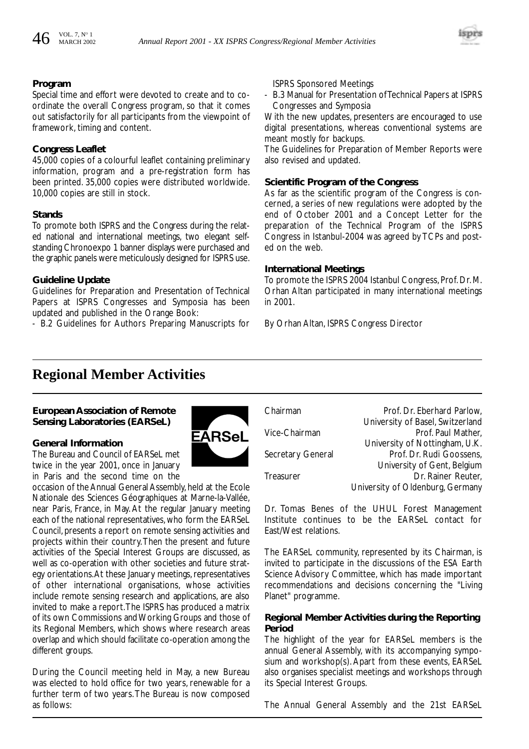

#### **Program**

Special time and effort were devoted to create and to coordinate the overall Congress program, so that it comes out satisfactorily for all participants from the viewpoint of framework, timing and content.

#### **Congress Leaflet**

45,000 copies of a colourful leaflet containing preliminary information, program and a pre-registration form has been printed. 35,000 copies were distributed worldwide. 10,000 copies are still in stock.

#### **Stands**

To promote both ISPRS and the Congress during the related national and international meetings, two elegant selfstanding Chronoexpo 1 banner displays were purchased and the graphic panels were meticulously designed for ISPRS use.

#### **Guideline Update**

Guidelines for Preparation and Presentation of Technical Papers at ISPRS Congresses and Symposia has been updated and published in the Orange Book:

- B.2 Guidelines for Authors Preparing Manuscripts for

ISPRS Sponsored Meetings

- B.3 Manual for Presentation of Technical Papers at ISPRS Congresses and Symposia

With the new updates, presenters are encouraged to use digital presentations, whereas conventional systems are meant mostly for backups.

The Guidelines for Preparation of Member Reports were also revised and updated.

#### **Scientific Program of the Congress**

As far as the scientific program of the Congress is concerned, a series of new regulations were adopted by the end of October 2001 and a Concept Letter for the preparation of the Technical Program of the ISPRS Congress in Istanbul-2004 was agreed by TCPs and posted on the web.

#### **International Meetings**

To promote the ISPRS 2004 Istanbul Congress, Prof. Dr. M. Orhan Altan participated in many international meetings in 2001.

By Orhan Altan, ISPRS Congress Director

### **Regional Member Activities**

#### **European Association of Remote Sensing Laboratories (EARSeL)**

#### **General Information**

The Bureau and Council of EARSeL met twice in the year 2001, once in January in Paris and the second time on the

occasion of the Annual General Assembly, held at the Ecole Nationale des Sciences Géographiques at Marne-la-Vallée, near Paris, France, in May. At the regular January meeting each of the national representatives, who form the EARSeL Council, presents a report on remote sensing activities and projects within their country.Then the present and future activities of the Special Interest Groups are discussed, as well as co-operation with other societies and future strategy orientations.At these January meetings, representatives of other international organisations, whose activities include remote sensing research and applications, are also invited to make a report.The ISPRS has produced a matrix of its own Commissions and Working Groups and those of its Regional Members, which shows where research areas overlap and which should facilitate co-operation among the different groups.

During the Council meeting held in May, a new Bureau was elected to hold office for two years, renewable for a further term of two years.The Bureau is now composed as follows:



Chairman **Prof. Dr. Eberhard Parlow**, University of Basel, Switzerland Vice-Chairman **Prof. Paul Mather**, University of Nottingham, U.K. Secretary General Prof. Dr. Rudi Goossens, University of Gent, Belgium Treasurer **Dr. Rainer Reuter**, University of Oldenburg, Germany

Dr. Tomas Benes of the UHUL Forest Management Institute continues to be the EARSeL contact for East/West relations.

The EARSeL community, represented by its Chairman, is invited to participate in the discussions of the ESA Earth Science Advisory Committee, which has made important recommendations and decisions concerning the "Living Planet" programme.

#### **Regional Member Activities during the Reporting Period**

The highlight of the year for EARSeL members is the annual General Assembly, with its accompanying symposium and workshop(s). Apart from these events, EARSeL also organises specialist meetings and workshops through its Special Interest Groups.

The Annual General Assembly and the 21st EARSeL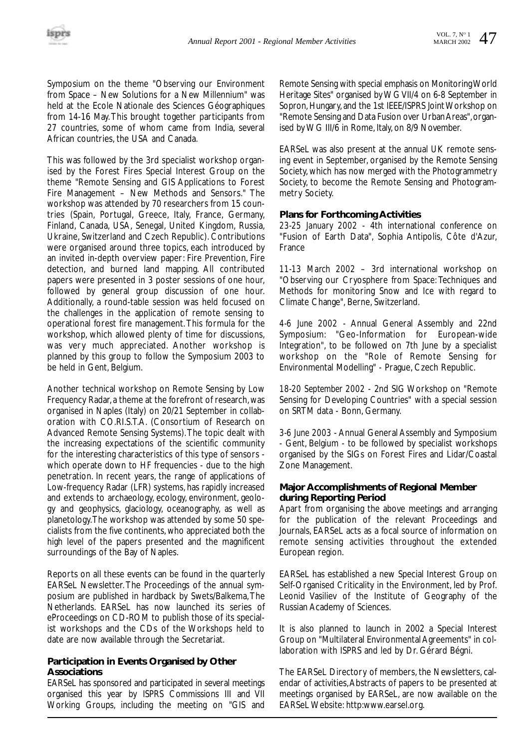Symposium on the theme "Observing our Environment from Space – New Solutions for a New Millennium" was held at the Ecole Nationale des Sciences Géographiques from 14-16 May.This brought together participants from 27 countries, some of whom came from India, several African countries, the USA and Canada.

This was followed by the 3rd specialist workshop organised by the Forest Fires Special Interest Group on the theme "Remote Sensing and GIS Applications to Forest Fire Management – New Methods and Sensors." The workshop was attended by 70 researchers from 15 countries (Spain, Portugal, Greece, Italy, France, Germany, Finland, Canada, USA, Senegal, United Kingdom, Russia, Ukraine, Switzerland and Czech Republic). Contributions were organised around three topics, each introduced by an invited in-depth overview paper: Fire Prevention, Fire detection, and burned land mapping. All contributed papers were presented in 3 poster sessions of one hour, followed by general group discussion of one hour. Additionally, a round-table session was held focused on the challenges in the application of remote sensing to operational forest fire management.This formula for the workshop, which allowed plenty of time for discussions, was very much appreciated. Another workshop is planned by this group to follow the Symposium 2003 to be held in Gent, Belgium.

Another technical workshop on Remote Sensing by Low Frequency Radar, a theme at the forefront of research, was organised in Naples (Italy) on 20/21 September in collaboration with CO.RI.S.T.A. (Consortium of Research on Advanced Remote Sensing Systems).The topic dealt with the increasing expectations of the scientific community for the interesting characteristics of this type of sensors which operate down to HF frequencies - due to the high penetration. In recent years, the range of applications of Low-frequency Radar (LFR) systems, has rapidly increased and extends to archaeology, ecology, environment, geology and geophysics, glaciology, oceanography, as well as planetology.The workshop was attended by some 50 specialists from the five continents, who appreciated both the high level of the papers presented and the magnificent surroundings of the Bay of Naples.

Reports on all these events can be found in the quarterly EARSeL Newsletter. The Proceedings of the annual symposium are published in hardback by Swets/Balkema,The Netherlands. EARSeL has now launched its series of eProceedings on CD-ROM to publish those of its specialist workshops and the CDs of the Workshops held to date are now available through the Secretariat.

#### **Participation in Events Organised by Other Associations**

EARSeL has sponsored and participated in several meetings organised this year by ISPRS Commissions III and VII Working Groups, including the meeting on "GIS and

Remote Sensing with special emphasis on Monitoring World Heritage Sites" organised by WG VII/4 on 6-8 September in Sopron, Hungary, and the 1st IEEE/ISPRS Joint Workshop on "Remote Sensing and Data Fusion over Urban Areas",organised by WG III/6 in Rome, Italy, on 8/9 November.

EARSeL was also present at the annual UK remote sensing event in September, organised by the Remote Sensing Society, which has now merged with the Photogrammetry Society, to become the Remote Sensing and Photogrammetry Society.

#### **Plans for Forthcoming Activities**

*23-25 January 2002* - 4th international conference on "Fusion of Earth Data", Sophia Antipolis, Côte d'Azur, France

*11-13 March 2002* – 3rd international workshop on "Observing our Cryosphere from Space: Techniques and Methods for monitoring Snow and Ice with regard to Climate Change", Berne, Switzerland.

*4-6 June 2002* - Annual General Assembly and 22nd Symposium: "Geo-Information for European-wide Integration", to be followed on 7th June by a specialist workshop on the "Role of Remote Sensing for Environmental Modelling" - Prague, Czech Republic.

*18-20 September 2002* - 2nd SIG Workshop on "Remote Sensing for Developing Countries" with a special session on SRTM data - Bonn, Germany.

*3-6 June 2003* - Annual General Assembly and Symposium - Gent, Belgium - to be followed by specialist workshops organised by the SIGs on Forest Fires and Lidar/Coastal Zone Management.

#### **Major Accomplishments of Regional Member during Reporting Period**

Apart from organising the above meetings and arranging for the publication of the relevant Proceedings and Journals, EARSeL acts as a focal source of information on remote sensing activities throughout the extended European region.

EARSeL has established a new Special Interest Group on Self-Organised Criticality in the Environment, led by Prof. Leonid Vasiliev of the Institute of Geography of the Russian Academy of Sciences.

It is also planned to launch in 2002 a Special Interest Group on "Multilateral Environmental Agreements" in collaboration with ISPRS and led by Dr. Gérard Bégni.

The EARSeL Directory of members, the Newsletters, calendar of activities,Abstracts of papers to be presented at meetings organised by EARSeL, are now available on the EARSeL Website: http:www.earsel.org.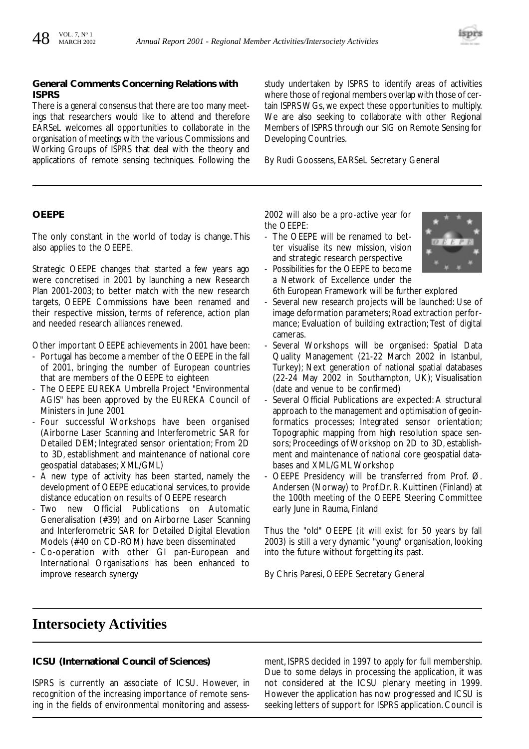#### **General Comments Concerning Relations with ISPRS**

There is a general consensus that there are too many meetings that researchers would like to attend and therefore EARSeL welcomes all opportunities to collaborate in the organisation of meetings with the various Commissions and Working Groups of ISPRS that deal with the theory and applications of remote sensing techniques. Following the study undertaken by ISPRS to identify areas of activities where those of regional members overlap with those of certain ISPRS WGs, we expect these opportunities to multiply. We are also seeking to collaborate with other Regional Members of ISPRS through our SIG on Remote Sensing for Developing Countries.

By Rudi Goossens, EARSeL Secretary General

#### **OEEPE**

The only constant in the world of today is change. This also applies to the OEEPE.

Strategic OEEPE changes that started a few years ago were concretised in 2001 by launching a new Research Plan 2001-2003; to better match with the new research targets, OEEPE Commissions have been renamed and their respective mission, terms of reference, action plan and needed research alliances renewed.

Other important OEEPE achievements in 2001 have been:

- Portugal has become a member of the OEEPE in the fall of 2001, bringing the number of European countries that are members of the OEEPE to eighteen
- The OEEPE EUREKA Umbrella Project "Environmental AGIS" has been approved by the EUREKA Council of Ministers in June 2001
- Four successful Workshops have been organised (Airborne Laser Scanning and Interferometric SAR for Detailed DEM; Integrated sensor orientation; From 2D to 3D, establishment and maintenance of national core geospatial databases; XML/GML)
- A new type of activity has been started, namely the development of OEEPE educational services, to provide distance education on results of OEEPE research
- Two new Official Publications on Automatic Generalisation (#39) and on Airborne Laser Scanning and Interferometric SAR for Detailed Digital Elevation Models (#40 on CD-ROM) have been disseminated
- Co-operation with other GI pan-European and International Organisations has been enhanced to improve research synergy

2002 will also be a pro-active year for the OEEPE:

- The OEEPE will be renamed to better visualise its new mission, vision and strategic research perspective
- Possibilities for the OEEPE to become a Network of Excellence under the
- 6th European Framework will be further explored
- Several new research projects will be launched: Use of image deformation parameters; Road extraction performance; Evaluation of building extraction; Test of digital cameras.
- Several Workshops will be organised: Spatial Data Quality Management (21-22 March 2002 in Istanbul, Turkey); Next generation of national spatial databases (22-24 May 2002 in Southampton, UK); Visualisation (date and venue to be confirmed)
- Several Official Publications are expected: A structural approach to the management and optimisation of geoinformatics processes; Integrated sensor orientation; Topographic mapping from high resolution space sensors; Proceedings of Workshop on 2D to 3D, establishment and maintenance of national core geospatial databases and XML/GML Workshop
- OEEPE Presidency will be transferred from Prof. Ø. Andersen (Norway) to Prof.Dr. R. Kuittinen (Finland) at the 100th meeting of the OEEPE Steering Committee early June in Rauma, Finland

Thus the "old" OEEPE (it will exist for 50 years by fall 2003) is still a very dynamic "young" organisation, looking into the future without forgetting its past.

By Chris Paresi, OEEPE Secretary General

### **Intersociety Activities**

#### **ICSU (International Council of Sciences)**

ISPRS is currently an associate of ICSU. However, in recognition of the increasing importance of remote sensing in the fields of environmental monitoring and assessment, ISPRS decided in 1997 to apply for full membership. Due to some delays in processing the application, it was not considered at the ICSU plenary meeting in 1999. However the application has now progressed and ICSU is seeking letters of support for ISPRS application. Council is

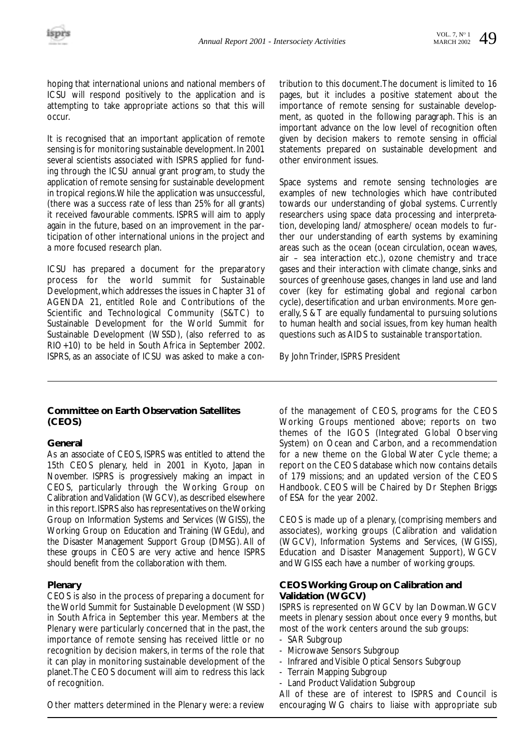hoping that international unions and national members of ICSU will respond positively to the application and is attempting to take appropriate actions so that this will occur.

It is recognised that an important application of remote sensing is for monitoring sustainable development. In 2001 several scientists associated with ISPRS applied for funding through the ICSU annual grant program, to study the application of remote sensing for sustainable development in tropical regions.While the application was unsuccessful, (there was a success rate of less than 25% for all grants) it received favourable comments. ISPRS will aim to apply again in the future, based on an improvement in the participation of other international unions in the project and a more focused research plan.

ICSU has prepared a document for the preparatory process for the world summit for Sustainable Development,which addresses the issues in Chapter 31 of AGENDA 21, entitled Role and Contributions of the Scientific and Technological Community (S&TC) to Sustainable Development for the World Summit for Sustainable Development (WSSD), (also referred to as RIO+10) to be held in South Africa in September 2002. ISPRS, as an associate of ICSU was asked to make a con-

**Committee on Earth Observation Satellites (CEOS)** 

#### **General**

As an associate of CEOS, ISPRS was entitled to attend the 15th CEOS plenary, held in 2001 in Kyoto, Japan in November. ISPRS is progressively making an impact in CEOS, particularly through the Working Group on Calibration and Validation (WGCV), as described elsewhere in this report.ISPRS also has representatives on the Working Group on Information Systems and Services (WGISS), the Working Group on Education and Training (WGEdu), and the Disaster Management Support Group (DMSG). All of these groups in CEOS are very active and hence ISPRS should benefit from the collaboration with them.

#### **Plenary**

CEOS is also in the process of preparing a document for the World Summit for Sustainable Development (WSSD) in South Africa in September this year. Members at the Plenary were particularly concerned that in the past, the importance of remote sensing has received little or no recognition by decision makers, in terms of the role that it can play in monitoring sustainable development of the planet.The CEOS document will aim to redress this lack of recognition.

tribution to this document.The document is limited to 16 pages, but it includes a positive statement about the importance of remote sensing for sustainable development, as quoted in the following paragraph. This is an important advance on the low level of recognition often given by decision makers to remote sensing in official statements prepared on sustainable development and other environment issues.

Space systems and remote sensing technologies are examples of new technologies which have contributed towards our understanding of global systems. Currently researchers using space data processing and interpretation, developing land/ atmosphere/ ocean models to further our understanding of earth systems by examining areas such as the ocean (ocean circulation, ocean waves, air – sea interaction etc.), ozone chemistry and trace gases and their interaction with climate change, sinks and sources of greenhouse gases, changes in land use and land cover (key for estimating global and regional carbon cycle), desertification and urban environments. More generally, S & T are equally fundamental to pursuing solutions to human health and social issues, from key human health questions such as AIDS to sustainable transportation.

By John Trinder, ISPRS President

of the management of CEOS, programs for the CEOS Working Groups mentioned above; reports on two themes of the IGOS (Integrated Global Observing System) on Ocean and Carbon, and a recommendation for a new theme on the Global Water Cycle theme; a report on the CEOS database which now contains details of 179 missions; and an updated version of the CEOS Handbook. CEOS will be Chaired by Dr Stephen Briggs of ESA for the year 2002.

CEOS is made up of a plenary, (comprising members and associates), working groups (Calibration and validation (WGCV), Information Systems and Services, (WGISS), Education and Disaster Management Support), WGCV and WGISS each have a number of working groups.

#### **CEOS Working Group on Calibration and Validation (WGCV)**

ISPRS is represented on WGCV by Ian Dowman.WGCV meets in plenary session about once every 9 months, but most of the work centers around the sub groups:

- SAR Subgroup
- Microwave Sensors Subgroup
- Infrared and Visible Optical Sensors Subgroup
- Terrain Mapping Subgroup
- Land Product Validation Subgroup

All of these are of interest to ISPRS and Council is encouraging WG chairs to liaise with appropriate sub

Other matters determined in the Plenary were: a review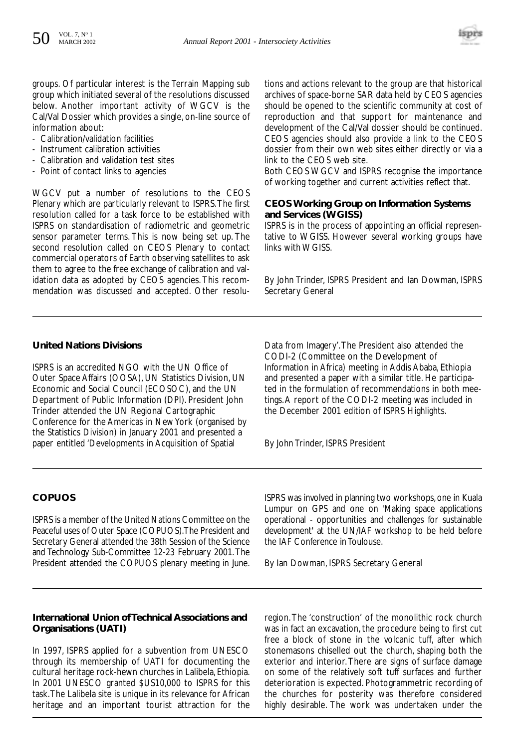

groups. Of particular interest is the Terrain Mapping sub group which initiated several of the resolutions discussed below. Another important activity of WGCV is the Cal/Val Dossier which provides a single, on-line source of information about:

- Calibration/validation facilities
- Instrument calibration activities
- Calibration and validation test sites
- Point of contact links to agencies

WGCV put a number of resolutions to the CEOS Plenary which are particularly relevant to ISPRS.The first resolution called for a task force to be established with ISPRS on standardisation of radiometric and geometric sensor parameter terms. This is now being set up. The second resolution called on CEOS Plenary to contact commercial operators of Earth observing satellites to ask them to agree to the free exchange of calibration and validation data as adopted by CEOS agencies. This recommendation was discussed and accepted. Other resolutions and actions relevant to the group are that historical archives of space-borne SAR data held by CEOS agencies should be opened to the scientific community at cost of reproduction and that support for maintenance and development of the Cal/Val dossier should be continued. CEOS agencies should also provide a link to the CEOS dossier from their own web sites either directly or via a link to the CEOS web site.

Both CEOS WGCV and ISPRS recognise the importance of working together and current activities reflect that.

#### **CEOS Working Group on Information Systems and Services (WGISS)**

ISPRS is in the process of appointing an official representative to WGISS. However several working groups have links with WGISS.

By John Trinder, ISPRS President and Ian Dowman, ISPRS Secretary General

#### **United Nations Divisions**

ISPRS is an accredited NGO with the UN Office of Outer Space Affairs (OOSA), UN Statistics Division, UN Economic and Social Council (ECOSOC), and the UN Department of Public Information (DPI). President John Trinder attended the UN Regional Cartographic Conference for the Americas in New York (organised by the Statistics Division) in January 2001 and presented a paper entitled 'Developments in Acquisition of Spatial

Data from Imagery'.The President also attended the CODI-2 (Committee on the Development of Information in Africa) meeting in Addis Ababa, Ethiopia and presented a paper with a similar title. He participated in the formulation of recommendations in both meetings.A report of the CODI-2 meeting was included in the December 2001 edition of ISPRS Highlights.

By John Trinder, ISPRS President

#### **COPUOS**

ISPRS is a member of the United Nations Committee on the Peaceful uses of Outer Space (COPUOS).The President and Secretary General attended the 38th Session of the Science and Technology Sub-Committee 12-23 February 2001.The President attended the COPUOS plenary meeting in June. ISPRS was involved in planning two workshops, one in Kuala Lumpur on GPS and one on 'Making space applications operational - opportunities and challenges for sustainable development' at the UN/IAF workshop to be held before the IAF Conference in Toulouse.

By Ian Dowman, ISPRS Secretary General

#### **International Union of Technical Associations and Organisations (UATI)**

In 1997, ISPRS applied for a subvention from UNESCO through its membership of UATI for documenting the cultural heritage rock-hewn churches in Lalibela, Ethiopia. In 2001 UNESCO granted \$US10,000 to ISPRS for this task.The Lalibela site is unique in its relevance for African heritage and an important tourist attraction for the region.The 'construction' of the monolithic rock church was in fact an excavation, the procedure being to first cut free a block of stone in the volcanic tuff, after which stonemasons chiselled out the church, shaping both the exterior and interior. There are signs of surface damage on some of the relatively soft tuff surfaces and further deterioration is expected. Photogrammetric recording of the churches for posterity was therefore considered highly desirable. The work was undertaken under the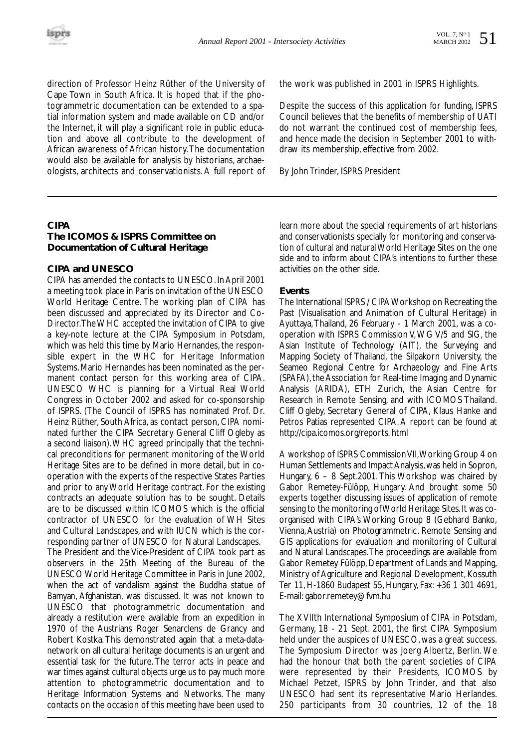direction of Professor Heinz Rüther of the University of Cape Town in South Africa. It is hoped that if the photogrammetric documentation can be extended to a spatial information system and made available on CD and/or the Internet, it will play a significant role in public education and above all contribute to the development of African awareness of African history.The documentation would also be available for analysis by historians, archaeologists, architects and conservationists. A full report of the work was published in 2001 in ISPRS Highlights.

Despite the success of this application for funding, ISPRS Council believes that the benefits of membership of UATI do not warrant the continued cost of membership fees, and hence made the decision in September 2001 to withdraw its membership, effective from 2002.

By John Trinder, ISPRS President

#### **CIPA**

#### **The ICOMOS & ISPRS Committee on Documentation of Cultural Heritage**

#### **CIPA and UNESCO**

CIPA has amended the contacts to UNESCO. In April 2001 a meeting took place in Paris on invitation of the UNESCO World Heritage Centre. The working plan of CIPA has been discussed and appreciated by its Director and Co-Director.The WHC accepted the invitation of CIPA to give a key-note lecture at the CIPA Symposium in Potsdam, which was held this time by Mario Hernandes, the responsible expert in the WHC for Heritage Information Systems. Mario Hernandes has been nominated as the permanent contact person for this working area of CIPA. UNESCO WHC is planning for a Virtual Real World Congress in October 2002 and asked for co-sponsorship of ISPRS. (The Council of ISPRS has nominated Prof. Dr. Heinz Rüther, South Africa, as contact person, CIPA nominated further the CIPA Secretary General Cliff Ogleby as a second liaison).WHC agreed principally that the technical preconditions for permanent monitoring of the World Heritage Sites are to be defined in more detail, but in cooperation with the experts of the respective States Parties and prior to any World Heritage contract. For the existing contracts an adequate solution has to be sought. Details are to be discussed within ICOMOS which is the official contractor of UNESCO for the evaluation of WH Sites and Cultural Landscapes, and with IUCN which is the corresponding partner of UNESCO for Natural Landscapes. The President and the Vice-President of CIPA took part as observers in the 25th Meeting of the Bureau of the UNESCO World Heritage Committee in Paris in June 2002, when the act of vandalism against the Buddha statue of Bamyan, Afghanistan, was discussed. It was not known to UNESCO that photogrammetric documentation and already a restitution were available from an expedition in 1970 of the Austrians Roger Senarclens de Grancy and Robert Kostka.This demonstrated again that a meta-datanetwork on all cultural heritage documents is an urgent and essential task for the future. The terror acts in peace and war times against cultural objects urge us to pay much more attention to photogrammetric documentation and to Heritage Information Systems and Networks. The many contacts on the occasion of this meeting have been used to learn more about the special requirements of art historians and conservationists specially for monitoring and conservation of cultural and natural World Heritage Sites on the one side and to inform about CIPA's intentions to further these activities on the other side.

#### **Events**

The International ISPRS / CIPA Workshop on Recreating the Past (Visualisation and Animation of Cultural Heritage) in Ayuttaya,Thailand, 26 February - 1 March 2001, was a cooperation with ISPRS Commission V,WG V/5 and SIG, the Asian Institute of Technology (AIT), the Surveying and Mapping Society of Thailand, the Silpakorn University, the Seameo Regional Centre for Archaeology and Fine Arts (SPAFA), the Association for Real-time Imaging and Dynamic Analysis (ARIDA), ETH Zurich, the Asian Centre for Research in Remote Sensing, and with ICOMOS Thailand. Cliff Ogleby, Secretary General of CIPA, Klaus Hanke and Petros Patias represented CIPA. A report can be found at http://cipa.icomos.org/reports. html

A workshop of ISPRS Commission VII,Working Group 4 on Human Settlements and Impact Analysis, was held in Sopron, Hungary, 6 – 8 Sept.2001. This Workshop was chaired by Gabor Remetey-Fülöpp, Hungary. And brought some 50 experts together discussing issues of application of remote sensing to the monitoring of World Heritage Sites. It was coorganised with CIPA's Working Group 8 (Gebhard Banko, Vienna,Austria) on Photogrammetric, Remote Sensing and GIS applications for evaluation and monitoring of Cultural and Natural Landscapes.The proceedings are available from Gabor Remetey Fülöpp, Department of Lands and Mapping, Ministry of Agriculture and Regional Development, Kossuth Ter 11, H-1860 Budapest 55, Hungary, Fax: +36 1 301 4691, E-mail: gabor.remetey@fvm.hu

The XVIIth International Symposium of CIPA in Potsdam, Germany, 18 - 21 Sept. 2001, the first CIPA Symposium held under the auspices of UNESCO, was a great success. The Symposium Director was Joerg Albertz, Berlin. We had the honour that both the parent societies of CIPA were represented by their Presidents, ICOMOS by Michael Petzet, ISPRS by John Trinder, and that also UNESCO had sent its representative Mario Herlandes. 250 participants from 30 countries, 12 of the 18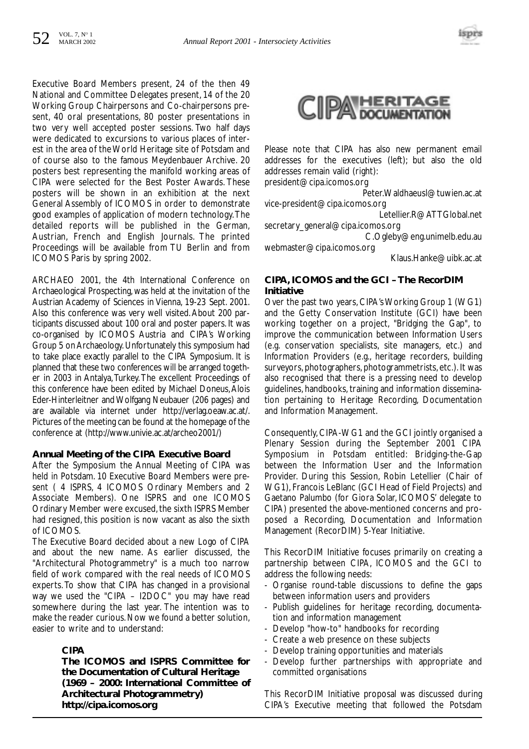

Executive Board Members present, 24 of the then 49 National and Committee Delegates present, 14 of the 20 Working Group Chairpersons and Co-chairpersons present, 40 oral presentations, 80 poster presentations in two very well accepted poster sessions. Two half days were dedicated to excursions to various places of interest in the area of the World Heritage site of Potsdam and of course also to the famous Meydenbauer Archive. 20 posters best representing the manifold working areas of CIPA were selected for the Best Poster Awards. These posters will be shown in an exhibition at the next General Assembly of ICOMOS in order to demonstrate good examples of application of modern technology.The detailed reports will be published in the German, Austrian, French and English Journals. The printed Proceedings will be available from TU Berlin and from ICOMOS Paris by spring 2002.

ARCHAEO 2001, the 4th International Conference on Archaeological Prospecting, was held at the invitation of the Austrian Academy of Sciences in Vienna, 19-23 Sept. 2001. Also this conference was very well visited.About 200 participants discussed about 100 oral and poster papers. It was co-organised by ICOMOS Austria and CIPA's Working Group 5 on Archaeology.Unfortunately this symposium had to take place exactly parallel to the CIPA Symposium. It is planned that these two conferences will be arranged together in 2003 in Antalya,Turkey.The excellent Proceedings of this conference have been edited by Michael Doneus, Alois Eder-Hinterleitner and Wolfgang Neubauer (206 pages) and are available via internet under http://verlag.oeaw.ac.at/. Pictures of the meeting can be found at the homepage of the conference at (http://www.univie.ac.at/archeo2001/)

#### **Annual Meeting of the CIPA Executive Board**

After the Symposium the Annual Meeting of CIPA was held in Potsdam. 10 Executive Board Members were present ( 4 ISPRS, 4 ICOMOS Ordinary Members and 2 Associate Members). One ISPRS and one ICOMOS Ordinary Member were excused, the sixth ISPRS Member had resigned, this position is now vacant as also the sixth of ICOMOS.

The Executive Board decided about a new Logo of CIPA and about the new name. As earlier discussed, the "Architectural Photogrammetry" is a much too narrow field of work compared with the real needs of ICOMOS experts. To show that CIPA has changed in a provisional way we used the "CIPA – I2DOC" you may have read somewhere during the last year. The intention was to make the reader curious. Now we found a better solution, easier to write and to understand:

#### **CIPA**

**The ICOMOS and ISPRS Committee for the Documentation of Cultural Heritage (1969 – 2000: International Committee of Architectural Photogrammetry) http://cipa.icomos.org**



Please note that CIPA has also new permanent email addresses for the executives (left); but also the old addresses remain valid (right):

president@cipa.icomos.org

Peter.Waldhaeusl@tuwien.ac.at vice-president@cipa.icomos.org

Letellier.R@ATTGlobal.net

secretary\_general@cipa.icomos.org C.Ogleby@eng.unimelb.edu.au

webmaster@cipa.icomos.org

Klaus.Hanke@uibk.ac.at

#### **CIPA, ICOMOS and the GCI – The RecorDIM Initiative**

Over the past two years, CIPA's Working Group 1 (WG1) and the Getty Conservation Institute (GCI) have been working together on a project, "Bridging the Gap", to improve the communication between Information Users (e.g. conservation specialists, site managers, etc.) and Information Providers (e.g., heritage recorders, building surveyors, photographers, photogrammetrists, etc.). It was also recognised that there is a pressing need to develop guidelines, handbooks, training and information dissemination pertaining to Heritage Recording, Documentation and Information Management.

Consequently, CIPA-WG1 and the GCI jointly organised a Plenary Session during the September 2001 CIPA Symposium in Potsdam entitled: Bridging-the-Gap between the Information User and the Information Provider. During this Session, Robin Letellier (Chair of WG1), Francois LeBlanc (GCI Head of Field Projects) and Gaetano Palumbo (for Giora Solar, ICOMOS' delegate to CIPA) presented the above-mentioned concerns and proposed a Recording, Documentation and Information Management (RecorDIM) 5-Year Initiative.

This RecorDIM Initiative focuses primarily on creating a partnership between CIPA, ICOMOS and the GCI to address the following needs:

- Organise round-table discussions to define the gaps between information users and providers
- Publish guidelines for heritage recording, documentation and information management
- Develop "how-to" handbooks for recording
- Create a web presence on these subjects
- Develop training opportunities and materials
- Develop further partnerships with appropriate and committed organisations

This RecorDIM Initiative proposal was discussed during CIPA's Executive meeting that followed the Potsdam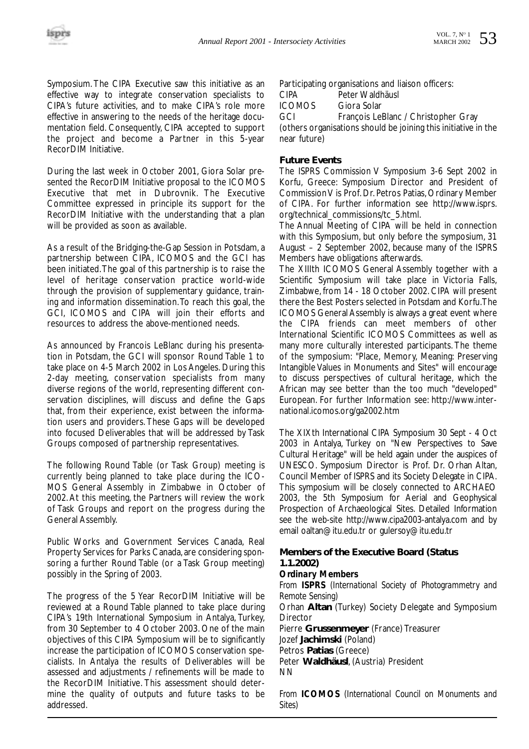Symposium. The CIPA Executive saw this initiative as an effective way to integrate conservation specialists to CIPA's future activities, and to make CIPA's role more effective in answering to the needs of the heritage documentation field. Consequently, CIPA accepted to support the project and become a Partner in this 5-year RecorDIM Initiative.

During the last week in October 2001, Giora Solar presented the RecorDIM Initiative proposal to the ICOMOS Executive that met in Dubrovnik. The Executive Committee expressed in principle its support for the RecorDIM Initiative with the understanding that a plan will be provided as soon as available.

As a result of the Bridging-the-Gap Session in Potsdam, a partnership between CIPA, ICOMOS and the GCI has been initiated.The goal of this partnership is to raise the level of heritage conservation practice world-wide through the provision of supplementary guidance, training and information dissemination.To reach this goal, the GCI, ICOMOS and CIPA will join their efforts and resources to address the above-mentioned needs.

As announced by Francois LeBlanc during his presentation in Potsdam, the GCI will sponsor Round Table 1 to take place on 4-5 March 2002 in Los Angeles. During this 2-day meeting, conservation specialists from many diverse regions of the world, representing different conservation disciplines, will discuss and define the Gaps that, from their experience, exist between the information users and providers. These Gaps will be developed into focused Deliverables that will be addressed by Task Groups composed of partnership representatives.

The following Round Table (or Task Group) meeting is currently being planned to take place during the ICO-MOS General Assembly in Zimbabwe in October of 2002. At this meeting, the Partners will review the work of Task Groups and report on the progress during the General Assembly.

Public Works and Government Services Canada, Real Property Services for Parks Canada, are considering sponsoring a further Round Table (or a Task Group meeting) possibly in the Spring of 2003.

The progress of the 5 Year RecorDIM Initiative will be reviewed at a Round Table planned to take place during CIPA's 19th International Symposium in Antalya, Turkey, from 30 September to 4 October 2003. One of the main objectives of this CIPA Symposium will be to significantly increase the participation of ICOMOS conservation specialists. In Antalya the results of Deliverables will be assessed and adjustments / refinements will be made to the RecorDIM Initiative. This assessment should determine the quality of outputs and future tasks to be addressed.

Participating organisations and liaison officers:

CIPA Peter Waldhäusl<br>ICOMOS Giora Solar

Giora Solar

GCI François LeBlanc / Christopher Gray

(others organisations should be joining this initiative in the near future)

#### **Future Events**

The ISPRS Commission V Symposium 3-6 Sept 2002 in Korfu, Greece: Symposium Director and President of Commission V is Prof. Dr. Petros Patias, Ordinary Member of CIPA. For further information see http://www.isprs. org/technical\_commissions/tc\_5.html.

The Annual Meeting of CIPA will be held in connection with this Symposium, but only before the symposium, 31 August – 2 September 2002, because many of the ISPRS Members have obligations afterwards.

The XIIIth ICOMOS General Assembly together with a Scientific Symposium will take place in Victoria Falls, Zimbabwe, from 14 - 18 October 2002. CIPA will present there the Best Posters selected in Potsdam and Korfu.The ICOMOS General Assembly is always a great event where the CIPA friends can meet members of other International Scientific ICOMOS Committees as well as many more culturally interested participants. The theme of the symposium: "Place, Memory, Meaning: Preserving Intangible Values in Monuments and Sites" will encourage to discuss perspectives of cultural heritage, which the African may see better than the too much "developed" European. For further Information see: http://www.international.icomos.org/ga2002.htm

The XIXth International CIPA Symposium 30 Sept - 4 Oct 2003 in Antalya, Turkey on "New Perspectives to Save Cultural Heritage" will be held again under the auspices of UNESCO. Symposium Director is Prof. Dr. Orhan Altan, Council Member of ISPRS and its Society Delegate in CIPA. This symposium will be closely connected to ARCHAEO 2003, the 5th Symposium for Aerial and Geophysical Prospection of Archaeological Sites. Detailed Information see the web-site http://www.cipa2003-antalya.com and by email oaltan@itu.edu.tr or gulersoy@itu.edu.tr

#### **Members of the Executive Board (Status 1.1.2002)**

#### *Ordinary Members*

*From ISPRS (International Society of Photogrammetry and Remote Sensing)* Orhan **Altan** (Turkey) Society Delegate and Symposium Director Pierre **Grussenmeyer** (France) Treasurer Jozef **Jachimski** (Poland) Petros **Patias** (Greece) Peter **Waldhäusl**, (Austria) President NN

*From ICOMOS (International Council on Monuments and Sites)*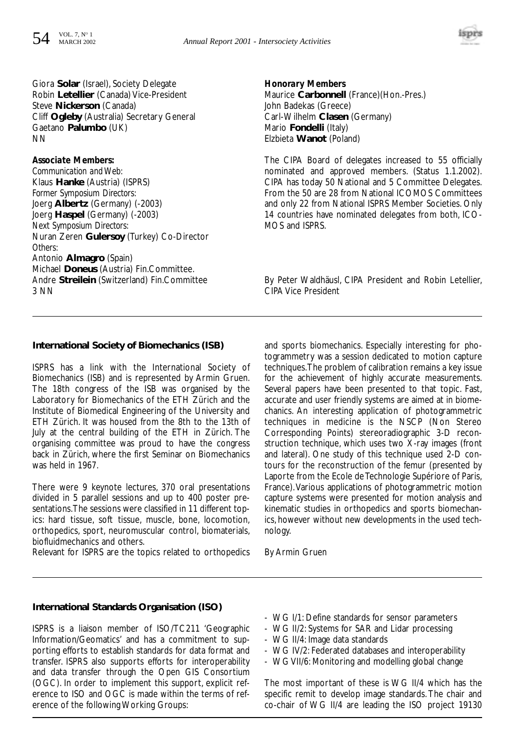

Giora **Solar** (Israel), Society Delegate Robin **Letellier** (Canada) Vice-President Steve **Nickerson** (Canada) Cliff **Ogleby** (Australia) Secretary General Gaetano **Palumbo** (UK) **NN** 

#### *Associate Members:*

*Communication and Web:* Klaus **Hanke** (Austria) (ISPRS) *Former Symposium Directors:* Joerg **Albertz** (Germany) (-2003) Joerg **Haspel** (Germany) (-2003) *Next Symposium Directors:* Nuran Zeren **Gulersoy** (Turkey) Co-Director *Others:* Antonio **Almagro** (Spain) Michael **Doneus** (Austria) Fin.Committee. Andre **Streilein** (Switzerland) Fin.Committee 3 NN

*Honorary Members* Maurice **Carbonnell** (France)(Hon.-Pres.) John Badekas (Greece) Carl-Wilhelm **Clasen** (Germany) Mario **Fondelli** (Italy) Elzbieta **Wanot** (Poland)

The CIPA Board of delegates increased to 55 officially nominated and approved members. (Status 1.1.2002). CIPA has today 50 National and 5 Committee Delegates. From the 50 are 28 from National ICOMOS Committees and only 22 from National ISPRS Member Societies. Only 14 countries have nominated delegates from both, ICO-MOS and ISPRS.

By Peter Waldhäusl, CIPA President and Robin Letellier, CIPA Vice President

#### **International Society of Biomechanics (ISB)**

ISPRS has a link with the International Society of Biomechanics (ISB) and is represented by Armin Gruen. The 18th congress of the ISB was organised by the Laboratory for Biomechanics of the ETH Zürich and the Institute of Biomedical Engineering of the University and ETH Zürich. It was housed from the 8th to the 13th of July at the central building of the ETH in Zürich. The organising committee was proud to have the congress back in Zürich, where the first Seminar on Biomechanics was held in 1967.

There were 9 keynote lectures, 370 oral presentations divided in 5 parallel sessions and up to 400 poster presentations.The sessions were classified in 11 different topics: hard tissue, soft tissue, muscle, bone, locomotion, orthopedics, sport, neuromuscular control, biomaterials, biofluidmechanics and others.

Relevant for ISPRS are the topics related to orthopedics

and sports biomechanics. Especially interesting for photogrammetry was a session dedicated to motion capture techniques.The problem of calibration remains a key issue for the achievement of highly accurate measurements. Several papers have been presented to that topic. Fast, accurate and user friendly systems are aimed at in biomechanics. An interesting application of photogrammetric techniques in medicine is the NSCP (Non Stereo Corresponding Points) stereoradiographic 3-D reconstruction technique, which uses two X-ray images (front and lateral). One study of this technique used 2-D contours for the reconstruction of the femur (presented by Laporte from the Ecole de Technologie Supériore of Paris, France).Various applications of photogrammetric motion capture systems were presented for motion analysis and kinematic studies in orthopedics and sports biomechanics, however without new developments in the used technology.

By Armin Gruen

#### **International Standards Organisation (ISO)**

ISPRS is a liaison member of ISO/TC211 'Geographic Information/Geomatics' and has a commitment to supporting efforts to establish standards for data format and transfer. ISPRS also supports efforts for interoperability and data transfer through the Open GIS Consortium (OGC). In order to implement this support, explicit reference to ISO and OGC is made within the terms of reference of the following Working Groups:

- WG I/1: Define standards for sensor parameters
- WG II/2: Systems for SAR and Lidar processing
- WG II/4: Image data standards
- WG IV/2: Federated databases and interoperability
- WG VII/6: Monitoring and modelling global change

The most important of these is WG II/4 which has the specific remit to develop image standards. The chair and co-chair of WG II/4 are leading the ISO project 19130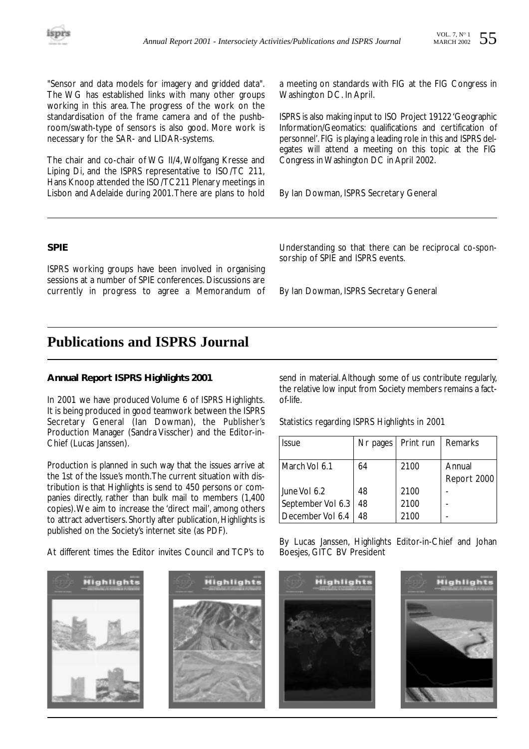"Sensor and data models for imagery and gridded data". The WG has established links with many other groups working in this area. The progress of the work on the standardisation of the frame camera and of the pushbroom/swath-type of sensors is also good. More work is necessary for the SAR- and LIDAR-systems.

The chair and co-chair of WG II/4, Wolfgang Kresse and Liping Di, and the ISPRS representative to ISO/TC 211, Hans Knoop attended the ISO/TC211 Plenary meetings in Lisbon and Adelaide during 2001.There are plans to hold a meeting on standards with FIG at the FIG Congress in Washington DC. In April.

ISPRS is also making input to ISO Project 19122 'Geographic Information/Geomatics: qualifications and certification of personnel'.FIG is playing a leading role in this and ISPRS delegates will attend a meeting on this topic at the FIG Congress in Washington DC in April 2002.

By Ian Dowman, ISPRS Secretary General

#### **SPIE**

ISPRS working groups have been involved in organising sessions at a number of SPIE conferences. Discussions are currently in progress to agree a Memorandum of

Understanding so that there can be reciprocal co-sponsorship of SPIE and ISPRS events.

By Ian Dowman, ISPRS Secretary General

## **Publications and ISPRS Journal**

#### **Annual Report ISPRS Highlights 2001**

In 2001 we have produced Volume 6 of ISPRS Highlights. It is being produced in good teamwork between the ISPRS Secretary General (Ian Dowman), the Publisher's Production Manager (Sandra Visscher) and the Editor-in-Chief (Lucas Janssen).

Production is planned in such way that the issues arrive at the 1st of the Issue's month.The current situation with distribution is that Highlights is send to 450 persons or companies directly, rather than bulk mail to members (1,400 copies).We aim to increase the 'direct mail', among others to attract advertisers. Shortly after publication, Highlights is published on the Society's internet site (as PDF).

By Lucas Janssen, Highlights Editor-in-Chief and Johan

send in material.Although some of us contribute regularly, the relative low input from Society members remains a factof-life.

Statistics regarding ISPRS Highlights in 2001

| <i><b>Issue</b></i> | Nr pages | Print run | Remarks     |
|---------------------|----------|-----------|-------------|
| March Vol 6.1       | 64       | 2100      | Annual      |
|                     |          |           | Report 2000 |
| June Vol 6.2        | 48       | 2100      |             |
| September Vol 6.3   | 48       | 2100      |             |
| December Vol 6.4    | 48       | 2100      |             |

**Highlight Highlight Highlight Highlights** 

At different times the Editor invites Council and TCP's to Boesjes, GITC BV President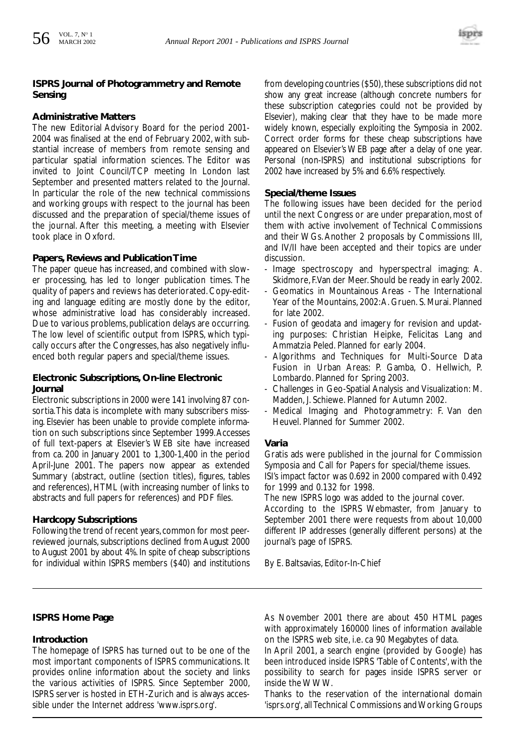#### **ISPRS Journal of Photogrammetry and Remote Sensing**

#### **Administrative Matters**

The new Editorial Advisory Board for the period 2001- 2004 was finalised at the end of February 2002, with substantial increase of members from remote sensing and particular spatial information sciences. The Editor was invited to Joint Council/TCP meeting In London last September and presented matters related to the Journal. In particular the role of the new technical commissions and working groups with respect to the journal has been discussed and the preparation of special/theme issues of the journal. After this meeting, a meeting with Elsevier took place in Oxford.

#### **Papers, Reviews and Publication Time**

The paper queue has increased, and combined with slower processing, has led to longer publication times. The quality of papers and reviews has deteriorated. Copy-editing and language editing are mostly done by the editor, whose administrative load has considerably increased. Due to various problems, publication delays are occurring. The low level of scientific output from ISPRS, which typically occurs after the Congresses, has also negatively influenced both regular papers and special/theme issues.

#### **Electronic Subscriptions, On-line Electronic Journal**

Electronic subscriptions in 2000 were 141 involving 87 consortia.This data is incomplete with many subscribers missing. Elsevier has been unable to provide complete information on such subscriptions since September 1999.Accesses of full text-papers at Elsevier's WEB site have increased from ca. 200 in January 2001 to 1,300-1,400 in the period April-June 2001. The papers now appear as extended Summary (abstract, outline (section titles), figures, tables and references), HTML (with increasing number of links to abstracts and full papers for references) and PDF files.

#### **Hardcopy Subscriptions**

Following the trend of recent years, common for most peerreviewed journals, subscriptions declined from August 2000 to August 2001 by about 4%. In spite of cheap subscriptions for individual within ISPRS members (\$40) and institutions from developing countries (\$50), these subscriptions did not show any great increase (although concrete numbers for these subscription categories could not be provided by Elsevier), making clear that they have to be made more widely known, especially exploiting the Symposia in 2002. Correct order forms for these cheap subscriptions have appeared on Elsevier's WEB page after a delay of one year. Personal (non-ISPRS) and institutional subscriptions for 2002 have increased by 5% and 6.6% respectively.

#### **Special/theme Issues**

The following issues have been decided for the period until the next Congress or are under preparation, most of them with active involvement of Technical Commissions and their WGs. Another 2 proposals by Commissions III, and IV/II have been accepted and their topics are under discussion.

- Image spectroscopy and hyperspectral imaging: A. Skidmore, F.Van der Meer. Should be ready in early 2002.
- Geomatics in Mountainous Areas The International Year of the Mountains, 2002:A. Gruen. S. Murai. Planned for late 2002.
- Fusion of geodata and imagery for revision and updating purposes: Christian Heipke, Felicitas Lang and Ammatzia Peled. Planned for early 2004.
- Algorithms and Techniques for Multi-Source Data Fusion in Urban Areas: P. Gamba, O. Hellwich, P. Lombardo. Planned for Spring 2003.
- Challenges in Geo-Spatial Analysis and Visualization: M. Madden, J. Schiewe. Planned for Autumn 2002.
- Medical Imaging and Photogrammetry: F. Van den Heuvel. Planned for Summer 2002.

#### **Varia**

Gratis ads were published in the journal for Commission Symposia and Call for Papers for special/theme issues. ISI's impact factor was 0.692 in 2000 compared with 0.492 for 1999 and 0.132 for 1998.

The new ISPRS logo was added to the journal cover. According to the ISPRS Webmaster, from January to September 2001 there were requests from about 10,000 different IP addresses (generally different persons) at the journal's page of ISPRS.

By E. Baltsavias, Editor-In-Chief

#### **ISPRS Home Page**

#### **Introduction**

The homepage of ISPRS has turned out to be one of the most important components of ISPRS communications. It provides online information about the society and links the various activities of ISPRS. Since September 2000, ISPRS server is hosted in ETH-Zurich and is always accessible under the Internet address 'www.isprs.org'.

As November 2001 there are about 450 HTML pages with approximately 160000 lines of information available on the ISPRS web site, i.e. ca 90 Megabytes of data.

In April 2001, a search engine (provided by Google) has been introduced inside ISPRS 'Table of Contents', with the possibility to search for pages inside ISPRS server or inside the WWW.

Thanks to the reservation of the international domain 'isprs.org', all Technical Commissions and Working Groups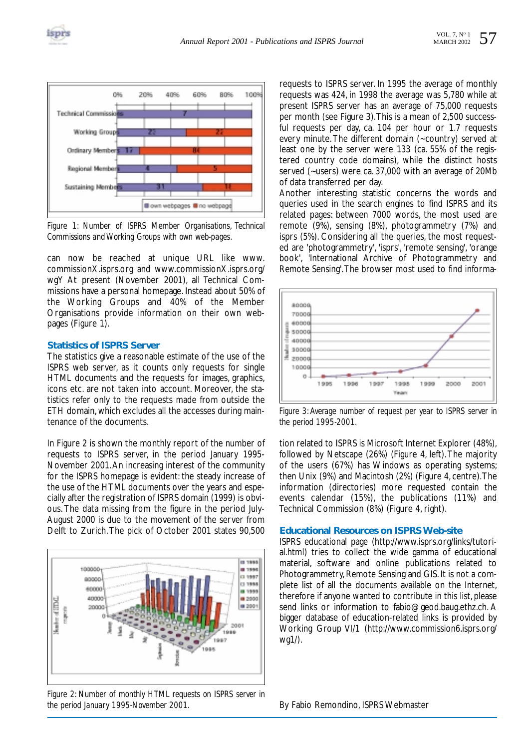



*Figure 1: Number of ISPRS Member Organisations, Technical Commissions and Working Groups with own web-pages.*

can now be reached at unique URL like www. commissionX.isprs.org and www.commissionX.isprs.org/ wgY At present (November 2001), all Technical Commissions have a personal homepage. Instead about 50% of the Working Groups and 40% of the Member Organisations provide information on their own webpages (Figure 1).

#### **Statistics of ISPRS Server**

The statistics give a reasonable estimate of the use of the ISPRS web server, as it counts only requests for single HTML documents and the requests for images, graphics, icons etc. are not taken into account. Moreover, the statistics refer only to the requests made from outside the ETH domain, which excludes all the accesses during maintenance of the documents.

In Figure 2 is shown the monthly report of the number of requests to ISPRS server, in the period January 1995- November 2001.An increasing interest of the community for the ISPRS homepage is evident: the steady increase of the use of the HTML documents over the years and especially after the registration of ISPRS domain (1999) is obvious. The data missing from the figure in the period July-August 2000 is due to the movement of the server from Delft to Zurich.The pick of October 2001 states 90,500



*Figure 2: Number of monthly HTML requests on ISPRS server in the period January 1995-November 2001.*

requests to ISPRS server. In 1995 the average of monthly requests was 424, in 1998 the average was 5,780 while at present ISPRS server has an average of 75,000 requests per month (see Figure 3).This is a mean of 2,500 successful requests per day, ca. 104 per hour or 1.7 requests every minute.The different domain (~country) served at least one by the server were 133 (ca. 55% of the registered country code domains), while the distinct hosts served (~users) were ca. 37,000 with an average of 20Mb of data transferred per day.

Another interesting statistic concerns the words and queries used in the search engines to find ISPRS and its related pages: between 7000 words, the most used are remote (9%), sensing (8%), photogrammetry (7%) and isprs (5%). Considering all the queries, the most requested are 'photogrammetry', 'isprs', 'remote sensing', 'orange book', 'International Archive of Photogrammetry and Remote Sensing'.The browser most used to find informa-



*Figure 3: Average number of request per year to ISPRS server in the period 1995-2001.*

tion related to ISPRS is Microsoft Internet Explorer (48%), followed by Netscape (26%) (Figure 4, left).The majority of the users (67%) has Windows as operating systems; then Unix (9%) and Macintosh (2%) (Figure 4, centre).The information (directories) more requested contain the events calendar (15%), the publications (11%) and Technical Commission (8%) (Figure 4, right).

#### **Educational Resources on ISPRS Web-site**

ISPRS educational page (http://www.isprs.org/links/tutorial.html) tries to collect the wide gamma of educational material, software and online publications related to Photogrammetry, Remote Sensing and GIS. It is not a complete list of all the documents available on the Internet, therefore if anyone wanted to contribute in this list, please send links or information to fabio@geod.baug.ethz.ch. A bigger database of education-related links is provided by Working Group VI/1 (http://www.commission6.isprs.org/ wg1/).

By Fabio Remondino, ISPRS Webmaster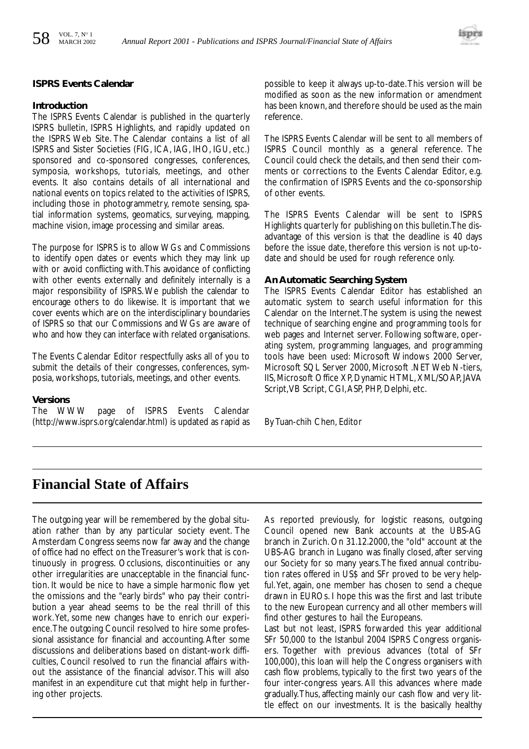#### **ISPRS Events Calendar**

#### **Introduction**

The ISPRS Events Calendar is published in the quarterly ISPRS bulletin, ISPRS Highlights, and rapidly updated on the ISPRS Web Site. The Calendar contains a list of all ISPRS and Sister Societies (FIG, ICA, IAG, IHO, IGU, etc.) sponsored and co-sponsored congresses, conferences, symposia, workshops, tutorials, meetings, and other events. It also contains details of all international and national events on topics related to the activities of ISPRS, including those in photogrammetry, remote sensing, spatial information systems, geomatics, surveying, mapping, machine vision, image processing and similar areas.

The purpose for ISPRS is to allow WGs and Commissions to identify open dates or events which they may link up with or avoid conflicting with.This avoidance of conflicting with other events externally and definitely internally is a major responsibility of ISPRS. We publish the calendar to encourage others to do likewise. It is important that we cover events which are on the interdisciplinary boundaries of ISPRS so that our Commissions and WGs are aware of who and how they can interface with related organisations.

The Events Calendar Editor respectfully asks all of you to submit the details of their congresses, conferences, symposia, workshops, tutorials, meetings, and other events.

**Versions**<br>The WWW page of ISPRS Events Calendar (http://www.isprs.org/calendar.html) is updated as rapid as possible to keep it always up-to-date.This version will be modified as soon as the new information or amendment has been known,and therefore should be used as the main reference.

The ISPRS Events Calendar will be sent to all members of ISPRS Council monthly as a general reference. The Council could check the details, and then send their comments or corrections to the Events Calendar Editor, e.g. the confirmation of ISPRS Events and the co-sponsorship of other events.

The ISPRS Events Calendar will be sent to ISPRS Highlights quarterly for publishing on this bulletin.The disadvantage of this version is that the deadline is 40 days before the issue date, therefore this version is not up-todate and should be used for rough reference only.

#### **An Automatic Searching System**

The ISPRS Events Calendar Editor has established an automatic system to search useful information for this Calendar on the Internet.The system is using the newest technique of searching engine and programming tools for web pages and Internet server. Following software, operating system, programming languages, and programming tools have been used: Microsoft Windows 2000 Server, Microsoft SQL Server 2000, Microsoft .NET Web N-tiers, IIS, Microsoft Office XP, Dynamic HTML, XML/SOAP, JAVA Script,VB Script, CGI,ASP, PHP, Delphi, etc.

By Tuan-chih Chen, Editor

### **Financial State of Affairs**

The outgoing year will be remembered by the global situation rather than by any particular society event. The Amsterdam Congress seems now far away and the change of office had no effect on the Treasurer's work that is continuously in progress. Occlusions, discontinuities or any other irregularities are unacceptable in the financial function. It would be nice to have a simple harmonic flow yet the omissions and the "early birds" who pay their contribution a year ahead seems to be the real thrill of this work.Yet, some new changes have to enrich our experience.The outgoing Council resolved to hire some professional assistance for financial and accounting. After some discussions and deliberations based on distant-work difficulties, Council resolved to run the financial affairs without the assistance of the financial advisor. This will also manifest in an expenditure cut that might help in furthering other projects.

As reported previously, for logistic reasons, outgoing Council opened new Bank accounts at the UBS-AG branch in Zurich. On 31.12.2000, the "old" account at the UBS-AG branch in Lugano was finally closed, after serving our Society for so many years.The fixed annual contribution rates offered in US\$ and SFr proved to be very helpful.Yet, again, one member has chosen to send a cheque drawn in EUROs. I hope this was the first and last tribute to the new European currency and all other members will find other gestures to hail the Europeans.

Last but not least, ISPRS forwarded this year additional SFr 50,000 to the Istanbul 2004 ISPRS Congress organisers. Together with previous advances (total of SFr 100,000), this loan will help the Congress organisers with cash flow problems, typically to the first two years of the four inter-congress years. All this advances where made gradually.Thus, affecting mainly our cash flow and very little effect on our investments. It is the basically healthy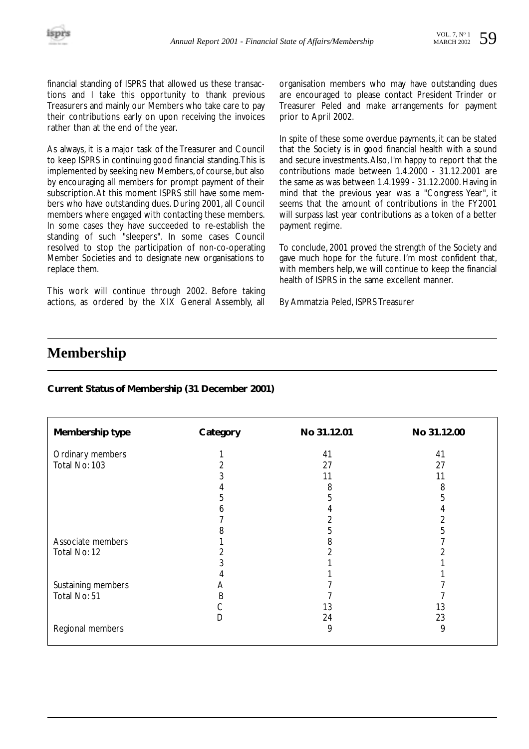financial standing of ISPRS that allowed us these transactions and I take this opportunity to thank previous Treasurers and mainly our Members who take care to pay their contributions early on upon receiving the invoices rather than at the end of the year.

As always, it is a major task of the Treasurer and Council to keep ISPRS in continuing good financial standing.This is implemented by seeking new Members, of course, but also by encouraging all members for prompt payment of their subscription.At this moment ISPRS still have some members who have outstanding dues. During 2001, all Council members where engaged with contacting these members. In some cases they have succeeded to re-establish the standing of such "sleepers". In some cases Council resolved to stop the participation of non-co-operating Member Societies and to designate new organisations to replace them.

This work will continue through 2002. Before taking actions, as ordered by the XIX General Assembly, all organisation members who may have outstanding dues are encouraged to please contact President Trinder or Treasurer Peled and make arrangements for payment prior to April 2002.

In spite of these some overdue payments, it can be stated that the Society is in good financial health with a sound and secure investments.Also, I'm happy to report that the contributions made between 1.4.2000 - 31.12.2001 are the same as was between 1.4.1999 - 31.12.2000. Having in mind that the previous year was a "Congress Year", it seems that the amount of contributions in the FY2001 will surpass last year contributions as a token of a better payment regime.

To conclude, 2001 proved the strength of the Society and gave much hope for the future. I'm most confident that, with members help, we will continue to keep the financial health of ISPRS in the same excellent manner.

By Ammatzia Peled, ISPRS Treasurer

### **Membership**

#### **Current Status of Membership (31 December 2001)**

| Membership type    | Category     | No 31.12.01 | No 31.12.00 |
|--------------------|--------------|-------------|-------------|
| Ordinary members   |              | 41          | 41          |
| Total No: 103      |              | 27          | 27          |
|                    | 3            | 11          | 11          |
|                    | 4            | 8           | 8           |
|                    | 5            | 5           | 5           |
|                    | <sub>n</sub> | 4           |             |
|                    |              |             |             |
|                    | 8            | 5           | 5           |
| Associate members  |              | 8           |             |
| Total No: 12       |              |             |             |
|                    |              |             |             |
|                    |              |             |             |
| Sustaining members | A            |             |             |
| Total No: 51       | B            |             |             |
|                    | С            | 13          | 13          |
|                    | D            | 24          | 23          |
| Regional members   |              | 9           | 9           |